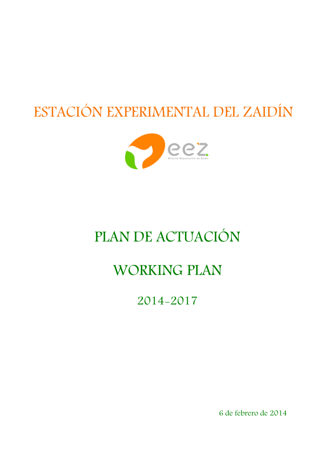# ESTACIÓN EXPERIMENTAL DEL ZAIDÍN



## PLAN DE ACTUACIÓN

## WORKING PLAN

2014-2017

6 de febrero de 2014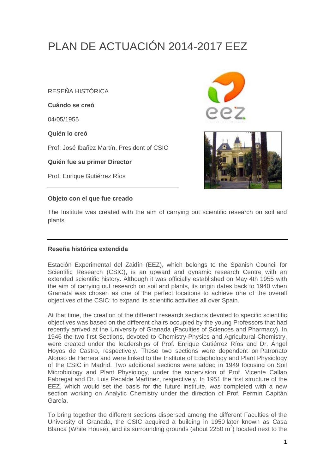### PLAN DE ACTUACIÓN 2014-2017 EEZ

RESEÑA HISTÓRICA

**Cuándo se creó** 

04/05/1955

**Quién lo creó** 

Prof. José Ibañez Martín, President of CSIC

**Quién fue su primer Director** 

Prof. Enrique Gutiérrez Ríos

#### **Objeto con el que fue creado**



The Institute was created with the aim of carrying out scientific research on soil and plants.

#### **Reseña histórica extendida**

Estación Experimental del Zaidín (EEZ), which belongs to the Spanish Council for Scientific Research (CSIC), is an upward and dynamic research Centre with an extended scientific history. Although it was officially established on May 4th 1955 with the aim of carrying out research on soil and plants, its origin dates back to 1940 when Granada was chosen as one of the perfect locations to achieve one of the overall objectives of the CSIC: to expand its scientific activities all over Spain.

At that time, the creation of the different research sections devoted to specific scientific objectives was based on the different chairs occupied by the young Professors that had recently arrived at the University of Granada (Faculties of Sciences and Pharmacy). In 1946 the two first Sections, devoted to Chemistry-Physics and Agricultural-Chemistry, were created under the leaderships of Prof. Enrique Gutiérrez Ríos and Dr. Ángel Hoyos de Castro, respectively. These two sections were dependent on Patronato Alonso de Herrera and were linked to the Institute of Edaphology and Plant Physiology of the CSIC in Madrid. Two additional sections were added in 1949 focusing on Soil Microbiology and Plant Physiology, under the supervision of Prof. Vicente Callao Fabregat and Dr. Luis Recalde Martínez, respectively. In 1951 the first structure of the EEZ, which would set the basis for the future institute, was completed with a new section working on Analytic Chemistry under the direction of Prof. Fermín Capitán García.

To bring together the different sections dispersed among the different Faculties of the University of Granada, the CSIC acquired a building in 1950 later known as Casa Blanca (White House), and its surrounding grounds (about 2250  $m^2$ ) located next to the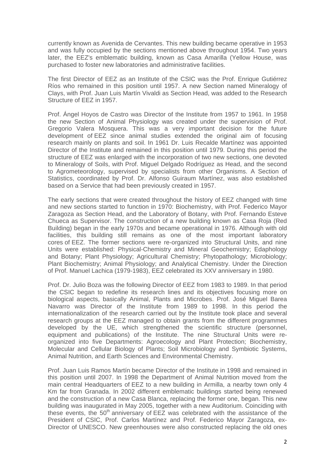currently known as Avenida de Cervantes. This new building became operative in 1953 and was fully occupied by the sections mentioned above throughout 1954. Two years later, the EEZ's emblematic building, known as Casa Amarilla (Yellow House, was purchased to foster new laboratories and administrative facilities.

The first Director of EEZ as an Institute of the CSIC was the Prof. Enrique Gutiérrez Ríos who remained in this position until 1957. A new Section named Mineralogy of Clays, with Prof. Juan Luis Martín Vivaldi as Section Head, was added to the Research Structure of EEZ in 1957.

Prof. Ángel Hoyos de Castro was Director of the Institute from 1957 to 1961. In 1958 the new Section of Animal Physiology was created under the supervision of Prof. Gregorio Valera Mosquera. This was a very important decision for the future development of EEZ since animal studies extended the original aim of focusing research mainly on plants and soil. In 1961 Dr. Luis Recalde Martínez was appointed Director of the Institute and remained in this position until 1979. During this period the structure of EEZ was enlarged with the incorporation of two new sections, one devoted to Mineralogy of Soils, with Prof. Miguel Delgado Rodríguez as Head, and the second to Agrometeorology, supervised by specialists from other Organisms. A Section of Statistics, coordinated by Prof. Dr. Alfonso Guiraum Martínez, was also established based on a Service that had been previously created in 1957.

The early sections that were created throughout the history of EEZ changed with time and new sections started to function in 1970: Biochemistry, with Prof. Federico Mayor Zaragoza as Section Head, and the Laboratory of Botany, with Prof. Fernando Esteve Chueca as Supervisor. The construction of a new building known as Casa Roja (Red Building) began in the early 1970s and became operational in 1976. Although with old facilities, this building still remains as one of the most important laboratory cores of EEZ. The former sections were re-organized into Structural Units, and nine Units were established: Physical-Chemistry and Mineral Geochemistry; Edaphology and Botany; Plant Physiology; Agricultural Chemistry; Phytopathology; Microbiology; Plant Biochemistry; Animal Physiology; and Analytical Chemistry. Under the Direction of Prof. Manuel Lachica (1979-1983), EEZ celebrated its XXV anniversary in 1980.

Prof. Dr. Julio Boza was the following Director of EEZ from 1983 to 1989. In that period the CSIC began to redefine its research lines and its objectives focusing more on biological aspects, basically Animal, Plants and Microbes. Prof. José Miguel Barea Navarro was Director of the Institute from 1989 to 1998. In this period the internationalization of the research carried out by the Institute took place and several research groups at the EEZ managed to obtain grants from the different programmes developed by the UE, which strengthened the scientific structure (personnel, equipment and publications) of the Institute. The nine Structural Units were reorganized into five Departments: Agroecology and Plant Protection; Biochemistry, Molecular and Cellular Biology of Plants; Soil Microbiology and Symbiotic Systems, Animal Nutrition, and Earth Sciences and Environmental Chemistry.

Prof. Juan Luis Ramos Martín became Director of the Institute in 1998 and remained in this position until 2007. In 1998 the Department of Animal Nutrition moved from the main central Headquarters of EEZ to a new building in Armilla, a nearby town only 4 Km far from Granada. In 2002 different emblematic buildings started being renewed and the construction of a new Casa Blanca, replacing the former one, began. This new building was inaugurated in May 2005, together with a new Auditorium. Coinciding with these events, the 50<sup>th</sup> anniversary of EEZ was celebrated with the assistance of the President of CSIC, Prof. Carlos Martínez and Prof. Federico Mayor Zaragoza, ex-Director of UNESCO. New greenhouses were also constructed replacing the old ones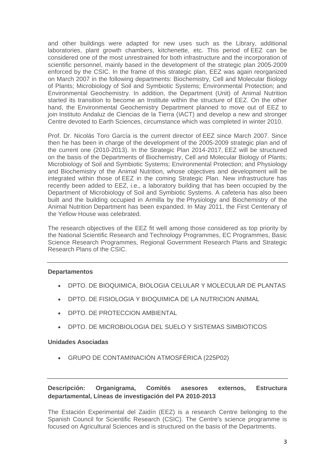and other buildings were adapted for new uses such as the Library, additional laboratories, plant growth chambers, kitchenette, etc. This period of EEZ can be considered one of the most unrestrained for both infrastructure and the incorporation of scientific personnel, mainly based in the development of the strategic plan 2005-2009 enforced by the CSIC. In the frame of this strategic plan, EEZ was again reorganized on March 2007 in the following departments: Biochemistry, Cell and Molecular Biology of Plants; Microbiology of Soil and Symbiotic Systems; Environmental Protection; and Environmental Geochemistry. In addition, the Department (Unit) of Animal Nutrition started its transition to become an Institute within the structure of EEZ. On the other hand, the Environmental Geochemistry Department planned to move out of EEZ to join Instituto Andaluz de Ciencias de la Tierra (IACT) and develop a new and stronger Centre devoted to Earth Sciences, circumstance which was completed in winter 2010.

Prof. Dr. Nicolás Toro García is the current director of EEZ since March 2007. Since then he has been in charge of the development of the 2005-2009 strategic plan and of the current one (2010-2013). In the Strategic Plan 2014-2017, EEZ will be structured on the basis of the Departments of Biochemistry, Cell and Molecular Biology of Plants; Microbiology of Soil and Symbiotic Systems; Environmental Protection; and Physiology and Biochemistry of the Animal Nutrition, whose objectives and development will be integrated within those of EEZ in the coming Strategic Plan. New infrastructure has recently been added to EEZ, i.e., a laboratory building that has been occupied by the Department of Microbiology of Soil and Symbiotic Systems. A cafeteria has also been built and the building occupied in Armilla by the Physiology and Biochemistry of the Animal Nutrition Department has been expanded. In May 2011, the First Centenary of the Yellow House was celebrated.

The research objectives of the EEZ fit well among those considered as top priority by the National Scientific Research and Technology Programmes, EC Programmes, Basic Science Research Programmes, Regional Government Research Plans and Strategic Research Plans of the CSIC.

#### **Departamentos**

- DPTO. DE BIOQUIMICA, BIOLOGIA CELULAR Y MOLECULAR DE PLANTAS
- DPTO. DE FISIOLOGIA Y BIOQUIMICA DE LA NUTRICION ANIMAL
- DPTO. DE PROTECCION AMBIENTAL
- DPTO. DE MICROBIOLOGIA DEL SUELO Y SISTEMAS SIMBIOTICOS

#### **Unidades Asociadas**

• GRUPO DE CONTAMINACIÓN ATMOSFÉRICA (225P02)

#### **Descripción: Organigrama, Comités asesores externos, Estructura departamental, Líneas de investigación del PA 2010-2013**

The Estación Experimental del Zaidín (EEZ) is a research Centre belonging to the Spanish Council for Scientific Research (CSIC). The Centre's science programme is focused on Agricultural Sciences and is structured on the basis of the Departments.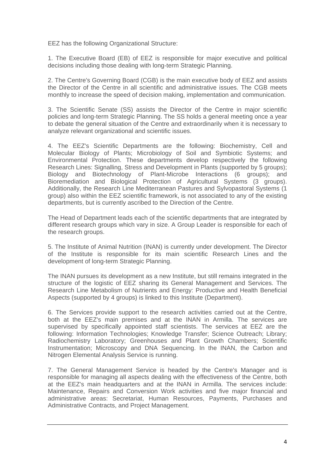EEZ has the following Organizational Structure:

1. The Executive Board (EB) of EEZ is responsible for major executive and political decisions including those dealing with long-term Strategic Planning.

2. The Centre's Governing Board (CGB) is the main executive body of EEZ and assists the Director of the Centre in all scientific and administrative issues. The CGB meets monthly to increase the speed of decision making, implementation and communication.

3. The Scientific Senate (SS) assists the Director of the Centre in major scientific policies and long-term Strategic Planning. The SS holds a general meeting once a year to debate the general situation of the Centre and extraordinarily when it is necessary to analyze relevant organizational and scientific issues.

4. The EEZ's Scientific Departments are the following: Biochemistry, Cell and Molecular Biology of Plants; Microbiology of Soil and Symbiotic Systems; and Environmental Protection. These departments develop respectively the following Research Lines: Signalling, Stress and Development in Plants (supported by 5 groups); Biology and Biotechnology of Plant-Microbe Interactions (6 groups); and Bioremediation and Biological Protection of Agricultural Systems (3 groups). Additionally, the Research Line Mediterranean Pastures and Sylvopastoral Systems (1 group) also within the EEZ scientific framework, is not associated to any of the existing departments, but is currently ascribed to the Direction of the Centre.

The Head of Department leads each of the scientific departments that are integrated by different research groups which vary in size. A Group Leader is responsible for each of the research groups.

5. The Institute of Animal Nutrition (INAN) is currently under development. The Director of the Institute is responsible for its main scientific Research Lines and the development of long-term Strategic Planning.

The INAN pursues its development as a new Institute, but still remains integrated in the structure of the logistic of EEZ sharing its General Management and Services. The Research Line Metabolism of Nutrients and Energy: Productive and Health Beneficial Aspects (supported by 4 groups) is linked to this Institute (Department).

6. The Services provide support to the research activities carried out at the Centre, both at the EEZ's main premises and at the INAN in Armilla. The services are supervised by specifically appointed staff scientists. The services at EEZ are the following: Information Technologies; Knowledge Transfer; Science Outreach; Library; Radiochemistry Laboratory; Greenhouses and Plant Growth Chambers; Scientific Instrumentation; Microscopy and DNA Sequencing. In the INAN, the Carbon and Nitrogen Elemental Analysis Service is running.

7. The General Management Service is headed by the Centre's Manager and is responsible for managing all aspects dealing with the effectiveness of the Centre, both at the EEZ's main headquarters and at the INAN in Armilla. The services include: Maintenance, Repairs and Conversion Work activities and five major financial and administrative areas: Secretariat, Human Resources, Payments, Purchases and Administrative Contracts, and Project Management.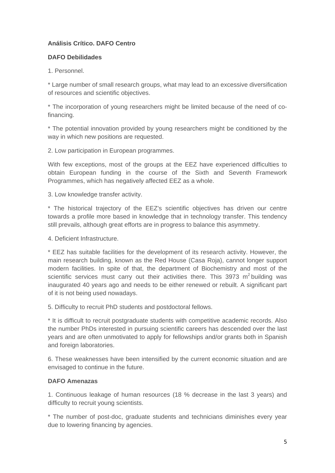#### **Análisis Crítico. DAFO Centro**

#### **DAFO Debilidades**

1. Personnel.

\* Large number of small research groups, what may lead to an excessive diversification of resources and scientific objectives.

\* The incorporation of young researchers might be limited because of the need of cofinancing.

\* The potential innovation provided by young researchers might be conditioned by the way in which new positions are requested.

2. Low participation in European programmes.

With few exceptions, most of the groups at the EEZ have experienced difficulties to obtain European funding in the course of the Sixth and Seventh Framework Programmes, which has negatively affected EEZ as a whole.

3. Low knowledge transfer activity.

\* The historical trajectory of the EEZ's scientific objectives has driven our centre towards a profile more based in knowledge that in technology transfer. This tendency still prevails, although great efforts are in progress to balance this asymmetry.

4. Deficient Infrastructure.

\* EEZ has suitable facilities for the development of its research activity. However, the main research building, known as the Red House (Casa Roja), cannot longer support modern facilities. In spite of that, the department of Biochemistry and most of the scientific services must carry out their activities there. This  $3973 \text{ m}^2$  building was inaugurated 40 years ago and needs to be either renewed or rebuilt. A significant part of it is not being used nowadays.

5. Difficulty to recruit PhD students and postdoctoral fellows.

\* It is difficult to recruit postgraduate students with competitive academic records. Also the number PhDs interested in pursuing scientific careers has descended over the last years and are often unmotivated to apply for fellowships and/or grants both in Spanish and foreign laboratories.

6. These weaknesses have been intensified by the current economic situation and are envisaged to continue in the future.

#### **DAFO Amenazas**

1. Continuous leakage of human resources (18 % decrease in the last 3 years) and difficulty to recruit young scientists.

\* The number of post-doc, graduate students and technicians diminishes every year due to lowering financing by agencies.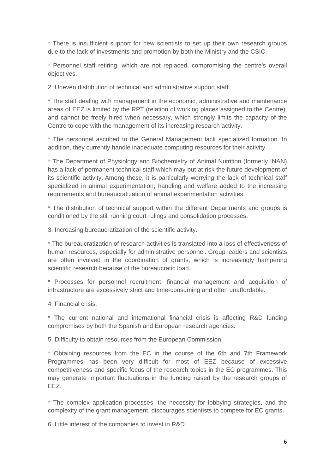\* There is insufficient support for new scientists to set up their own research groups due to the lack of investments and promotion by both the Ministry and the CSIC.

\* Personnel staff retiring, which are not replaced, compromising the centre's overall objectives.

2. Uneven distribution of technical and administrative support staff.

\* The staff dealing with management in the economic, administrative and maintenance areas of EEZ is limited by the RPT (relation of working places assigned to the Centre), and cannot be freely hired when necessary, which strongly limits the capacity of the Centre to cope with the management of its increasing research activity.

\* The personnel ascribed to the General Management lack specialized formation. In addition, they currently handle inadequate computing resources for their activity.

\* The Department of Physiology and Biochemistry of Animal Nutrition (formerly INAN) has a lack of permanent technical staff which may put at risk the future development of its scientific activity. Among these, it is particularly worrying the lack of technical staff specialized in animal experimentation; handling and welfare added to the increasing requirements and bureaucratization of animal experimentation activities.

\* The distribution of technical support within the different Departments and groups is conditioned by the still running court rulings and consolidation processes.

3. Increasing bureaucratization of the scientific activity.

\* The bureaucratization of research activities is translated into a loss of effectiveness of human resources, especially for administrative personnel. Group leaders and scientists are often involved in the coordination of grants, which is increasingly hampering scientific research because of the bureaucratic load.

\* Processes for personnel recruitment, financial management and acquisition of infrastructure are excessively strict and time-consuming and often unaffordable.

4. Financial crisis.

\* The current national and international financial crisis is affecting R&D funding compromises by both the Spanish and European research agencies.

5. Difficulty to obtain resources from the European Commission.

\* Obtaining resources from the EC in the course of the 6th and 7th Framework Programmes has been very difficult for most of EEZ because of excessive competitiveness and specific focus of the research topics in the EC programmes. This may generate important fluctuations in the funding raised by the research groups of EEZ.

\* The complex application processes, the necessity for lobbying strategies, and the complexity of the grant management, discourages scientists to compete for EC grants.

6. Little interest of the companies to invest in R&D.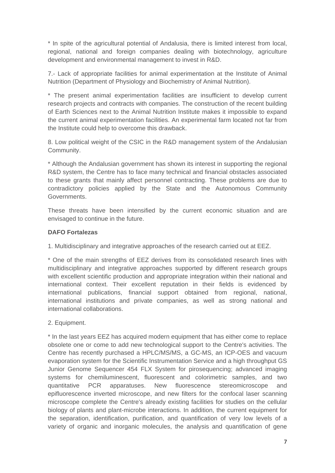\* In spite of the agricultural potential of Andalusia, there is limited interest from local, regional, national and foreign companies dealing with biotechnology, agriculture development and environmental management to invest in R&D.

7.- Lack of appropriate facilities for animal experimentation at the Institute of Animal Nutrition (Department of Physiology and Biochemistry of Animal Nutrition).

\* The present animal experimentation facilities are insufficient to develop current research projects and contracts with companies. The construction of the recent building of Earth Sciences next to the Animal Nutrition Institute makes it impossible to expand the current animal experimentation facilities. An experimental farm located not far from the Institute could help to overcome this drawback.

8. Low political weight of the CSIC in the R&D management system of the Andalusian Community.

\* Although the Andalusian government has shown its interest in supporting the regional R&D system, the Centre has to face many technical and financial obstacles associated to these grants that mainly affect personnel contracting. These problems are due to contradictory policies applied by the State and the Autonomous Community Governments.

These threats have been intensified by the current economic situation and are envisaged to continue in the future.

#### **DAFO Fortalezas**

1. Multidisciplinary and integrative approaches of the research carried out at EEZ.

\* One of the main strengths of EEZ derives from its consolidated research lines with multidisciplinary and integrative approaches supported by different research groups with excellent scientific production and appropriate integration within their national and international context. Their excellent reputation in their fields is evidenced by international publications, financial support obtained from regional, national, international institutions and private companies, as well as strong national and international collaborations.

2. Equipment.

\* In the last years EEZ has acquired modern equipment that has either come to replace obsolete one or come to add new technological support to the Centre's activities. The Centre has recently purchased a HPLC/MS/MS, a GC-MS, an ICP-OES and vacuum evaporation system for the Scientific Instrumentation Service and a high throughput GS Junior Genome Sequencer 454 FLX System for pirosequencing; advanced imaging systems for chemiluminescent, fluorescent and colorimetric samples, and two quantitative PCR apparatuses. New fluorescence stereomicroscope and epifluorescence inverted microscope, and new filters for the confocal laser scanning microscope complete the Centre's already existing facilities for studies on the cellular biology of plants and plant-microbe interactions. In addition, the current equipment for the separation, identification, purification, and quantification of very low levels of a variety of organic and inorganic molecules, the analysis and quantification of gene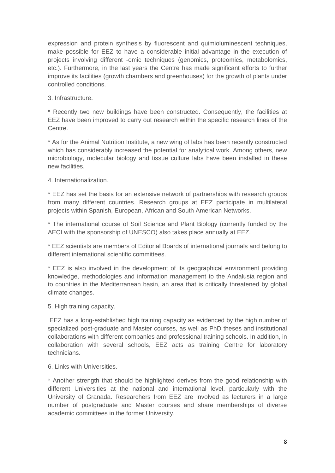expression and protein synthesis by fluorescent and quimioluminescent techniques, make possible for EEZ to have a considerable initial advantage in the execution of projects involving different -omic techniques (genomics, proteomics, metabolomics, etc.). Furthermore, in the last years the Centre has made significant efforts to further improve its facilities (growth chambers and greenhouses) for the growth of plants under controlled conditions.

#### 3. Infrastructure.

\* Recently two new buildings have been constructed. Consequently, the facilities at EEZ have been improved to carry out research within the specific research lines of the Centre.

\* As for the Animal Nutrition Institute, a new wing of labs has been recently constructed which has considerably increased the potential for analytical work. Among others, new microbiology, molecular biology and tissue culture labs have been installed in these new facilities.

4. Internationalization.

\* EEZ has set the basis for an extensive network of partnerships with research groups from many different countries. Research groups at EEZ participate in multilateral projects within Spanish, European, African and South American Networks.

\* The international course of Soil Science and Plant Biology (currently funded by the AECI with the sponsorship of UNESCO) also takes place annually at EEZ.

\* EEZ scientists are members of Editorial Boards of international journals and belong to different international scientific committees.

\* EEZ is also involved in the development of its geographical environment providing knowledge, methodologies and information management to the Andalusia region and to countries in the Mediterranean basin, an area that is critically threatened by global climate changes.

5. High training capacity.

 EEZ has a long-established high training capacity as evidenced by the high number of specialized post-graduate and Master courses, as well as PhD theses and institutional collaborations with different companies and professional training schools. In addition, in collaboration with several schools, EEZ acts as training Centre for laboratory technicians.

6. Links with Universities.

\* Another strength that should be highlighted derives from the good relationship with different Universities at the national and international level, particularly with the University of Granada. Researchers from EEZ are involved as lecturers in a large number of postgraduate and Master courses and share memberships of diverse academic committees in the former University.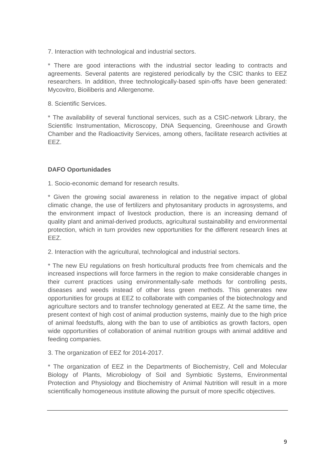7. Interaction with technological and industrial sectors.

\* There are good interactions with the industrial sector leading to contracts and agreements. Several patents are registered periodically by the CSIC thanks to EEZ researchers. In addition, three technologically-based spin-offs have been generated: Mycovitro, Bioiliberis and Allergenome.

8. Scientific Services.

\* The availability of several functional services, such as a CSIC-network Library, the Scientific Instrumentation, Microscopy, DNA Sequencing, Greenhouse and Growth Chamber and the Radioactivity Services, among others, facilitate research activities at EEZ.

#### **DAFO Oportunidades**

1. Socio-economic demand for research results.

\* Given the growing social awareness in relation to the negative impact of global climatic change, the use of fertilizers and phytosanitary products in agrosystems, and the environment impact of livestock production, there is an increasing demand of quality plant and animal-derived products, agricultural sustainability and environmental protection, which in turn provides new opportunities for the different research lines at EEZ.

2. Interaction with the agricultural, technological and industrial sectors.

\* The new EU regulations on fresh horticultural products free from chemicals and the increased inspections will force farmers in the region to make considerable changes in their current practices using environmentally-safe methods for controlling pests, diseases and weeds instead of other less green methods. This generates new opportunities for groups at EEZ to collaborate with companies of the biotechnology and agriculture sectors and to transfer technology generated at EEZ. At the same time, the present context of high cost of animal production systems, mainly due to the high price of animal feedstuffs, along with the ban to use of antibiotics as growth factors, open wide opportunities of collaboration of animal nutrition groups with animal additive and feeding companies.

3. The organization of EEZ for 2014-2017.

\* The organization of EEZ in the Departments of Biochemistry, Cell and Molecular Biology of Plants, Microbiology of Soil and Symbiotic Systems, Environmental Protection and Physiology and Biochemistry of Animal Nutrition will result in a more scientifically homogeneous institute allowing the pursuit of more specific objectives.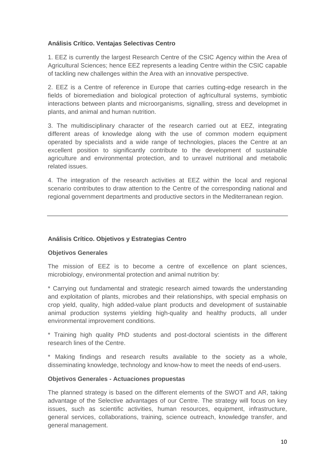#### **Análisis Crítico. Ventajas Selectivas Centro**

1. EEZ is currently the largest Research Centre of the CSIC Agency within the Area of Agricultural Sciences; hence EEZ represents a leading Centre within the CSIC capable of tackling new challenges within the Area with an innovative perspective.

2. EEZ is a Centre of reference in Europe that carries cutting-edge research in the fields of bioremediation and biological protection of agfricultural systems, symbiotic interactions between plants and microorganisms, signalling, stress and developmet in plants, and animal and human nutrition.

3. The multidisciplinary character of the research carried out at EEZ, integrating different areas of knowledge along with the use of common modern equipment operated by specialists and a wide range of technologies, places the Centre at an excellent position to significantly contribute to the development of sustainable agriculture and environmental protection, and to unravel nutritional and metabolic related issues.

4. The integration of the research activities at EEZ within the local and regional scenario contributes to draw attention to the Centre of the corresponding national and regional government departments and productive sectors in the Mediterranean region.

#### **Análisis Crítico. Objetivos y Estrategias Centro**

#### **Objetivos Generales**

The mission of EEZ is to become a centre of excellence on plant sciences, microbiology, environmental protection and animal nutrition by:

\* Carrying out fundamental and strategic research aimed towards the understanding and exploitation of plants, microbes and their relationships, with special emphasis on crop yield, quality, high added-value plant products and development of sustainable animal production systems yielding high-quality and healthy products, all under environmental improvement conditions.

\* Training high quality PhD students and post-doctoral scientists in the different research lines of the Centre.

\* Making findings and research results available to the society as a whole, disseminating knowledge, technology and know-how to meet the needs of end-users.

#### **Objetivos Generales - Actuaciones propuestas**

The planned strategy is based on the different elements of the SWOT and AR, taking advantage of the Selective advantages of our Centre. The strategy will focus on key issues, such as scientific activities, human resources, equipment, infrastructure, general services, collaborations, training, science outreach, knowledge transfer, and general management.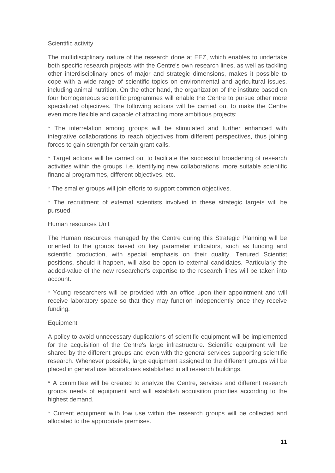#### Scientific activity

The multidisciplinary nature of the research done at EEZ, which enables to undertake both specific research projects with the Centre's own research lines, as well as tackling other interdisciplinary ones of major and strategic dimensions, makes it possible to cope with a wide range of scientific topics on environmental and agricultural issues, including animal nutrition. On the other hand, the organization of the institute based on four homogeneous scientific programmes will enable the Centre to pursue other more specialized objectives. The following actions will be carried out to make the Centre even more flexible and capable of attracting more ambitious projects:

\* The interrelation among groups will be stimulated and further enhanced with integrative collaborations to reach objectives from different perspectives, thus joining forces to gain strength for certain grant calls.

\* Target actions will be carried out to facilitate the successful broadening of research activities within the groups, i.e. identifying new collaborations, more suitable scientific financial programmes, different objectives, etc.

\* The smaller groups will join efforts to support common objectives.

\* The recruitment of external scientists involved in these strategic targets will be pursued.

#### Human resources Unit

The Human resources managed by the Centre during this Strategic Planning will be oriented to the groups based on key parameter indicators, such as funding and scientific production, with special emphasis on their quality. Tenured Scientist positions, should it happen, will also be open to external candidates. Particularly the added-value of the new researcher's expertise to the research lines will be taken into account.

\* Young researchers will be provided with an office upon their appointment and will receive laboratory space so that they may function independently once they receive funding.

#### **Equipment**

A policy to avoid unnecessary duplications of scientific equipment will be implemented for the acquisition of the Centre's large infrastructure. Scientific equipment will be shared by the different groups and even with the general services supporting scientific research. Whenever possible, large equipment assigned to the different groups will be placed in general use laboratories established in all research buildings.

\* A committee will be created to analyze the Centre, services and different research groups needs of equipment and will establish acquisition priorities according to the highest demand.

\* Current equipment with low use within the research groups will be collected and allocated to the appropriate premises.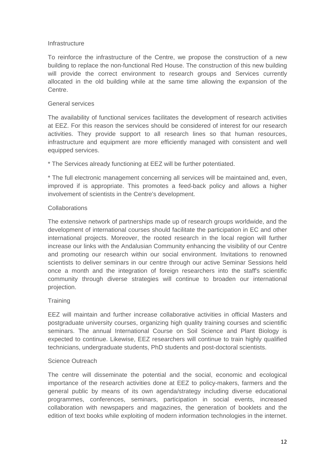#### **Infrastructure**

To reinforce the infrastructure of the Centre, we propose the construction of a new building to replace the non-functional Red House. The construction of this new building will provide the correct environment to research groups and Services currently allocated in the old building while at the same time allowing the expansion of the Centre.

#### General services

The availability of functional services facilitates the development of research activities at EEZ. For this reason the services should be considered of interest for our research activities. They provide support to all research lines so that human resources, infrastructure and equipment are more efficiently managed with consistent and well equipped services.

\* The Services already functioning at EEZ will be further potentiated.

\* The full electronic management concerning all services will be maintained and, even, improved if is appropriate. This promotes a feed-back policy and allows a higher involvement of scientists in the Centre's development.

#### Collaborations

The extensive network of partnerships made up of research groups worldwide, and the development of international courses should facilitate the participation in EC and other international projects. Moreover, the rooted research in the local region will further increase our links with the Andalusian Community enhancing the visibility of our Centre and promoting our research within our social environment. Invitations to renowned scientists to deliver seminars in our centre through our active Seminar Sessions held once a month and the integration of foreign researchers into the staff's scientific community through diverse strategies will continue to broaden our international projection.

#### **Training**

EEZ will maintain and further increase collaborative activities in official Masters and postgraduate university courses, organizing high quality training courses and scientific seminars. The annual International Course on Soil Science and Plant Biology is expected to continue. Likewise, EEZ researchers will continue to train highly qualified technicians, undergraduate students, PhD students and post-doctoral scientists.

#### Science Outreach

The centre will disseminate the potential and the social, economic and ecological importance of the research activities done at EEZ to policy-makers, farmers and the general public by means of its own agenda/strategy including diverse educational programmes, conferences, seminars, participation in social events, increased collaboration with newspapers and magazines, the generation of booklets and the edition of text books while exploiting of modern information technologies in the internet.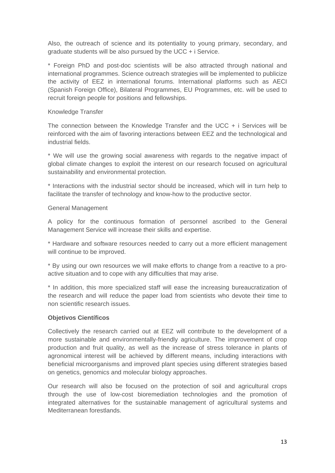Also, the outreach of science and its potentiality to young primary, secondary, and graduate students will be also pursued by the UCC + i Service.

\* Foreign PhD and post-doc scientists will be also attracted through national and international programmes. Science outreach strategies will be implemented to publicize the activity of EEZ in international forums. International platforms such as AECI (Spanish Foreign Office), Bilateral Programmes, EU Programmes, etc. will be used to recruit foreign people for positions and fellowships.

#### Knowledge Transfer

The connection between the Knowledge Transfer and the UCC + i Services will be reinforced with the aim of favoring interactions between EEZ and the technological and industrial fields.

\* We will use the growing social awareness with regards to the negative impact of global climate changes to exploit the interest on our research focused on agricultural sustainability and environmental protection.

\* Interactions with the industrial sector should be increased, which will in turn help to facilitate the transfer of technology and know-how to the productive sector.

#### General Management

A policy for the continuous formation of personnel ascribed to the General Management Service will increase their skills and expertise.

\* Hardware and software resources needed to carry out a more efficient management will continue to be improved.

\* By using our own resources we will make efforts to change from a reactive to a proactive situation and to cope with any difficulties that may arise.

\* In addition, this more specialized staff will ease the increasing bureaucratization of the research and will reduce the paper load from scientists who devote their time to non scientific research issues.

#### **Objetivos Científicos**

Collectively the research carried out at EEZ will contribute to the development of a more sustainable and environmentally-friendly agriculture. The improvement of crop production and fruit quality, as well as the increase of stress tolerance in plants of agronomical interest will be achieved by different means, including interactions with beneficial microorganisms and improved plant species using different strategies based on genetics, genomics and molecular biology approaches.

Our research will also be focused on the protection of soil and agricultural crops through the use of low-cost bioremediation technologies and the promotion of integrated alternatives for the sustainable management of agricultural systems and Mediterranean forestlands.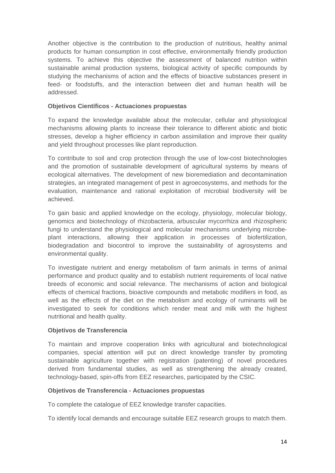Another objective is the contribution to the production of nutritious, healthy animal products for human consumption in cost effective, environmentally friendly production systems. To achieve this objective the assessment of balanced nutrition within sustainable animal production systems, biological activity of specific compounds by studying the mechanisms of action and the effects of bioactive substances present in feed- or foodstuffs, and the interaction between diet and human health will be addressed.

#### **Objetivos Científicos - Actuaciones propuestas**

To expand the knowledge available about the molecular, cellular and physiological mechanisms allowing plants to increase their tolerance to different abiotic and biotic stresses, develop a higher efficiency in carbon assimilation and improve their quality and yield throughout processes like plant reproduction.

To contribute to soil and crop protection through the use of low-cost biotechnologies and the promotion of sustainable development of agricultural systems by means of ecological alternatives. The development of new bioremediation and decontamination strategies, an integrated management of pest in agroecosystems, and methods for the evaluation, maintenance and rational exploitation of microbial biodiversity will be achieved.

To gain basic and applied knowledge on the ecology, physiology, molecular biology, genomics and biotechnology of rhizobacteria, arbuscular mycorrhiza and rhizospheric fungi to understand the physiological and molecular mechanisms underlying microbeplant interactions, allowing their application in processes of biofertilization, biodegradation and biocontrol to improve the sustainability of agrosystems and environmental quality.

To investigate nutrient and energy metabolism of farm animals in terms of animal performance and product quality and to establish nutrient requirements of local native breeds of economic and social relevance. The mechanisms of action and biological effects of chemical fractions, bioactive compounds and metabolic modifiers in food, as well as the effects of the diet on the metabolism and ecology of ruminants will be investigated to seek for conditions which render meat and milk with the highest nutritional and health quality.

#### **Objetivos de Transferencia**

To maintain and improve cooperation links with agricultural and biotechnological companies, special attention will put on direct knowledge transfer by promoting sustainable agriculture together with registration (patenting) of novel procedures derived from fundamental studies, as well as strengthening the already created, technology-based, spin-offs from EEZ researches, participated by the CSIC.

#### **Objetivos de Transferencia - Actuaciones propuestas**

To complete the catalogue of EEZ knowledge transfer capacities.

To identify local demands and encourage suitable EEZ research groups to match them.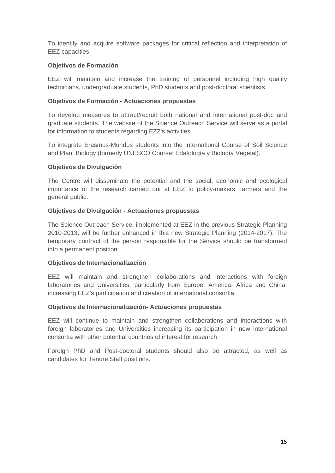To identify and acquire software packages for critical reflection and interpretation of EEZ capacities.

#### **Objetivos de Formación**

EEZ will maintain and increase the training of personnel including high quality technicians, undergraduate students, PhD students and post-doctoral scientists.

#### **Objetivos de Formación - Actuaciones propuestas**

To develop measures to attract/recruit both national and international post-doc and graduate students. The website of the Science Outreach Service will serve as a portal for information to students regarding EZZ's activities.

To integrate Erasmus-Mundus students into the International Course of Soil Science and Plant Biology (formerly UNESCO Course: Edafología y Biología Vegetal).

#### **Objetivos de Divulgación**

The Centre will disseminate the potential and the social, economic and ecological importance of the research carried out at EEZ to policy-makers, farmers and the general public.

#### **Objetivos de Divulgación - Actuaciones propuestas**

The Science Outreach Service, implemented at EEZ in the previous Strategic Planning 2010-2013, will be further enhanced in this new Strategic Planning (2014-2017). The temporary contract of the person responsible for the Service should be transformed into a permanent position.

#### **Objetivos de Internacionalización**

EEZ will maintain and strengthen collaborations and interactions with foreign laboratories and Universities, particularly from Europe, America, Africa and China, increasing EEZ's participation and creation of international consortia.

#### **Objetivos de Internacionalización- Actuaciones propuestas**

EEZ will continue to maintain and strengthen collaborations and interactions with foreign laboratories and Universities increasing its participation in new international consortia with other potential countries of interest for research.

Foreign PhD and Post-doctoral students should also be attracted, as well as candidates for Tenure Staff positions.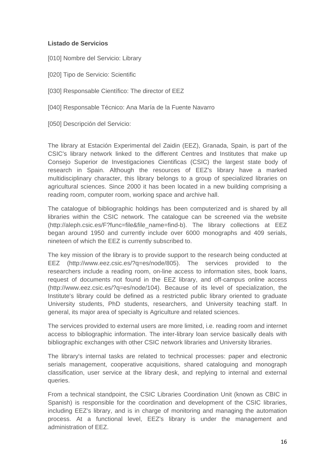#### **Listado de Servicios**

- [010] Nombre del Servicio: Library
- [020] Tipo de Servicio: Scientific
- [030] Responsable Científico: The director of EEZ
- [040] Responsable Técnico: Ana María de la Fuente Navarro
- [050] Descripción del Servicio:

The library at Estación Experimental del Zaidin (EEZ), Granada, Spain, is part of the CSIC's library network linked to the different Centres and Institutes that make up Consejo Superior de Investigaciones Cientificas (CSIC) the largest state body of research in Spain. Although the resources of EEZ's library have a marked multidisciplinary character, this library belongs to a group of specialized libraries on agricultural sciences. Since 2000 it has been located in a new building comprising a reading room, computer room, working space and archive hall.

The catalogue of bibliographic holdings has been computerized and is shared by all libraries within the CSIC network. The catalogue can be screened via the website (http://aleph.csic.es/F?func=file&file\_name=find-b). The library collections at EEZ began around 1950 and currently include over 6000 monographs and 409 serials, nineteen of which the EEZ is currently subscribed to.

The key mission of the library is to provide support to the research being conducted at EEZ (http://www.eez.csic.es/?q=es/node/805). The services provided to the researchers include a reading room, on-line access to information sites, book loans, request of documents not found in the EEZ library, and off-campus online access (http://www.eez.csic.es/?q=es/node/104). Because of its level of specialization, the Institute's library could be defined as a restricted public library oriented to graduate University students, PhD students, researchers, and University teaching staff. In general, its major area of specialty is Agriculture and related sciences.

The services provided to external users are more limited, i.e. reading room and internet access to bibliographic information. The inter-library loan service basically deals with bibliographic exchanges with other CSIC network libraries and University libraries.

The library's internal tasks are related to technical processes: paper and electronic serials management, cooperative acquisitions, shared cataloguing and monograph classification, user service at the library desk, and replying to internal and external queries.

From a technical standpoint, the CSIC Libraries Coordination Unit (known as CBIC in Spanish) is responsible for the coordination and development of the CSIC libraries, including EEZ's library, and is in charge of monitoring and managing the automation process. At a functional level, EEZ's library is under the management and administration of EEZ.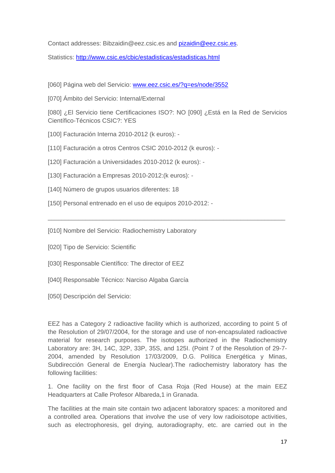Contact addresses: Bibzaidin@eez.csic.es and pizaidin@eez.csic.es.

Statistics: http://www.csic.es/cbic/estadisticas/estadisticas.html

[060] Página web del Servicio: www.eez.csic.es/?q=es/node/3552

[070] Ámbito del Servicio: Internal/External

[080] ¿El Servicio tiene Certificaciones ISO?: NO [090] ¿Está en la Red de Servicios Científico-Técnicos CSIC?: YES

\_\_\_\_\_\_\_\_\_\_\_\_\_\_\_\_\_\_\_\_\_\_\_\_\_\_\_\_\_\_\_\_\_\_\_\_\_\_\_\_\_\_\_\_\_\_\_\_\_\_\_\_\_\_\_\_\_\_\_\_\_\_\_\_\_\_\_\_\_

- [100] Facturación Interna 2010-2012 (k euros): -
- [110] Facturación a otros Centros CSIC 2010-2012 (k euros): -
- [120] Facturación a Universidades 2010-2012 (k euros): -
- [130] Facturación a Empresas 2010-2012:(k euros): -
- [140] Número de grupos usuarios diferentes: 18
- [150] Personal entrenado en el uso de equipos 2010-2012: -

[010] Nombre del Servicio: Radiochemistry Laboratory

- [020] Tipo de Servicio: Scientific
- [030] Responsable Científico: The director of EEZ
- [040] Responsable Técnico: Narciso Algaba García
- [050] Descripción del Servicio:

EEZ has a Category 2 radioactive facility which is authorized, according to point 5 of the Resolution of 29/07/2004, for the storage and use of non-encapsulated radioactive material for research purposes. The isotopes authorized in the Radiochemistry Laboratory are: 3H, 14C, 32P, 33P, 35S, and 125I. (Point 7 of the Resolution of 29-7- 2004, amended by Resolution 17/03/2009, D.G. Política Energética y Minas, Subdirección General de Energía Nuclear).The radiochemistry laboratory has the following facilities:

1. One facility on the first floor of Casa Roja (Red House) at the main EEZ Headquarters at Calle Profesor Albareda,1 in Granada.

The facilities at the main site contain two adjacent laboratory spaces: a monitored and a controlled area. Operations that involve the use of very low radioisotope activities, such as electrophoresis, gel drying, autoradiography, etc. are carried out in the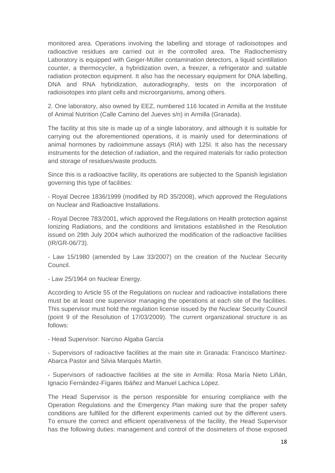monitored area. Operations involving the labelling and storage of radioisotopes and radioactive residues are carried out in the controlled area. The Radiochemistry Laboratory is equipped with Geiger-Müller contamination detectors, a liquid scintillation counter, a thermocycler, a hybridization oven, a freezer, a refrigerator and suitable radiation protection equipment. It also has the necessary equipment for DNA labelling, DNA and RNA hybridization, autoradiography, tests on the incorporation of radioisotopes into plant cells and microorganisms, among others.

2. One laboratory, also owned by EEZ, numbered 116 located in Armilla at the Institute of Animal Nutrition (Calle Camino del Jueves s/n) in Armilla (Granada).

The facility at this site is made up of a single laboratory, and although it is suitable for carrying out the aforementioned operations, it is mainly used for determinations of animal hormones by radioimmune assays (RIA) with 125I. It also has the necessary instruments for the detection of radiation, and the required materials for radio protection and storage of residues/waste products.

Since this is a radioactive facility, its operations are subjected to the Spanish legislation governing this type of facilities:

- Royal Decree 1836/1999 (modified by RD 35/2008), which approved the Regulations on Nuclear and Radioactive Installations.

- Royal Decree 783/2001, which approved the Regulations on Health protection against Ionizing Radiations, and the conditions and limitations established in the Resolution issued on 29th July 2004 which authorized the modification of the radioactive facilities (IR/GR-06/73).

- Law 15/1980 (amended by Law 33/2007) on the creation of the Nuclear Security Council.

- Law 25/1964 on Nuclear Energy.

According to Article 55 of the Regulations on nuclear and radioactive installations there must be at least one supervisor managing the operations at each site of the facilities. This supervisor must hold the regulation license issued by the Nuclear Security Council (point 9 of the Resolution of 17/03/2009). The current organizational structure is as follows:

- Head Supervisor: Narciso Algaba García

- Supervisors of radioactive facilities at the main site in Granada: Francisco Martínez-Abarca Pastor and Silvia Marqués Martín.

- Supervisors of radioactive facilities at the site in Armilla: Rosa María Nieto Liñán, Ignacio Fernández-Fígares Ibáñez and Manuel Lachica López.

The Head Supervisor is the person responsible for ensuring compliance with the Operation Regulations and the Emergency Plan making sure that the proper safety conditions are fulfilled for the different experiments carried out by the different users. To ensure the correct and efficient operativeness of the facility, the Head Supervisor has the following duties: management and control of the dosimeters of those exposed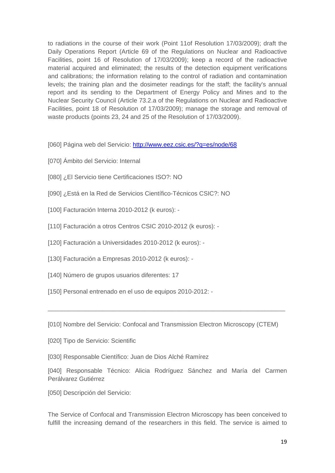to radiations in the course of their work (Point 11of Resolution 17/03/2009); draft the Daily Operations Report (Article 69 of the Regulations on Nuclear and Radioactive Facilities, point 16 of Resolution of 17/03/2009); keep a record of the radioactive material acquired and eliminated; the results of the detection equipment verifications and calibrations; the information relating to the control of radiation and contamination levels; the training plan and the dosimeter readings for the staff; the facility's annual report and its sending to the Department of Energy Policy and Mines and to the Nuclear Security Council (Article 73.2.a of the Regulations on Nuclear and Radioactive Facilities, point 18 of Resolution of 17/03/2009); manage the storage and removal of waste products (points 23, 24 and 25 of the Resolution of 17/03/2009).

- [060] Página web del Servicio: http://www.eez.csic.es/?q=es/node/68
- [070] Ámbito del Servicio: Internal
- [080] ¿El Servicio tiene Certificaciones ISO?: NO
- [090] ¿Está en la Red de Servicios Científico-Técnicos CSIC?: NO
- [100] Facturación Interna 2010-2012 (k euros): -
- [110] Facturación a otros Centros CSIC 2010-2012 (k euros): -
- [120] Facturación a Universidades 2010-2012 (k euros): -
- [130] Facturación a Empresas 2010-2012 (k euros): -
- [140] Número de grupos usuarios diferentes: 17
- [150] Personal entrenado en el uso de equipos 2010-2012: -

[010] Nombre del Servicio: Confocal and Transmission Electron Microscopy (CTEM)

\_\_\_\_\_\_\_\_\_\_\_\_\_\_\_\_\_\_\_\_\_\_\_\_\_\_\_\_\_\_\_\_\_\_\_\_\_\_\_\_\_\_\_\_\_\_\_\_\_\_\_\_\_\_\_\_\_\_\_\_\_\_\_\_\_\_\_\_\_

- [020] Tipo de Servicio: Scientific
- [030] Responsable Científico: Juan de Dios Alché Ramírez
- [040] Responsable Técnico: Alicia Rodríguez Sánchez and María del Carmen Perálvarez Gutiérrez
- [050] Descripción del Servicio:

The Service of Confocal and Transmission Electron Microscopy has been conceived to fulfill the increasing demand of the researchers in this field. The service is aimed to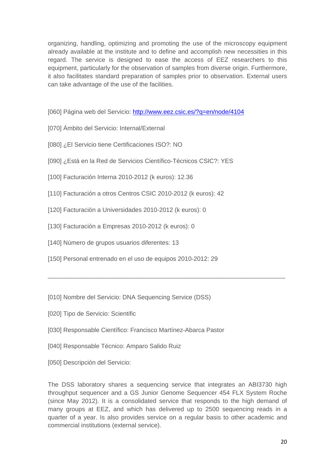organizing, handling, optimizing and promoting the use of the microscopy equipment already available at the institute and to define and accomplish new necessities in this regard. The service is designed to ease the access of EEZ researchers to this equipment, particularly for the observation of samples from diverse origin. Furthermore, it also facilitates standard preparation of samples prior to observation. External users can take advantage of the use of the facilities.

- [060] Página web del Servicio: http://www.eez.csic.es/?q=en/node/4104
- [070] Ámbito del Servicio: Internal/External
- [080] ¿El Servicio tiene Certificaciones ISO?: NO
- [090] ¿Está en la Red de Servicios Científico-Técnicos CSIC?: YES
- [100] Facturación Interna 2010-2012 (k euros): 12.36
- [110] Facturación a otros Centros CSIC 2010-2012 (k euros): 42
- [120] Facturación a Universidades 2010-2012 (k euros): 0
- [130] Facturación a Empresas 2010-2012 (k euros): 0
- [140] Número de grupos usuarios diferentes: 13
- [150] Personal entrenado en el uso de equipos 2010-2012: 29
- [010] Nombre del Servicio: DNA Sequencing Service (DSS)
- [020] Tipo de Servicio: Scientific
- [030] Responsable Científico: Francisco Martínez-Abarca Pastor
- [040] Responsable Técnico: Amparo Salido Ruiz
- [050] Descripción del Servicio:

The DSS laboratory shares a sequencing service that integrates an ABI3730 high throughput sequencer and a GS Junior Genome Sequencer 454 FLX System Roche (since May 2012). It is a consolidated service that responds to the high demand of many groups at EEZ, and which has delivered up to 2500 sequencing reads in a quarter of a year. Is also provides service on a regular basis to other academic and commercial institutions (external service).

\_\_\_\_\_\_\_\_\_\_\_\_\_\_\_\_\_\_\_\_\_\_\_\_\_\_\_\_\_\_\_\_\_\_\_\_\_\_\_\_\_\_\_\_\_\_\_\_\_\_\_\_\_\_\_\_\_\_\_\_\_\_\_\_\_\_\_\_\_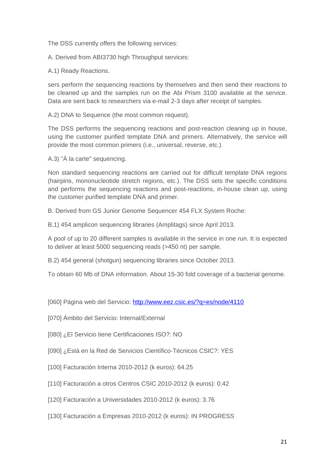The DSS currently offers the following services:

A. Derived from ABI3730 high Throughput services:

A.1) Ready Reactions.

sers perform the sequencing reactions by themselves and then send their reactions to be cleaned up and the samples run on the Abi Prism 3100 available at the service. Data are sent back to researchers via e-mail 2-3 days after receipt of samples.

A.2) DNA to Sequence (the most common request).

The DSS performs the sequencing reactions and post-reaction cleaning up in house, using the customer purified template DNA and primers. Alternatively, the service will provide the most common primers (i.e., universal, reverse, etc.).

A.3) "À la carte" sequencing.

Non standard sequencing reactions are carried out for difficult template DNA regions (hairpins, mononucleotide stretch regions, etc.). The DSS sets the specific conditions and performs the sequencing reactions and post-reactions, in-house clean up, using the customer purified template DNA and primer.

B. Derived from GS Junior Genome Sequencer 454 FLX System Roche:

B.1) 454 amplicon sequencing libraries (Amplitags) since April 2013.

A pool of up to 20 different samples is available in the service in one run. It is expected to deliver at least 5000 sequencing reads (>450 nt) per sample.

B.2) 454 general (shotgun) sequencing libraries since October 2013.

To obtain 60 Mb of DNA information. About 15-30 fold coverage of a bacterial genome.

[060] Página web del Servicio: http://www.eez.csic.es/?q=es/node/4110

[070] Ámbito del Servicio: Internal/External

[080] ¿El Servicio tiene Certificaciones ISO?: NO

[090] ¿Está en la Red de Servicios Científico-Técnicos CSIC?: YES

- [100] Facturación Interna 2010-2012 (k euros): 64.25
- [110] Facturación a otros Centros CSIC 2010-2012 (k euros): 0.42
- [120] Facturación a Universidades 2010-2012 (k euros): 3.76
- [130] Facturación a Empresas 2010-2012 (k euros): IN PROGRESS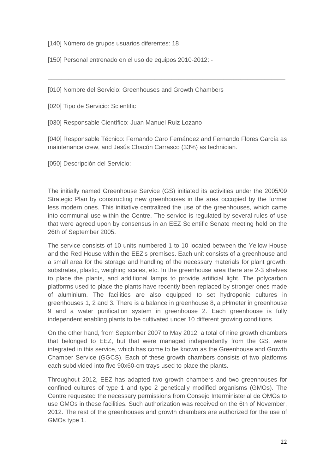[140] Número de grupos usuarios diferentes: 18

[150] Personal entrenado en el uso de equipos 2010-2012: -

[010] Nombre del Servicio: Greenhouses and Growth Chambers

[020] Tipo de Servicio: Scientific

[030] Responsable Científico: Juan Manuel Ruiz Lozano

[040] Responsable Técnico: Fernando Caro Fernández and Fernando Flores García as maintenance crew, and Jesús Chacón Carrasco (33%) as technician.

\_\_\_\_\_\_\_\_\_\_\_\_\_\_\_\_\_\_\_\_\_\_\_\_\_\_\_\_\_\_\_\_\_\_\_\_\_\_\_\_\_\_\_\_\_\_\_\_\_\_\_\_\_\_\_\_\_\_\_\_\_\_\_\_\_\_\_\_\_

[050] Descripción del Servicio:

The initially named Greenhouse Service (GS) initiated its activities under the 2005/09 Strategic Plan by constructing new greenhouses in the area occupied by the former less modern ones. This initiative centralized the use of the greenhouses, which came into communal use within the Centre. The service is regulated by several rules of use that were agreed upon by consensus in an EEZ Scientific Senate meeting held on the 26th of September 2005.

The service consists of 10 units numbered 1 to 10 located between the Yellow House and the Red House within the EEZ's premises. Each unit consists of a greenhouse and a small area for the storage and handling of the necessary materials for plant growth: substrates, plastic, weighing scales, etc. In the greenhouse area there are 2-3 shelves to place the plants, and additional lamps to provide artificial light. The polycarbon platforms used to place the plants have recently been replaced by stronger ones made of aluminium. The facilities are also equipped to set hydroponic cultures in greenhouses 1, 2 and 3. There is a balance in greenhouse 8, a pHmeter in greenhouse 9 and a water purification system in greenhouse 2. Each greenhouse is fully independent enabling plants to be cultivated under 10 different growing conditions.

On the other hand, from September 2007 to May 2012, a total of nine growth chambers that belonged to EEZ, but that were managed independently from the GS, were integrated in this service, which has come to be known as the Greenhouse and Growth Chamber Service (GGCS). Each of these growth chambers consists of two platforms each subdivided into five 90x60-cm trays used to place the plants.

Throughout 2012, EEZ has adapted two growth chambers and two greenhouses for confined cultures of type 1 and type 2 genetically modified organisms (GMOs). The Centre requested the necessary permissions from Consejo Interministerial de OMGs to use GMOs in these facilities. Such authorization was received on the 6th of November, 2012. The rest of the greenhouses and growth chambers are authorized for the use of GMOs type 1.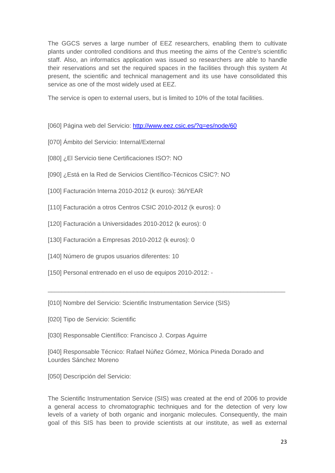The GGCS serves a large number of EEZ researchers, enabling them to cultivate plants under controlled conditions and thus meeting the aims of the Centre's scientific staff. Also, an informatics application was issued so researchers are able to handle their reservations and set the required spaces in the facilities through this system At present, the scientific and technical management and its use have consolidated this service as one of the most widely used at EEZ.

The service is open to external users, but is limited to 10% of the total facilities.

- [060] Página web del Servicio: http://www.eez.csic.es/?q=es/node/60
- [070] Ámbito del Servicio: Internal/External
- [080] ¿El Servicio tiene Certificaciones ISO?: NO
- [090] ¿Está en la Red de Servicios Científico-Técnicos CSIC?: NO
- [100] Facturación Interna 2010-2012 (k euros): 36/YEAR
- [110] Facturación a otros Centros CSIC 2010-2012 (k euros): 0
- [120] Facturación a Universidades 2010-2012 (k euros): 0
- [130] Facturación a Empresas 2010-2012 (k euros): 0
- [140] Número de grupos usuarios diferentes: 10
- [150] Personal entrenado en el uso de equipos 2010-2012: -

[010] Nombre del Servicio: Scientific Instrumentation Service (SIS)

[020] Tipo de Servicio: Scientific

[030] Responsable Científico: Francisco J. Corpas Aguirre

[040] Responsable Técnico: Rafael Núñez Gómez, Mónica Pineda Dorado and Lourdes Sánchez Moreno

\_\_\_\_\_\_\_\_\_\_\_\_\_\_\_\_\_\_\_\_\_\_\_\_\_\_\_\_\_\_\_\_\_\_\_\_\_\_\_\_\_\_\_\_\_\_\_\_\_\_\_\_\_\_\_\_\_\_\_\_\_\_\_\_\_\_\_\_\_

[050] Descripción del Servicio:

The Scientific Instrumentation Service (SIS) was created at the end of 2006 to provide a general access to chromatographic techniques and for the detection of very low levels of a variety of both organic and inorganic molecules. Consequently, the main goal of this SIS has been to provide scientists at our institute, as well as external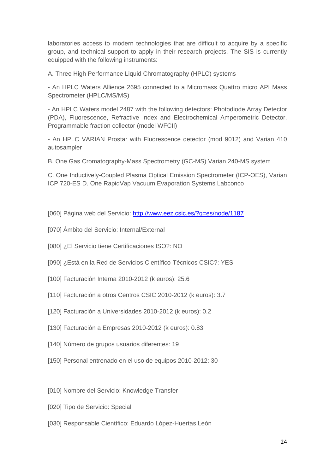laboratories access to modern technologies that are difficult to acquire by a specific group, and technical support to apply in their research projects. The SIS is currently equipped with the following instruments:

A. Three High Performance Liquid Chromatography (HPLC) systems

- An HPLC Waters Allience 2695 connected to a Micromass Quattro micro API Mass Spectrometer (HPLC/MS/MS)

- An HPLC Waters model 2487 with the following detectors: Photodiode Array Detector (PDA), Fluorescence, Refractive Index and Electrochemical Amperometric Detector. Programmable fraction collector (model WFCII)

- An HPLC VARIAN Prostar with Fluorescence detector (mod 9012) and Varian 410 autosampler

B. One Gas Cromatography-Mass Spectrometry (GC-MS) Varian 240-MS system

C. One Inductively-Coupled Plasma Optical Emission Spectrometer (ICP-OES), Varian ICP 720-ES D. One RapidVap Vacuum Evaporation Systems Labconco

[060] Página web del Servicio: http://www.eez.csic.es/?q=es/node/1187

[070] Ámbito del Servicio: Internal/External

[080] ¿El Servicio tiene Certificaciones ISO?: NO

- [090] ¿Está en la Red de Servicios Científico-Técnicos CSIC?: YES
- [100] Facturación Interna 2010-2012 (k euros): 25.6
- [110] Facturación a otros Centros CSIC 2010-2012 (k euros): 3.7
- [120] Facturación a Universidades 2010-2012 (k euros): 0.2
- [130] Facturación a Empresas 2010-2012 (k euros): 0.83
- [140] Número de grupos usuarios diferentes: 19
- [150] Personal entrenado en el uso de equipos 2010-2012: 30

\_\_\_\_\_\_\_\_\_\_\_\_\_\_\_\_\_\_\_\_\_\_\_\_\_\_\_\_\_\_\_\_\_\_\_\_\_\_\_\_\_\_\_\_\_\_\_\_\_\_\_\_\_\_\_\_\_\_\_\_\_\_\_\_\_\_\_\_\_

- [010] Nombre del Servicio: Knowledge Transfer
- [020] Tipo de Servicio: Special
- [030] Responsable Científico: Eduardo López-Huertas León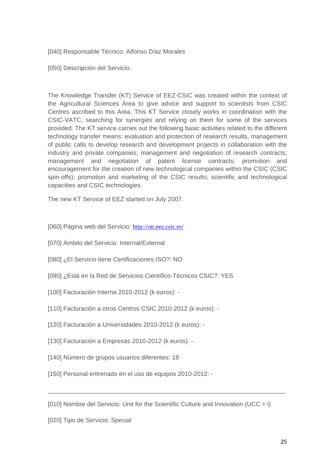[040] Responsable Técnico: Alfonso Díaz Morales

[050] Descripción del Servicio:

The Knowledge Transfer (KT) Service of EEZ-CSIC was created within the context of the Agricultural Sciences Area to give advice and support to scientists from CSIC Centres ascribed to this Area. This KT Service closely works in coordination with the CSIC-VATC, searching for synergies and relying on them for some of the services provided. The KT service carries out the following basic activities related to the different technology transfer means: evaluation and protection of research results, management of public calls to develop research and development projects in collaboration with the industry and private companies; management and negotiation of research contracts; management and negotiation of patent license contracts; promotion and encouragement for the creation of new technological companies within the CSIC (CSIC spin-offs); promotion and marketing of the CSIC results; scientific and technological capacities and CSIC technologies.

The new KT Service of EEZ started on July 2007.

[060] Página web del Servicio: http://ott.eez.csic.es/

- [070] Ámbito del Servicio: Internal/External
- [080] ¿El Servicio tiene Certificaciones ISO?: NO
- [090] ¿Está en la Red de Servicios Científico-Técnicos CSIC?: YES
- [100] Facturación Interna 2010-2012 (k euros): -
- [110] Facturación a otros Centros CSIC 2010-2012 (k euros): -
- [120] Facturación a Universidades 2010-2012 (k euros): -
- [130] Facturación a Empresas 2010-2012 (k euros): -
- [140] Número de grupos usuarios diferentes: 18
- [150] Personal entrenado en el uso de equipos 2010-2012: -

[010] Nombre del Servicio: Unit for the Scientific Culture and Innovation (UCC  $+ i$ )

\_\_\_\_\_\_\_\_\_\_\_\_\_\_\_\_\_\_\_\_\_\_\_\_\_\_\_\_\_\_\_\_\_\_\_\_\_\_\_\_\_\_\_\_\_\_\_\_\_\_\_\_\_\_\_\_\_\_\_\_\_\_\_\_\_\_\_\_\_

[020] Tipo de Servicio: Special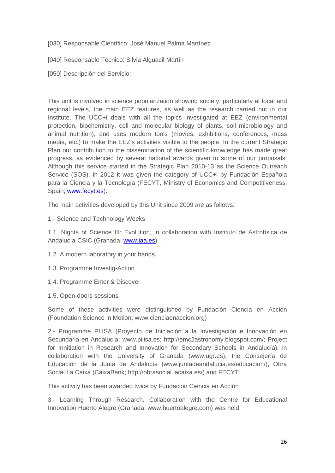[030] Responsable Científico: José Manuel Palma Martínez

[040] Responsable Técnico: Silvia Alguacil Martín

[050] Descripción del Servicio:

This unit is involved in science popularization showing society, particularly at local and regional levels, the main EEZ features, as well as the research carried out in our Institute. The UCC+i deals with all the topics investigated at EEZ (environmental protection, biochemistry, cell and molecular biology of plants, soil microbiology and animal nutrition), and uses modern tools (movies, exhibitions, conferences, mass media, etc.) to make the EEZ's activities visible to the people. In the current Strategic Plan our contribution to the dissemination of the scientific knowledge has made great progress, as evidenced by several national awards given to some of our proposals. Although this service started in the Strategic Plan 2010-13 as the Science Outreach Service (SOS), in 2012 it was given the category of UCC+i by Fundación Española para la Ciencia y la Tecnología (FECYT, Ministry of Economics and Competitiveness, Spain; www.fecyt.es).

The main activities developed by this Unit since 2009 are as follows:

1.- Science and Technology Weeks

1.1. Nights of Science III: Evolution, in collaboration with Instituto de Astrofísica de Andalucía-CSIC (Granada; www.iaa.es)

- 1.2. A modern laboratory in your hands
- 1.3. Programme Investig-Action
- 1.4. Programme Enter & Discover
- 1.5. Open-doors sessions

Some of these activities were distinguished by Fundación Ciencia en Acción (Foundation Science in Motion; www.cienciaenaccion.org)

2.- Programme PIIISA (Proyecto de Iniciación a la Investigación e Innovación en Secundaria en Andalucía; www.piiisa.es; http://emc2astronomy.blogspot.com/; Project for Innitiation in Research and Innovation for Secondary Schools in Andalucía), in collaboration with the University of Granada (www.ugr.es), the Consejería de Educación de la Junta de Andalucía (www.juntadeandalucia.es/educacion/), Obra Social La Caixa (CaixaBank; http://obrasocial.lacaixa.es/) and FECYT

This activity has been awarded twice by Fundación Ciencia en Acción

3.- Learning Through Research. Collaboration with the Centre for Educational Innovation Huerto Alegre (Granada; www.huertoalegre.com) was held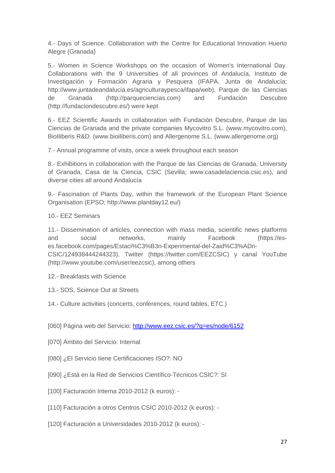4.- Days of Science. Collaboration with the Centre for Educational Innovation Huerto Alegre (Granada)

5.- Women in Science Workshops on the occasion of Women's International Day. Collaborations with the 9 Universities of all provinces of Andalucía, Instituto de Investigación y Formación Agraria y Pesquera (IFAPA, Junta de Andalucía; http://www.juntadeandalucia.es/agriculturaypesca/ifapa/web), Parque de las Ciencias de Granada (http://parqueciencias.com) and Fundación Descubre (http://fundaciondescubre.es/) were kept

6.- EEZ Scientific Awards in collaboration with Fundación Descubre, Parque de las Ciencias de Granada and the private companies Mycovitro S.L. (www.mycovitro.com), BioIliberis R&D. (www.bioiliberis.com) and Allergenome S.L. (www.allergenome.org)

7.- Annual programme of visits, once a week throughout each season

8.- Exhibitions in collaboration with the Parque de las Ciencias de Granada, University of Granada, Casa de la Ciencia, CSIC (Sevilla; www.casadelaciencia.csic.es), and diverse cities all around Andalucía

9.- Fascination of Plants Day, within the framework of the European Plant Science Organisation (EPSO; http://www.plantday12.eu/)

10.- EEZ Seminars

11.- Dissemination of articles, connection with mass media, scientific news platforms and social networks, mainly Facebook (https://eses.facebook.com/pages/Estaci%C3%B3n-Experimental-del-Zaid%C3%ADn-CSIC/124938444244323), Twitter (https://twitter.com/EEZCSIC) y canal YouTube (http://www.youtube.com/user/eezcsic), among others

- 12.- Breakfasts with Science
- 13.- SOS, Science Out at Streets
- 14.- Culture activities (concerts, conferences, round tables, ETC.)

[060] Página web del Servicio: http://www.eez.csic.es/?q=es/node/6152

- [070] Ámbito del Servicio: Internal
- [080] ¿El Servicio tiene Certificaciones ISO?: NO
- [090] ¿Está en la Red de Servicios Científico-Técnicos CSIC?: SI
- [100] Facturación Interna 2010-2012 (k euros): -
- [110] Facturación a otros Centros CSIC 2010-2012 (k euros): -
- [120] Facturación a Universidades 2010-2012 (k euros): -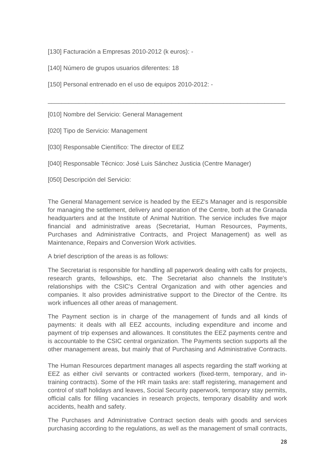- [130] Facturación a Empresas 2010-2012 (k euros): -
- [140] Número de grupos usuarios diferentes: 18
- [150] Personal entrenado en el uso de equipos 2010-2012: -

[010] Nombre del Servicio: General Management

[020] Tipo de Servicio: Management

[030] Responsable Científico: The director of EEZ

[040] Responsable Técnico: José Luis Sánchez Justicia (Centre Manager)

[050] Descripción del Servicio:

The General Management service is headed by the EEZ's Manager and is responsible for managing the settlement, delivery and operation of the Centre, both at the Granada headquarters and at the Institute of Animal Nutrition. The service includes five major financial and administrative areas (Secretariat, Human Resources, Payments, Purchases and Administrative Contracts, and Project Management) as well as Maintenance, Repairs and Conversion Work activities.

\_\_\_\_\_\_\_\_\_\_\_\_\_\_\_\_\_\_\_\_\_\_\_\_\_\_\_\_\_\_\_\_\_\_\_\_\_\_\_\_\_\_\_\_\_\_\_\_\_\_\_\_\_\_\_\_\_\_\_\_\_\_\_\_\_\_\_\_\_

A brief description of the areas is as follows:

The Secretariat is responsible for handling all paperwork dealing with calls for projects, research grants, fellowships, etc. The Secretariat also channels the Institute's relationships with the CSIC's Central Organization and with other agencies and companies. It also provides administrative support to the Director of the Centre. Its work influences all other areas of management.

The Payment section is in charge of the management of funds and all kinds of payments: it deals with all EEZ accounts, including expenditure and income and payment of trip expenses and allowances. It constitutes the EEZ payments centre and is accountable to the CSIC central organization. The Payments section supports all the other management areas, but mainly that of Purchasing and Administrative Contracts.

The Human Resources department manages all aspects regarding the staff working at EEZ as either civil servants or contracted workers (fixed-term, temporary, and intraining contracts). Some of the HR main tasks are: staff registering, management and control of staff holidays and leaves, Social Security paperwork, temporary stay permits, official calls for filling vacancies in research projects, temporary disability and work accidents, health and safety.

The Purchases and Administrative Contract section deals with goods and services purchasing according to the regulations, as well as the management of small contracts,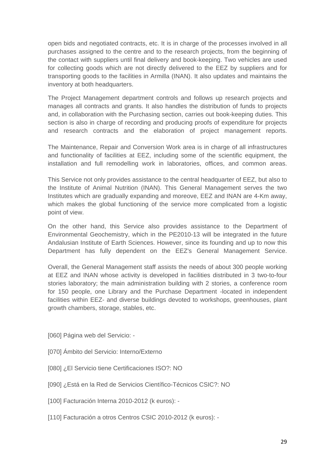open bids and negotiated contracts, etc. It is in charge of the processes involved in all purchases assigned to the centre and to the research projects, from the beginning of the contact with suppliers until final delivery and book-keeping. Two vehicles are used for collecting goods which are not directly delivered to the EEZ by suppliers and for transporting goods to the facilities in Armilla (INAN). It also updates and maintains the inventory at both headquarters.

The Project Management department controls and follows up research projects and manages all contracts and grants. It also handles the distribution of funds to projects and, in collaboration with the Purchasing section, carries out book-keeping duties. This section is also in charge of recording and producing proofs of expenditure for projects and research contracts and the elaboration of project management reports.

The Maintenance, Repair and Conversion Work area is in charge of all infrastructures and functionality of facilities at EEZ, including some of the scientific equipment, the installation and full remodelling work in laboratories, offices, and common areas.

This Service not only provides assistance to the central headquarter of EEZ, but also to the Institute of Animal Nutrition (INAN). This General Management serves the two Institutes which are gradually expanding and moreove, EEZ and INAN are 4-Km away, which makes the global functioning of the service more complicated from a logistic point of view.

On the other hand, this Service also provides assistance to the Department of Environmental Geochemistry, which in the PE2010-13 will be integrated in the future Andalusian Institute of Earth Sciences. However, since its founding and up to now this Department has fully dependent on the EEZ's General Management Service.

Overall, the General Management staff assists the needs of about 300 people working at EEZ and INAN whose activity is developed in facilities distributed in 3 two-to-four stories laboratory; the main administration building with 2 stories, a conference room for 150 people, one Library and the Purchase Department -located in independent facilities within EEZ- and diverse buildings devoted to workshops, greenhouses, plant growth chambers, storage, stables, etc.

- [060] Página web del Servicio: -
- [070] Ámbito del Servicio: Interno/Externo
- [080] ¿El Servicio tiene Certificaciones ISO?: NO
- [090] ¿Está en la Red de Servicios Científico-Técnicos CSIC?: NO
- [100] Facturación Interna 2010-2012 (k euros): -
- [110] Facturación a otros Centros CSIC 2010-2012 (k euros): -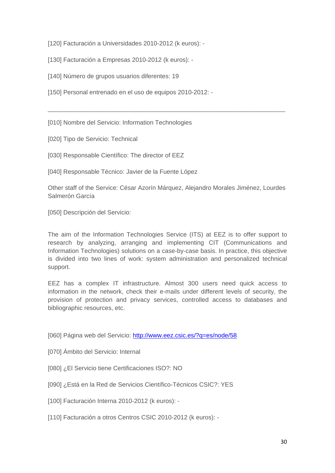[120] Facturación a Universidades 2010-2012 (k euros): -

[130] Facturación a Empresas 2010-2012 (k euros): -

[140] Número de grupos usuarios diferentes: 19

[150] Personal entrenado en el uso de equipos 2010-2012: -

[010] Nombre del Servicio: Information Technologies

[020] Tipo de Servicio: Technical

[030] Responsable Científico: The director of EEZ

[040] Responsable Técnico: Javier de la Fuente López

Other staff of the Service: César Azorín Márquez, Alejandro Morales Jiménez, Lourdes Salmerón García

\_\_\_\_\_\_\_\_\_\_\_\_\_\_\_\_\_\_\_\_\_\_\_\_\_\_\_\_\_\_\_\_\_\_\_\_\_\_\_\_\_\_\_\_\_\_\_\_\_\_\_\_\_\_\_\_\_\_\_\_\_\_\_\_\_\_\_\_\_

[050] Descripción del Servicio:

The aim of the Information Technologies Service (ITS) at EEZ is to offer support to research by analyzing, arranging and implementing CIT (Communications and Information Technologies) solutions on a case-by-case basis. In practice, this objective is divided into two lines of work: system administration and personalized technical support.

EEZ has a complex IT infrastructure. Almost 300 users need quick access to information in the network, check their e-mails under different levels of security, the provision of protection and privacy services, controlled access to databases and bibliographic resources, etc.

[060] Página web del Servicio: http://www.eez.csic.es/?q=es/node/58

[070] Ámbito del Servicio: Internal

[080] ¿El Servicio tiene Certificaciones ISO?: NO

[090] ¿Está en la Red de Servicios Científico-Técnicos CSIC?: YES

[100] Facturación Interna 2010-2012 (k euros): -

[110] Facturación a otros Centros CSIC 2010-2012 (k euros): -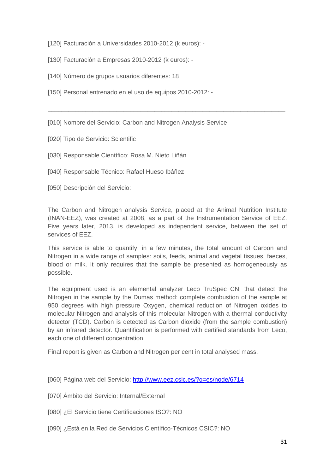[120] Facturación a Universidades 2010-2012 (k euros): -

[130] Facturación a Empresas 2010-2012 (k euros): -

[140] Número de grupos usuarios diferentes: 18

[150] Personal entrenado en el uso de equipos 2010-2012: -

[010] Nombre del Servicio: Carbon and Nitrogen Analysis Service

[020] Tipo de Servicio: Scientific

[030] Responsable Científico: Rosa M. Nieto Liñán

[040] Responsable Técnico: Rafael Hueso Ibáñez

[050] Descripción del Servicio:

The Carbon and Nitrogen analysis Service, placed at the Animal Nutrition Institute (INAN-EEZ), was created at 2008, as a part of the Instrumentation Service of EEZ. Five years later, 2013, is developed as independent service, between the set of services of EEZ.

\_\_\_\_\_\_\_\_\_\_\_\_\_\_\_\_\_\_\_\_\_\_\_\_\_\_\_\_\_\_\_\_\_\_\_\_\_\_\_\_\_\_\_\_\_\_\_\_\_\_\_\_\_\_\_\_\_\_\_\_\_\_\_\_\_\_\_\_\_

This service is able to quantify, in a few minutes, the total amount of Carbon and Nitrogen in a wide range of samples: soils, feeds, animal and vegetal tissues, faeces, blood or milk. It only requires that the sample be presented as homogeneously as possible.

The equipment used is an elemental analyzer Leco TruSpec CN, that detect the Nitrogen in the sample by the Dumas method: complete combustion of the sample at 950 degrees with high pressure Oxygen, chemical reduction of Nitrogen oxides to molecular Nitrogen and analysis of this molecular Nitrogen with a thermal conductivity detector (TCD). Carbon is detected as Carbon dioxide (from the sample combustion) by an infrared detector. Quantification is performed with certified standards from Leco, each one of different concentration.

Final report is given as Carbon and Nitrogen per cent in total analysed mass.

[060] Página web del Servicio: http://www.eez.csic.es/?q=es/node/6714

[070] Ámbito del Servicio: Internal/External

[080] ¿El Servicio tiene Certificaciones ISO?: NO

[090] ¿Está en la Red de Servicios Científico-Técnicos CSIC?: NO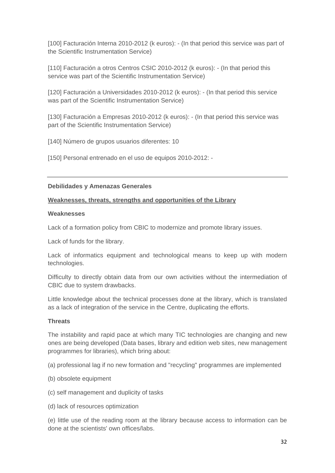[100] Facturación Interna 2010-2012 (k euros): - (In that period this service was part of the Scientific Instrumentation Service)

[110] Facturación a otros Centros CSIC 2010-2012 (k euros): - (In that period this service was part of the Scientific Instrumentation Service)

[120] Facturación a Universidades 2010-2012 (k euros): - (In that period this service was part of the Scientific Instrumentation Service)

[130] Facturación a Empresas 2010-2012 (k euros): - (In that period this service was part of the Scientific Instrumentation Service)

[140] Número de grupos usuarios diferentes: 10

[150] Personal entrenado en el uso de equipos 2010-2012: -

#### **Debilidades y Amenazas Generales**

#### **Weaknesses, threats, strengths and opportunities of the Library**

#### **Weaknesses**

Lack of a formation policy from CBIC to modernize and promote library issues.

Lack of funds for the library.

Lack of informatics equipment and technological means to keep up with modern technologies.

Difficulty to directly obtain data from our own activities without the intermediation of CBIC due to system drawbacks.

Little knowledge about the technical processes done at the library, which is translated as a lack of integration of the service in the Centre, duplicating the efforts.

#### **Threats**

The instability and rapid pace at which many TIC technologies are changing and new ones are being developed (Data bases, library and edition web sites, new management programmes for libraries), which bring about:

(a) professional lag if no new formation and "recycling" programmes are implemented

- (b) obsolete equipment
- (c) self management and duplicity of tasks
- (d) lack of resources optimization

(e) little use of the reading room at the library because access to information can be done at the scientists' own offices/labs.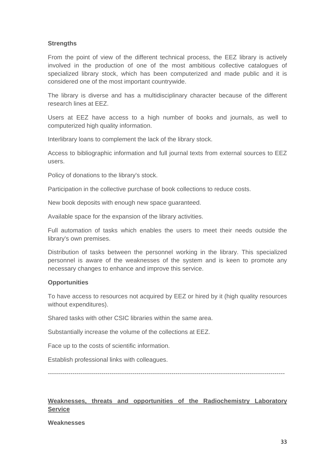#### **Strengths**

From the point of view of the different technical process, the EEZ library is actively involved in the production of one of the most ambitious collective catalogues of specialized library stock, which has been computerized and made public and it is considered one of the most important countrywide.

The library is diverse and has a multidisciplinary character because of the different research lines at EEZ.

Users at EEZ have access to a high number of books and journals, as well to computerized high quality information.

Interlibrary loans to complement the lack of the library stock.

Access to bibliographic information and full journal texts from external sources to EEZ users.

Policy of donations to the library's stock.

Participation in the collective purchase of book collections to reduce costs.

New book deposits with enough new space guaranteed.

Available space for the expansion of the library activities.

Full automation of tasks which enables the users to meet their needs outside the library's own premises.

Distribution of tasks between the personnel working in the library. This specialized personnel is aware of the weaknesses of the system and is keen to promote any necessary changes to enhance and improve this service.

#### **Opportunities**

To have access to resources not acquired by EEZ or hired by it (high quality resources without expenditures).

Shared tasks with other CSIC libraries within the same area.

Substantially increase the volume of the collections at EEZ.

Face up to the costs of scientific information.

Establish professional links with colleagues.

-------------------------------------------------------------------------------------------------------------------

#### **Weaknesses, threats and opportunities of the Radiochemistry Laboratory Service**

#### **Weaknesses**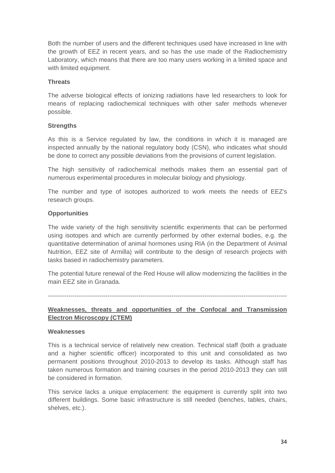Both the number of users and the different techniques used have increased in line with the growth of EEZ in recent years, and so has the use made of the Radiochemistry Laboratory, which means that there are too many users working in a limited space and with limited equipment.

#### **Threats**

The adverse biological effects of ionizing radiations have led researchers to look for means of replacing radiochemical techniques with other safer methods whenever possible.

#### **Strengths**

As this is a Service regulated by law, the conditions in which it is managed are inspected annually by the national regulatory body (CSN), who indicates what should be done to correct any possible deviations from the provisions of current legislation.

The high sensitivity of radiochemical methods makes them an essential part of numerous experimental procedures in molecular biology and physiology.

The number and type of isotopes authorized to work meets the needs of EEZ's research groups.

#### **Opportunities**

The wide variety of the high sensitivity scientific experiments that can be performed using isotopes and which are currently performed by other external bodies, e.g. the quantitative determination of animal hormones using RIA (in the Department of Animal Nutrition, EEZ site of Armilla) will contribute to the design of research projects with tasks based in radiochemistry parameters.

The potential future renewal of the Red House will allow modernizing the facilities in the main EEZ site in Granada.

--------------------------------------------------------------------------------------------------------------------

#### **Weaknesses, threats and opportunities of the Confocal and Transmission Electron Microscopy (CTEM)**

#### **Weaknesses**

This is a technical service of relatively new creation. Technical staff (both a graduate and a higher scientific officer) incorporated to this unit and consolidated as two permanent positions throughout 2010-2013 to develop its tasks. Although staff has taken numerous formation and training courses in the period 2010-2013 they can still be considered in formation.

This service lacks a unique emplacement: the equipment is currently split into two different buildings. Some basic infrastructure is still needed (benches, tables, chairs, shelves, etc.).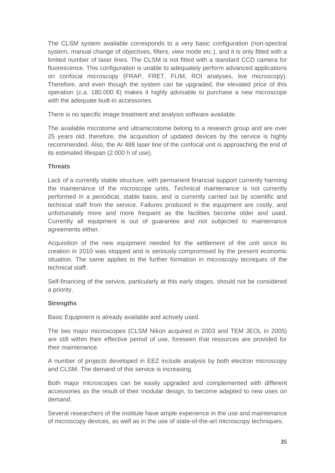The CLSM system available corresponds to a very basic configuration (non-spectral system, manual change of objectives, filters, view mode etc.), and it is only fitted with a limited number of laser lines. The CLSM is not fitted with a standard CCD camera for fluorescence. This configuration is unable to adequately perform advanced applications on confocal microscopy (FRAP, FRET, FLIM, ROI analyses, live microscopy). Therefore, and even though the system can be upgraded, the elevated price of this operation (c.a. 180.000  $\epsilon$ ) makes it highly advisable to purchase a new microscope with the adequate built-in accessories.

There is no specific image treatment and analysis software available.

The available microtome and ultramicrotome belong to a research group and are over 25 years old; therefore, the acquisition of updated devices by the service is highly recommended. Also, the Ar 488 laser line of the confocal unit is approaching the end of its estimated lifespan (2.000 h of use).

#### **Threats**

Lack of a currently stable structure, with permanent financial support currently harming the maintenance of the microscope units. Technical maintenance is not currently performed in a periodical, stable basis, and is currently carried out by scientific and technical staff from the service. Failures produced in the equipment are costly, and unfortunately more and more frequent as the facilities become older and used. Currently all equipment is out of guarantee and not subjected to maintenance agreements either.

Acquisition of the new equipment needed for the settlement of the unit since its creation in 2010 was stopped and is seriously compromised by the present economic situation. The same applies to the further formation in microscopy tecniques of the technical staff.

Self-financing of the service, particularly at this early stages, should not be considered a priority.

#### **Strengths**

Basic Equipment is already available and actively used.

The two major microscopes (CLSM Nikon acquired in 2003 and TEM JEOL in 2005) are still within their effective period of use, foreseen that resources are provided for their maintenance.

A number of projects developed in EEZ include analysis by both electron microscopy and CLSM. The demand of this service is increasing.

Both major microscopes can be easily upgraded and complemented with different accessories as the result of their modular design, to become adapted to new uses on demand.

Several researchers of the institute have ample experience in the use and maintenance of microscopy devices, as well as in the use of state-of-the-art microscopy techniques.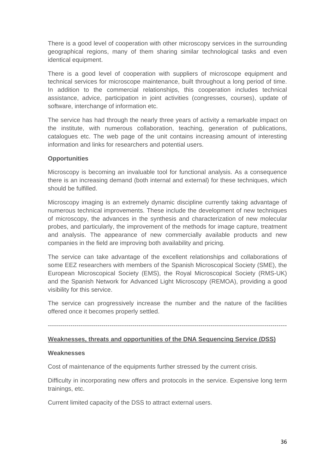There is a good level of cooperation with other microscopy services in the surrounding geographical regions, many of them sharing similar technological tasks and even identical equipment.

There is a good level of cooperation with suppliers of microscope equipment and technical services for microscope maintenance, built throughout a long period of time. In addition to the commercial relationships, this cooperation includes technical assistance, advice, participation in joint activities (congresses, courses), update of software, interchange of information etc.

The service has had through the nearly three years of activity a remarkable impact on the institute, with numerous collaboration, teaching, generation of publications, catalogues etc. The web page of the unit contains increasing amount of interesting information and links for researchers and potential users.

### **Opportunities**

Microscopy is becoming an invaluable tool for functional analysis. As a consequence there is an increasing demand (both internal and external) for these techniques, which should be fulfilled.

Microscopy imaging is an extremely dynamic discipline currently taking advantage of numerous technical improvements. These include the development of new techniques of microscopy, the advances in the synthesis and characterization of new molecular probes, and particularly, the improvement of the methods for image capture, treatment and analysis. The appearance of new commercially available products and new companies in the field are improving both availability and pricing.

The service can take advantage of the excellent relationships and collaborations of some EEZ researchers with members of the Spanish Microscopical Society (SME), the European Microscopical Society (EMS), the Royal Microscopical Society (RMS-UK) and the Spanish Network for Advanced Light Microscopy (REMOA), providing a good visibility for this service.

The service can progressively increase the number and the nature of the facilities offered once it becomes properly settled.

#### --------------------------------------------------------------------------------------------------------------------

### **Weaknesses, threats and opportunities of the DNA Sequencing Service (DSS)**

### **Weaknesses**

Cost of maintenance of the equipments further stressed by the current crisis.

Difficulty in incorporating new offers and protocols in the service. Expensive long term trainings, etc.

Current limited capacity of the DSS to attract external users.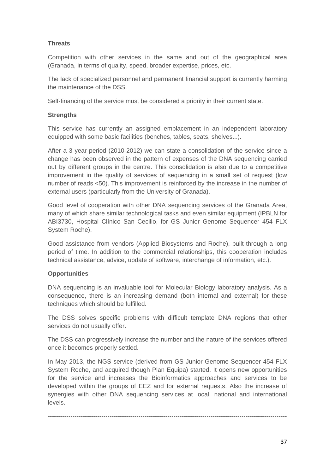# **Threats**

Competition with other services in the same and out of the geographical area (Granada, in terms of quality, speed, broader expertise, prices, etc.

The lack of specialized personnel and permanent financial support is currently harming the maintenance of the DSS.

Self-financing of the service must be considered a priority in their current state.

## **Strengths**

This service has currently an assigned emplacement in an independent laboratory equipped with some basic facilities (benches, tables, seats, shelves...).

After a 3 year period (2010-2012) we can state a consolidation of the service since a change has been observed in the pattern of expenses of the DNA sequencing carried out by different groups in the centre. This consolidation is also due to a competitive improvement in the quality of services of sequencing in a small set of request (low number of reads <50). This improvement is reinforced by the increase in the number of external users (particularly from the University of Granada).

Good level of cooperation with other DNA sequencing services of the Granada Area, many of which share similar technological tasks and even similar equipment (IPBLN for ABI3730, Hospital Clínico San Cecilio, for GS Junior Genome Sequencer 454 FLX System Roche).

Good assistance from vendors (Applied Biosystems and Roche), built through a long period of time. In addition to the commercial relationships, this cooperation includes technical assistance, advice, update of software, interchange of information, etc.).

## **Opportunities**

DNA sequencing is an invaluable tool for Molecular Biology laboratory analysis. As a consequence, there is an increasing demand (both internal and external) for these techniques which should be fulfilled.

The DSS solves specific problems with difficult template DNA regions that other services do not usually offer.

The DSS can progressively increase the number and the nature of the services offered once it becomes properly settled.

In May 2013, the NGS service (derived from GS Junior Genome Sequencer 454 FLX System Roche, and acquired though Plan Equipa) started. It opens new opportunities for the service and increases the Bioinformatics approaches and services to be developed within the groups of EEZ and for external requests. Also the increase of synergies with other DNA sequencing services at local, national and international levels.

--------------------------------------------------------------------------------------------------------------------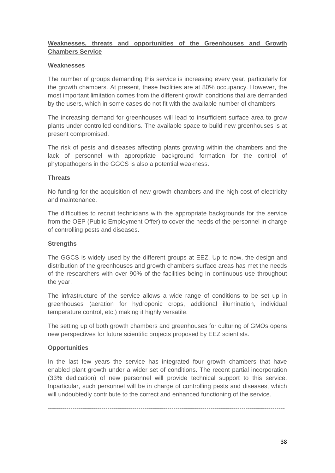# **Weaknesses, threats and opportunities of the Greenhouses and Growth Chambers Service**

### **Weaknesses**

The number of groups demanding this service is increasing every year, particularly for the growth chambers. At present, these facilities are at 80% occupancy. However, the most important limitation comes from the different growth conditions that are demanded by the users, which in some cases do not fit with the available number of chambers.

The increasing demand for greenhouses will lead to insufficient surface area to grow plants under controlled conditions. The available space to build new greenhouses is at present compromised.

The risk of pests and diseases affecting plants growing within the chambers and the lack of personnel with appropriate background formation for the control of phytopathogens in the GGCS is also a potential weakness.

#### **Threats**

No funding for the acquisition of new growth chambers and the high cost of electricity and maintenance.

The difficulties to recruit technicians with the appropriate backgrounds for the service from the OEP (Public Employment Offer) to cover the needs of the personnel in charge of controlling pests and diseases.

### **Strengths**

The GGCS is widely used by the different groups at EEZ. Up to now, the design and distribution of the greenhouses and growth chambers surface areas has met the needs of the researchers with over 90% of the facilities being in continuous use throughout the year.

The infrastructure of the service allows a wide range of conditions to be set up in greenhouses (aeration for hydroponic crops, additional illumination, individual temperature control, etc.) making it highly versatile.

The setting up of both growth chambers and greenhouses for culturing of GMOs opens new perspectives for future scientific projects proposed by EEZ scientists.

### **Opportunities**

In the last few years the service has integrated four growth chambers that have enabled plant growth under a wider set of conditions. The recent partial incorporation (33% dedication) of new personnel will provide technical support to this service. Inparticular, such personnel will be in charge of controlling pests and diseases, which will undoubtedly contribute to the correct and enhanced functioning of the service.

-------------------------------------------------------------------------------------------------------------------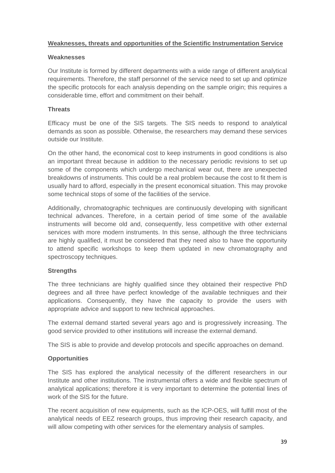## **Weaknesses, threats and opportunities of the Scientific Instrumentation Service**

#### **Weaknesses**

Our Institute is formed by different departments with a wide range of different analytical requirements. Therefore, the staff personnel of the service need to set up and optimize the specific protocols for each analysis depending on the sample origin; this requires a considerable time, effort and commitment on their behalf.

#### **Threats**

Efficacy must be one of the SIS targets. The SIS needs to respond to analytical demands as soon as possible. Otherwise, the researchers may demand these services outside our Institute.

On the other hand, the economical cost to keep instruments in good conditions is also an important threat because in addition to the necessary periodic revisions to set up some of the components which undergo mechanical wear out, there are unexpected breakdowns of instruments. This could be a real problem because the cost to fit them is usually hard to afford, especially in the present economical situation. This may provoke some technical stops of some of the facilities of the service.

Additionally, chromatographic techniques are continuously developing with significant technical advances. Therefore, in a certain period of time some of the available instruments will become old and, consequently, less competitive with other external services with more modern instruments. In this sense, although the three technicians are highly qualified, it must be considered that they need also to have the opportunity to attend specific workshops to keep them updated in new chromatography and spectroscopy techniques.

### **Strengths**

The three technicians are highly qualified since they obtained their respective PhD degrees and all three have perfect knowledge of the available techniques and their applications. Consequently, they have the capacity to provide the users with appropriate advice and support to new technical approaches.

The external demand started several years ago and is progressively increasing. The good service provided to other institutions will increase the external demand.

The SIS is able to provide and develop protocols and specific approaches on demand.

### **Opportunities**

The SIS has explored the analytical necessity of the different researchers in our Institute and other institutions. The instrumental offers a wide and flexible spectrum of analytical applications; therefore it is very important to determine the potential lines of work of the SIS for the future.

The recent acquisition of new equipments, such as the ICP-OES, will fulfill most of the analytical needs of EEZ research groups, thus improving their research capacity, and will allow competing with other services for the elementary analysis of samples.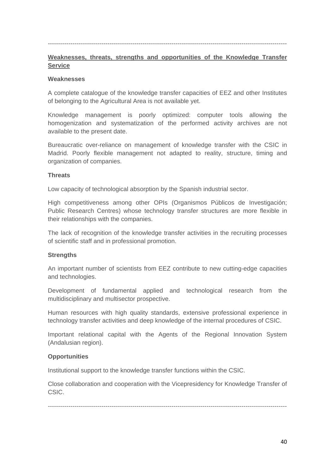### --------------------------------------------------------------------------------------------------------------------

### **Weaknesses, threats, strengths and opportunities of the Knowledge Transfer Service**

#### **Weaknesses**

A complete catalogue of the knowledge transfer capacities of EEZ and other Institutes of belonging to the Agricultural Area is not available yet.

Knowledge management is poorly optimized: computer tools allowing the homogenization and systematization of the performed activity archives are not available to the present date.

Bureaucratic over-reliance on management of knowledge transfer with the CSIC in Madrid. Poorly flexible management not adapted to reality, structure, timing and organization of companies.

#### **Threats**

Low capacity of technological absorption by the Spanish industrial sector.

High competitiveness among other OPIs (Organismos Públicos de Investigación; Public Research Centres) whose technology transfer structures are more flexible in their relationships with the companies.

The lack of recognition of the knowledge transfer activities in the recruiting processes of scientific staff and in professional promotion.

#### **Strengths**

An important number of scientists from EEZ contribute to new cutting-edge capacities and technologies.

Development of fundamental applied and technological research from the multidisciplinary and multisector prospective.

Human resources with high quality standards, extensive professional experience in technology transfer activities and deep knowledge of the internal procedures of CSIC.

Important relational capital with the Agents of the Regional Innovation System (Andalusian region).

### **Opportunities**

Institutional support to the knowledge transfer functions within the CSIC.

Close collaboration and cooperation with the Vicepresidency for Knowledge Transfer of CSIC.

--------------------------------------------------------------------------------------------------------------------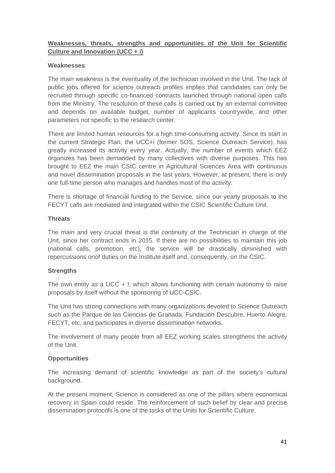# **Weaknesses, threats, strengths and opportunities of the Unit for Scientific Culture and Innovation (UCC + i)**

### **Weaknesses**

The main weakness is the eventuality of the technician involved in the Unit. The lack of public jobs offered for science outreach profiles implies that candidates can only be recruited through specific co-financed contracts launched through national open calls from the Ministry. The resolution of these calls is carried out by an external committee and depends on available budget, number of applicants countrywide, and other parameters not specific to the research center.

There are limited human resources for a high time-consuming activity. Since its start in the current Strategic Plan, the UCC+i (former SOS, Science Outreach Service), has greatly increased its activity every year. Actually, the number of events which EEZ organizes has been demanded by many collectives with diverse purposes. This has brought to EEZ the main CSIC centre in Agricultural Sciences Area with continuous and novel dissemination proposals in the last years. However, at present, there is only one full-time person who manages and handles most of the activity.

There is shortage of financial funding to the Service, since our yearly proposals to the FECYT calls are mediated and integrated within the CSIC Scientific Culture Unit.

### **Threats**

The main and very crucial threat is the continuity of the Technician in charge of the Unit, since her contract ends in 2015. If there are no possibilities to maintain this job (national calls, promotion, etc), the service will be drastically diminished with repercussions onof duties on the Institute itself and, consequently, on the CSIC.

## **Strengths**

The own entity as a UCC  $+$  I, which allows functioning with certain autonomy to raise proposals by itself without the sponsoring of UCC-CSIC.

The Unit has strong connections with many organizations devoted to Science Outreach such as the Parque de las Ciencias de Granada, Fundación Descubre, Huerto Alegre, FECYT, etc. and participates in diverse dissemination networks.

The involvement of many people from all EEZ working scales strengthens the activity of the Unit.

## **Opportunities**

The increasing demand of scientific knowledge as part of the society's cultural background.

At the present moment, Science is considered as one of the pillars where economical recovery in Spain could reside. The reinforcement of such belief by clear and precise dissemination protocols is one of the tasks of the Units for Scientific Culture.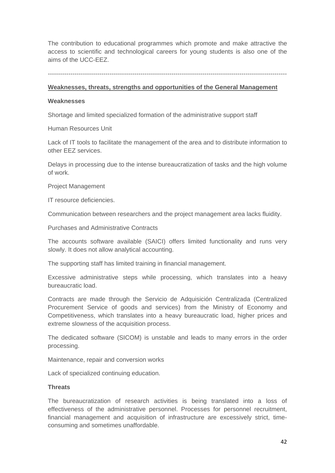The contribution to educational programmes which promote and make attractive the access to scientific and technological careers for young students is also one of the aims of the UCC-EEZ.

--------------------------------------------------------------------------------------------------------------------

### **Weaknesses, threats, strengths and opportunities of the General Management**

### **Weaknesses**

Shortage and limited specialized formation of the administrative support staff

Human Resources Unit

Lack of IT tools to facilitate the management of the area and to distribute information to other EEZ services.

Delays in processing due to the intense bureaucratization of tasks and the high volume of work.

Project Management

IT resource deficiencies.

Communication between researchers and the project management area lacks fluidity.

Purchases and Administrative Contracts

The accounts software available (SAICI) offers limited functionality and runs very slowly. It does not allow analytical accounting.

The supporting staff has limited training in financial management.

Excessive administrative steps while processing, which translates into a heavy bureaucratic load.

Contracts are made through the Servicio de Adquisición Centralizada (Centralized Procurement Service of goods and services) from the Ministry of Economy and Competitiveness, which translates into a heavy bureaucratic load, higher prices and extreme slowness of the acquisition process.

The dedicated software (SICOM) is unstable and leads to many errors in the order processing.

Maintenance, repair and conversion works

Lack of specialized continuing education.

### **Threats**

The bureaucratization of research activities is being translated into a loss of effectiveness of the administrative personnel. Processes for personnel recruitment, financial management and acquisition of infrastructure are excessively strict, timeconsuming and sometimes unaffordable.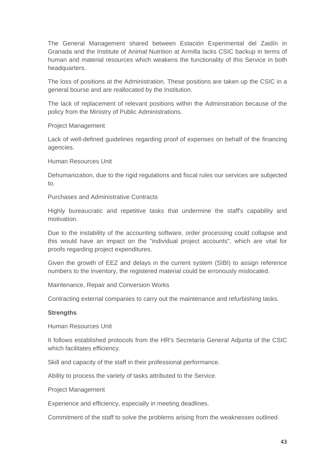The General Management shared between Estación Experimental del Zaidín in Granada and the Institute of Animal Nutrition at Armilla lacks CSIC backup in terms of human and material resources which weakens the functionality of this Service in both headquarters.

The loss of positions at the Administration. These positions are taken up the CSIC in a general bourse and are reallocated by the Institution.

The lack of replacement of relevant positions within the Adminstration because of the policy from the Ministry of Public Administrations.

Project Management

Lack of well-defined guidelines regarding proof of expenses on behalf of the financing agencies.

Human Resources Unit

Dehumanization, due to the rigid regulations and fiscal rules our services are subjected to.

Purchases and Administrative Contracts

Highly bureaucratic and repetitive tasks that undermine the staff's capability and motivation.

Due to the instability of the accounting software, order processing could collapse and this would have an impact on the "individual project accounts", which are vital for proofs regarding project expenditures.

Given the growth of EEZ and delays in the current system (SIBI) to assign reference numbers to the inventory, the registered material could be erronously mislocated.

Maintenance, Repair and Conversion Works

Contracting external companies to carry out the maintenance and refurbishing tasks.

### **Strengths**

Human Resources Unit

It follows established protocols from the HR's Secretaría General Adjunta of the CSIC which facilitates efficiency.

Skill and capacity of the staff in their professional performance.

Ability to process the variety of tasks attributed to the Service.

Project Management

Experience and efficiency, especially in meeting deadlines.

Commitment of the staff to solve the problems arising from the weaknesses outlined.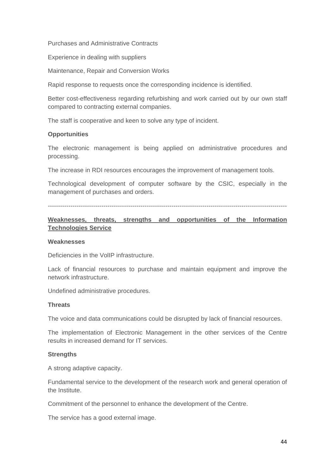Purchases and Administrative Contracts

Experience in dealing with suppliers

Maintenance, Repair and Conversion Works

Rapid response to requests once the corresponding incidence is identified.

Better cost-effectiveness regarding refurbishing and work carried out by our own staff compared to contracting external companies.

The staff is cooperative and keen to solve any type of incident.

### **Opportunities**

The electronic management is being applied on administrative procedures and processing.

The increase in RDI resources encourages the improvement of management tools.

Technological development of computer software by the CSIC, especially in the management of purchases and orders.

--------------------------------------------------------------------------------------------------------------------

### **Weaknesses, threats, strengths and opportunities of the Information Technologies Service**

#### **Weaknesses**

Deficiencies in the VolIP infrastructure.

Lack of financial resources to purchase and maintain equipment and improve the network infrastructure.

Undefined administrative procedures.

#### **Threats**

The voice and data communications could be disrupted by lack of financial resources.

The implementation of Electronic Management in the other services of the Centre results in increased demand for IT services.

#### **Strengths**

A strong adaptive capacity.

Fundamental service to the development of the research work and general operation of the Institute.

Commitment of the personnel to enhance the development of the Centre.

The service has a good external image.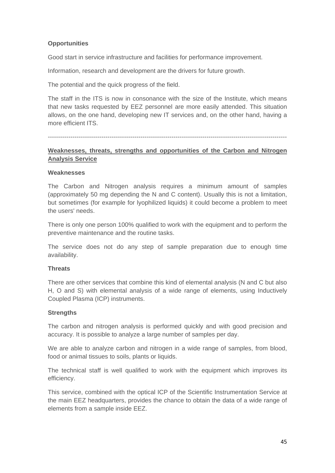# **Opportunities**

Good start in service infrastructure and facilities for performance improvement.

Information, research and development are the drivers for future growth.

The potential and the quick progress of the field.

The staff in the ITS is now in consonance with the size of the Institute, which means that new tasks requested by EEZ personnel are more easily attended. This situation allows, on the one hand, developing new IT services and, on the other hand, having a more efficient ITS.

--------------------------------------------------------------------------------------------------------------------

### **Weaknesses, threats, strengths and opportunities of the Carbon and Nitrogen Analysis Service**

### **Weaknesses**

The Carbon and Nitrogen analysis requires a minimum amount of samples (approximately 50 mg depending the N and C content). Usually this is not a limitation, but sometimes (for example for lyophilized liquids) it could become a problem to meet the users' needs.

There is only one person 100% qualified to work with the equipment and to perform the preventive maintenance and the routine tasks.

The service does not do any step of sample preparation due to enough time availability.

### **Threats**

There are other services that combine this kind of elemental analysis (N and C but also H, O and S) with elemental analysis of a wide range of elements, using Inductively Coupled Plasma (ICP) instruments.

### **Strengths**

The carbon and nitrogen analysis is performed quickly and with good precision and accuracy. It is possible to analyze a large number of samples per day.

We are able to analyze carbon and nitrogen in a wide range of samples, from blood, food or animal tissues to soils, plants or liquids.

The technical staff is well qualified to work with the equipment which improves its efficiency.

This service, combined with the optical ICP of the Scientific Instrumentation Service at the main EEZ headquarters, provides the chance to obtain the data of a wide range of elements from a sample inside EEZ.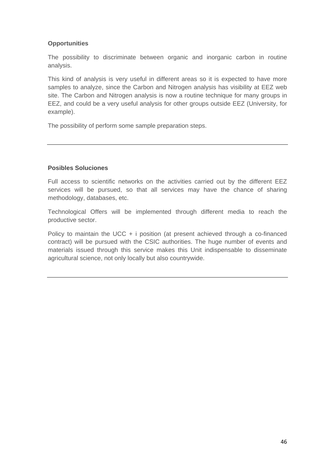# **Opportunities**

The possibility to discriminate between organic and inorganic carbon in routine analysis.

This kind of analysis is very useful in different areas so it is expected to have more samples to analyze, since the Carbon and Nitrogen analysis has visibility at EEZ web site. The Carbon and Nitrogen analysis is now a routine technique for many groups in EEZ, and could be a very useful analysis for other groups outside EEZ (University, for example).

The possibility of perform some sample preparation steps.

## **Posibles Soluciones**

Full access to scientific networks on the activities carried out by the different EEZ services will be pursued, so that all services may have the chance of sharing methodology, databases, etc.

Technological Offers will be implemented through different media to reach the productive sector.

Policy to maintain the UCC  $+$  i position (at present achieved through a co-financed contract) will be pursued with the CSIC authorities. The huge number of events and materials issued through this service makes this Unit indispensable to disseminate agricultural science, not only locally but also countrywide.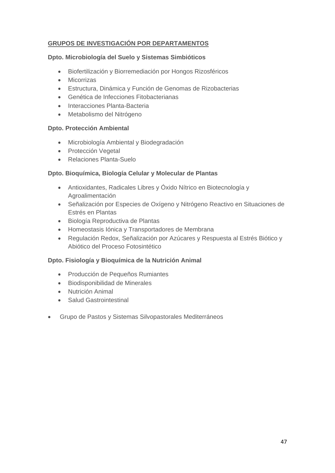# **GRUPOS DE INVESTIGACIÓN POR DEPARTAMENTOS**

### **Dpto. Microbiología del Suelo y Sistemas Simbióticos**

- Biofertilización y Biorremediación por Hongos Rizosféricos
- Micorrizas
- Estructura, Dinámica y Función de Genomas de Rizobacterias
- Genética de Infecciones Fitobacterianas
- Interacciones Planta-Bacteria
- Metabolismo del Nitrógeno

### **Dpto. Protección Ambiental**

- Microbiología Ambiental y Biodegradación
- Protección Vegetal
- Relaciones Planta-Suelo

### **Dpto. Bioquímica, Biología Celular y Molecular de Plantas**

- Antioxidantes, Radicales Libres y Óxido Nítrico en Biotecnología y Agroalimentación
- Señalización por Especies de Oxígeno y Nitrógeno Reactivo en Situaciones de Estrés en Plantas
- Biología Reproductiva de Plantas
- Homeostasis Iónica y Transportadores de Membrana
- Regulación Redox, Señalización por Azúcares y Respuesta al Estrés Biótico y Abiótico del Proceso Fotosintético

### **Dpto. Fisiología y Bioquímica de la Nutrición Animal**

- Producción de Pequeños Rumiantes
- Biodisponibilidad de Minerales
- Nutrición Animal
- Salud Gastrointestinal
- Grupo de Pastos y Sistemas Silvopastorales Mediterráneos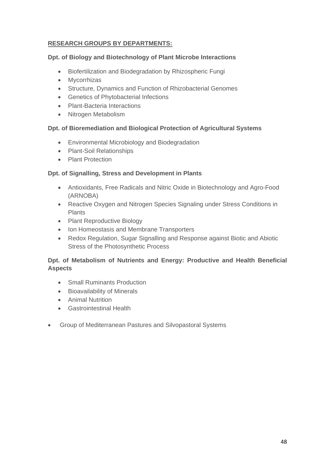# **RESEARCH GROUPS BY DEPARTMENTS:**

### **Dpt. of Biology and Biotechnology of Plant Microbe Interactions**

- Biofertilization and Biodegradation by Rhizospheric Fungi
- Mycorrhizas
- Structure, Dynamics and Function of Rhizobacterial Genomes
- Genetics of Phytobacterial Infections
- Plant-Bacteria Interactions
- Nitrogen Metabolism

## **Dpt. of Bioremediation and Biological Protection of Agricultural Systems**

- Environmental Microbiology and Biodegradation
- Plant-Soil Relationships
- Plant Protection

## **Dpt. of Signalling, Stress and Development in Plants**

- Antioxidants, Free Radicals and Nitric Oxide in Biotechnology and Agro-Food (ARNOBA)
- Reactive Oxygen and Nitrogen Species Signaling under Stress Conditions in Plants
- Plant Reproductive Biology
- Ion Homeostasis and Membrane Transporters
- Redox Regulation, Sugar Signalling and Response against Biotic and Abiotic Stress of the Photosynthetic Process

## **Dpt. of Metabolism of Nutrients and Energy: Productive and Health Beneficial Aspects**

- Small Ruminants Production
- Bioavailability of Minerals
- Animal Nutrition
- Gastrointestinal Health
- Group of Mediterranean Pastures and Silvopastoral Systems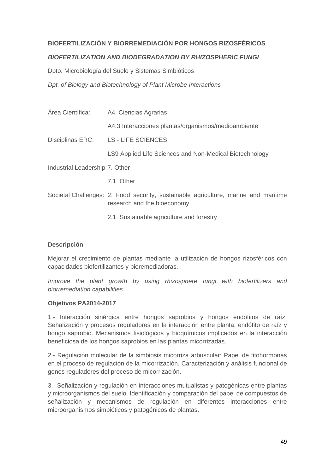# **BIOFERTILIZACIÓN Y BIORREMEDIACIÓN POR HONGOS RIZOSFÉRICOS**

### *BIOFERTILIZATION AND BIODEGRADATION BY RHIZOSPHERIC FUNGI*

Dpto. Microbiología del Suelo y Sistemas Simbióticos

*Dpt. of Biology and Biotechnology of Plant Microbe Interactions* 

| Área Científica:                | A4. Ciencias Agrarias                                   |
|---------------------------------|---------------------------------------------------------|
|                                 | A4.3 Interacciones plantas/organismos/medioambiente     |
| Disciplinas ERC:                | <b>LS - LIFE SCIENCES</b>                               |
|                                 | LS9 Applied Life Sciences and Non-Medical Biotechnology |
| Industrial Leadership: 7. Other |                                                         |
|                                 | 7.1. Other                                              |
|                                 |                                                         |

- Societal Challenges: 2. Food security, sustainable agriculture, marine and maritime research and the bioeconomy
	- 2.1. Sustainable agriculture and forestry

### **Descripción**

Mejorar el crecimiento de plantas mediante la utilización de hongos rizosféricos con capacidades biofertilizantes y bioremediadoras.

*Improve the plant growth by using rhizosphere fungi with biofertilizers and biorremediation capabilities.* 

### **Objetivos PA2014-2017**

1.- Interacción sinérgica entre hongos saprobios y hongos endófitos de raíz: Señalización y procesos reguladores en la interacción entre planta, endófito de raíz y hongo saprobio. Mecanismos fisiológicos y bioquímicos implicados en la interacción beneficiosa de los hongos saprobios en las plantas micorrizadas.

2.- Regulación molecular de la simbiosis micorriza arbuscular: Papel de fitohormonas en el proceso de regulación de la micorrización. Caracterización y análisis funcional de genes reguladores del proceso de micorrización.

3.- Señalización y regulación en interacciones mutualistas y patogénicas entre plantas y microorganismos del suelo. Identificación y comparación del papel de compuestos de señalización y mecanismos de regulación en diferentes interacciones entre microorganismos simbióticos y patogénicos de plantas.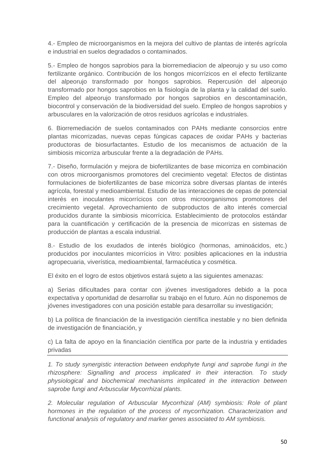4.- Empleo de microorganismos en la mejora del cultivo de plantas de interés agrícola e industrial en suelos degradados o contaminados.

5.- Empleo de hongos saprobios para la biorremediacion de alpeorujo y su uso como fertilizante orgánico. Contribución de los hongos micorrízicos en el efecto fertilizante del alpeorujo transformado por hongos saprobios. Repercusión del alpeorujo transformado por hongos saprobios en la fisiología de la planta y la calidad del suelo. Empleo del alpeorujo transformado por hongos saprobios en descontaminación, biocontrol y conservación de la biodiversidad del suelo. Empleo de hongos saprobios y arbusculares en la valorización de otros residuos agrícolas e industriales.

6. Biorremediación de suelos contaminados con PAHs mediante consorcios entre plantas micorrizadas, nuevas cepas fúngicas capaces de oxidar PAHs y bacterias productoras de biosurfactantes. Estudio de los mecanismos de actuación de la simbiosis micorriza arbuscular frente a la degradación de PAHs.

7.- Diseño, formulación y mejora de biofertilizantes de base micorriza en combinación con otros microorganismos promotores del crecimiento vegetal: Efectos de distintas formulaciones de biofertilizantes de base micorriza sobre diversas plantas de interés agrícola, forestal y medioambiental. Estudio de las interacciones de cepas de potencial interés en inoculantes micorrícicos con otros microorganismos promotores del crecimiento vegetal. Aprovechamiento de subproductos de alto interés comercial producidos durante la simbiosis micorrícica. Establecimiento de protocolos estándar para la cuantificación y certificación de la presencia de micorrizas en sistemas de producción de plantas a escala industrial.

8.- Estudio de los exudados de interés biológico (hormonas, aminoácidos, etc.) producidos por inoculantes micorrícios in Vitro: posibles aplicaciones en la industria agropecuaria, viverística, medioambiental, farmacéutica y cosmética.

El éxito en el logro de estos objetivos estará sujeto a las siguientes amenazas:

a) Serias dificultades para contar con jóvenes investigadores debido a la poca expectativa y oportunidad de desarrollar su trabajo en el futuro. Aún no disponemos de jóvenes investigadores con una posición estable para desarrollar su investigación;

b) La política de financiación de la investigación científica inestable y no bien definida de investigación de financiación, y

c) La falta de apoyo en la financiación científica por parte de la industria y entidades privadas

*1. To study synergistic interaction between endophyte fungi and saprobe fungi in the rhizosphere: Signalling and process implicated in their interaction. To study physiological and biochemical mechanisms implicated in the interaction between saprobe fungi and Arbuscular Mycorrhizal plants.* 

*2. Molecular regulation of Arbuscular Mycorrhizal (AM) symbiosis: Role of plant hormones in the regulation of the process of mycorrhization. Characterization and functional analysis of regulatory and marker genes associated to AM symbiosis.*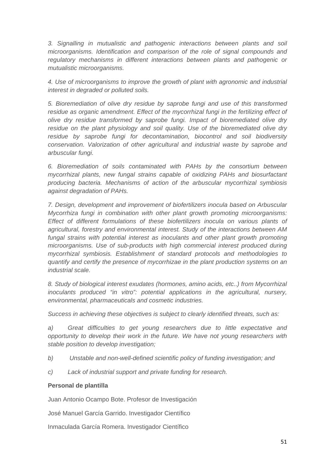*3. Signalling in mutualistic and pathogenic interactions between plants and soil microorganisms. Identification and comparison of the role of signal compounds and regulatory mechanisms in different interactions between plants and pathogenic or mutualistic microorganisms.* 

*4. Use of microorganisms to improve the growth of plant with agronomic and industrial interest in degraded or polluted soils.* 

*5. Bioremediation of olive dry residue by saprobe fungi and use of this transformed*  residue as organic amendment. Effect of the mycorrhizal fungi in the fertilizing effect of *olive dry residue transformed by saprobe fungi. Impact of bioremediated olive dry residue on the plant physiology and soil quality. Use of the bioremediated olive dry residue by saprobe fungi for decontamination, biocontrol and soil biodiversity conservation. Valorization of other agricultural and industrial waste by saprobe and arbuscular fungi.* 

*6. Bioremediation of soils contaminated with PAHs by the consortium between mycorrhizal plants, new fungal strains capable of oxidizing PAHs and biosurfactant producing bacteria. Mechanisms of action of the arbuscular mycorrhizal symbiosis against degradation of PAHs.* 

*7. Design, development and improvement of biofertilizers inocula based on Arbuscular Mycorrhiza fungi in combination with other plant growth promoting microorganisms: Effect of different formulations of these biofertilizers inocula on various plants of agricultural, forestry and environmental interest. Study of the interactions between AM*  fungal strains with potential interest as inoculants and other plant growth promoting *microorganisms. Use of sub-products with high commercial interest produced during mycorrhizal symbiosis. Establishment of standard protocols and methodologies to quantify and certify the presence of mycorrhizae in the plant production systems on an industrial scale.* 

*8. Study of biological interest exudates (hormones, amino acids, etc..) from Mycorrhizal inoculants produced "in vitro": potential applications in the agricultural, nursery, environmental, pharmaceuticals and cosmetic industries.* 

*Success in achieving these objectives is subject to clearly identified threats, such as:* 

*a) Great difficulties to get young researchers due to little expectative and opportunity to develop their work in the future. We have not young researchers with stable position to develop investigation;* 

- *b) Unstable and non-well-defined scientific policy of funding investigation; and*
- *c) Lack of industrial support and private funding for research.*

### **Personal de plantilla**

Juan Antonio Ocampo Bote. Profesor de Investigación

José Manuel García Garrido. Investigador Científico

Inmaculada García Romera. Investigador Científico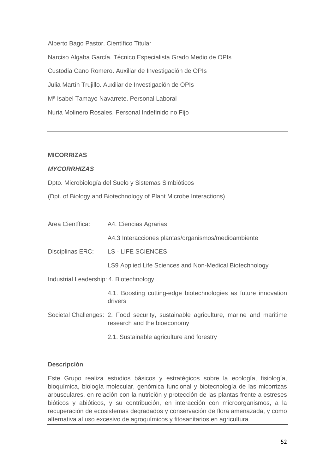Alberto Bago Pastor. Científico Titular Narciso Algaba García. Técnico Especialista Grado Medio de OPIs Custodia Cano Romero. Auxiliar de Investigación de OPIs Julia Martín Trujillo. Auxiliar de Investigación de OPIs Mª Isabel Tamayo Navarrete. Personal Laboral Nuria Molinero Rosales. Personal Indefinido no Fijo

#### **MICORRIZAS**

### *MYCORRHIZAS*

Dpto. Microbiología del Suelo y Sistemas Simbióticos

(Dpt. of Biology and Biotechnology of Plant Microbe Interactions)

|                                         | Área Científica: A4. Ciencias Agrarias                                                                             |
|-----------------------------------------|--------------------------------------------------------------------------------------------------------------------|
|                                         | A4.3 Interacciones plantas/organismos/medioambiente                                                                |
| Disciplinas ERC:                        | <b>LS - LIFE SCIENCES</b>                                                                                          |
|                                         | LS9 Applied Life Sciences and Non-Medical Biotechnology                                                            |
| Industrial Leadership: 4. Biotechnology |                                                                                                                    |
|                                         | 4.1. Boosting cutting-edge biotechnologies as future innovation<br>drivers                                         |
|                                         | Societal Challenges: 2. Food security, sustainable agriculture, marine and maritime<br>research and the bioeconomy |

2.1. Sustainable agriculture and forestry

#### **Descripción**

Este Grupo realiza estudios básicos y estratégicos sobre la ecología, fisiología, bioquímica, biología molecular, genómica funcional y biotecnología de las micorrizas arbusculares, en relación con la nutrición y protección de las plantas frente a estreses bióticos y abióticos, y su contribución, en interacción con microorganismos, a la recuperación de ecosistemas degradados y conservación de flora amenazada, y como alternativa al uso excesivo de agroquímicos y fitosanitarios en agricultura.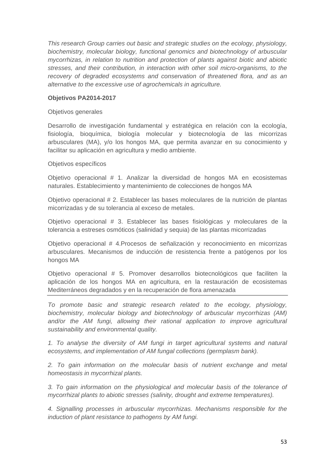*This research Group carries out basic and strategic studies on the ecology, physiology, biochemistry, molecular biology, functional genomics and biotechnology of arbuscular mycorrhizas, in relation to nutrition and protection of plants against biotic and abiotic stresses, and their contribution, in interaction with other soil micro-organisms, to the recovery of degraded ecosystems and conservation of threatened flora, and as an alternative to the excessive use of agrochemicals in agriculture.* 

### **Objetivos PA2014-2017**

### Objetivos generales

Desarrollo de investigación fundamental y estratégica en relación con la ecología, fisiología, bioquímica, biología molecular y biotecnología de las micorrizas arbusculares (MA), y/o los hongos MA, que permita avanzar en su conocimiento y facilitar su aplicación en agricultura y medio ambiente.

### Objetivos específicos

Objetivo operacional # 1. Analizar la diversidad de hongos MA en ecosistemas naturales. Establecimiento y mantenimiento de colecciones de hongos MA

Objetivo operacional # 2. Establecer las bases moleculares de la nutrición de plantas micorrizadas y de su tolerancia al exceso de metales.

Objetivo operacional # 3. Establecer las bases fisiológicas y moleculares de la tolerancia a estreses osmóticos (salinidad y sequia) de las plantas micorrizadas

Objetivo operacional # 4.Procesos de señalización y reconocimiento en micorrizas arbusculares. Mecanismos de inducción de resistencia frente a patógenos por los hongos MA

Objetivo operacional # 5. Promover desarrollos biotecnológicos que faciliten la aplicación de los hongos MA en agricultura, en la restauración de ecosistemas Mediterráneos degradados y en la recuperación de flora amenazada

*To promote basic and strategic research related to the ecology, physiology, biochemistry, molecular biology and biotechnology of arbuscular mycorrhizas (AM)*  and/or the AM fungi, allowing their rational application to improve agricultural *sustainability and environmental quality.* 

*1. To analyse the diversity of AM fungi in target agricultural systems and natural ecosystems, and implementation of AM fungal collections (germplasm bank).* 

2. To gain information on the molecular basis of nutrient exchange and metal *homeostasis in mycorrhizal plants.* 

*3. To gain information on the physiological and molecular basis of the tolerance of mycorrhizal plants to abiotic stresses (salinity, drought and extreme temperatures).* 

*4. Signalling processes in arbuscular mycorrhizas. Mechanisms responsible for the induction of plant resistance to pathogens by AM fungi.*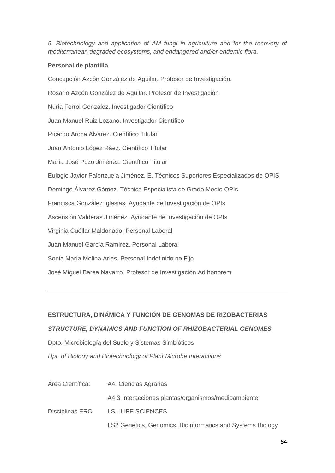*5. Biotechnology and application of AM fungi in agriculture and for the recovery of mediterranean degraded ecosystems, and endangered and/or endemic flora.* 

## **Personal de plantilla**

Concepción Azcón González de Aguilar. Profesor de Investigación. Rosario Azcón González de Aguilar. Profesor de Investigación Nuria Ferrol González. Investigador Científico Juan Manuel Ruiz Lozano. Investigador Científico Ricardo Aroca Álvarez. Científico Titular Juan Antonio López Ráez. Científico Titular María José Pozo Jiménez. Científico Titular Eulogio Javier Palenzuela Jiménez. E. Técnicos Superiores Especializados de OPIS Domingo Álvarez Gómez. Técnico Especialista de Grado Medio OPIs Francisca González Iglesias. Ayudante de Investigación de OPIs Ascensión Valderas Jiménez. Ayudante de Investigación de OPIs Virginia Cuéllar Maldonado. Personal Laboral Juan Manuel García Ramírez. Personal Laboral Sonia María Molina Arias. Personal Indefinido no Fijo José Miguel Barea Navarro. Profesor de Investigación Ad honorem

# **ESTRUCTURA, DINÁMICA Y FUNCIÓN DE GENOMAS DE RIZOBACTERIAS**

## *STRUCTURE, DYNAMICS AND FUNCTION OF RHIZOBACTERIAL GENOMES*

Dpto. Microbiología del Suelo y Sistemas Simbióticos

*Dpt. of Biology and Biotechnology of Plant Microbe Interactions* 

| Área Científica: | A4. Ciencias Agrarias                                      |
|------------------|------------------------------------------------------------|
|                  | A4.3 Interacciones plantas/organismos/medioambiente        |
|                  | Disciplinas ERC: LS - LIFE SCIENCES                        |
|                  | LS2 Genetics, Genomics, Bioinformatics and Systems Biology |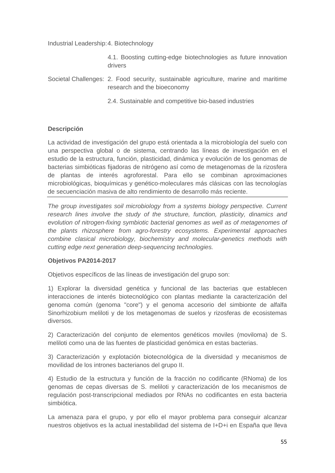Industrial Leadership: 4. Biotechnology

 4.1. Boosting cutting-edge biotechnologies as future innovation drivers

Societal Challenges: 2. Food security, sustainable agriculture, marine and maritime research and the bioeconomy

2.4. Sustainable and competitive bio-based industries

## **Descripción**

La actividad de investigación del grupo está orientada a la microbiología del suelo con una perspectiva global o de sistema, centrando las líneas de investigación en el estudio de la estructura, función, plasticidad, dinámica y evolución de los genomas de bacterias simbióticas fijadoras de nitrógeno así como de metagenomas de la rizosfera de plantas de interés agroforestal. Para ello se combinan aproximaciones microbiológicas, bioquímicas y genético-moleculares más clásicas con las tecnologías de secuenciación masiva de alto rendimiento de desarrollo más reciente.

*The group investigates soil microbiology from a systems biology perspective. Current research lines involve the study of the structure, function, plasticity, dinamics and evolution of nitrogen-fixing symbiotic bacterial genomes as well as of metagenomes of the plants rhizosphere from agro-forestry ecosystems. Experimental approaches combine clasical microbiology, biochemistry and molecular-genetics methods with cutting edge next generation deep-sequencing technologies.* 

### **Objetivos PA2014-2017**

Objetivos específicos de las líneas de investigación del grupo son:

1) Explorar la diversidad genética y funcional de las bacterias que establecen interacciones de interés biotecnológico con plantas mediante la caracterización del genoma común (genoma "core") y el genoma accesorio del simbionte de alfalfa Sinorhizobium meliloti y de los metagenomas de suelos y rizosferas de ecosistemas diversos.

2) Caracterización del conjunto de elementos genéticos moviles (moviloma) de S. meliloti como una de las fuentes de plasticidad genómica en estas bacterias.

3) Caracterización y explotación biotecnológica de la diversidad y mecanismos de movilidad de los intrones bacterianos del grupo II.

4) Estudio de la estructura y función de la fracción no codificante (RNoma) de los genomas de cepas diversas de S. meliloti y caracterización de los mecanismos de regulación post-transcripcional mediados por RNAs no codificantes en esta bacteria simbiótica.

La amenaza para el grupo, y por ello el mayor problema para conseguir alcanzar nuestros objetivos es la actual inestabilidad del sistema de I+D+i en España que lleva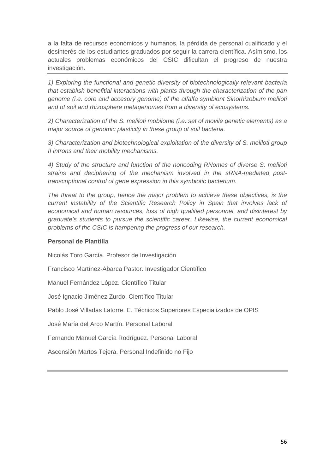a la falta de recursos económicos y humanos, la pérdida de personal cualificado y el desinterés de los estudiantes graduados por seguir la carrera científica. Asímismo, los actuales problemas económicos del CSIC dificultan el progreso de nuestra investigación.

*1) Exploring the functional and genetic diversity of biotechnologically relevant bacteria that establish benefitial interactions with plants through the characterization of the pan genome (i.e. core and accesory genome) of the alfalfa symbiont Sinorhizobium meliloti and of soil and rhizosphere metagenomes from a diversity of ecosystems.* 

*2) Characterization of the S. meliloti mobilome (i.e. set of movile genetic elements) as a major source of genomic plasticity in these group of soil bacteria.* 

*3) Characterization and biotechnological exploitation of the diversity of S. meliloti group II introns and their mobility mechanisms.* 

*4) Study of the structure and function of the noncoding RNomes of diverse S. meliloti strains and deciphering of the mechanism involved in the sRNA-mediated posttranscriptional control of gene expression in this symbiotic bacterium.* 

*The threat to the group, hence the major problem to achieve these objectives, is the current instability of the Scientific Research Policy in Spain that involves lack of economical and human resources, loss of high qualified personnel, and disinterest by graduate's students to pursue the scientific career. Likewise, the current economical problems of the CSIC is hampering the progress of our research.* 

### **Personal de Plantilla**

Nicolás Toro García. Profesor de Investigación

Francisco Martínez-Abarca Pastor. Investigador Científico

Manuel Fernández López. Científico Titular

José Ignacio Jiménez Zurdo. Científico Titular

Pablo José Villadas Latorre. E. Técnicos Superiores Especializados de OPIS

José María del Arco Martín. Personal Laboral

Fernando Manuel García Rodríguez. Personal Laboral

Ascensión Martos Tejera. Personal Indefinido no Fijo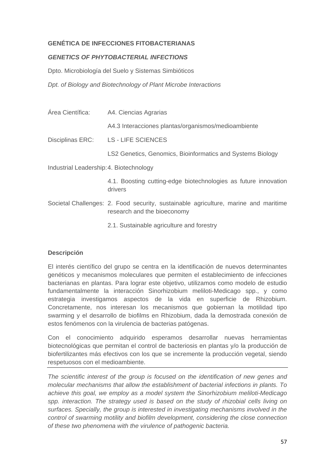## **GENÉTICA DE INFECCIONES FITOBACTERIANAS**

### *GENETICS OF PHYTOBACTERIAL INFECTIONS*

Dpto. Microbiología del Suelo y Sistemas Simbióticos

*Dpt. of Biology and Biotechnology of Plant Microbe Interactions* 

| Área Científica:                        | A4. Ciencias Agrarias                                                                                              |
|-----------------------------------------|--------------------------------------------------------------------------------------------------------------------|
|                                         | A4.3 Interacciones plantas/organismos/medioambiente                                                                |
| Disciplinas ERC:                        | <b>LS - LIFE SCIENCES</b>                                                                                          |
|                                         | LS2 Genetics, Genomics, Bioinformatics and Systems Biology                                                         |
| Industrial Leadership: 4. Biotechnology |                                                                                                                    |
|                                         | 4.1. Boosting cutting-edge biotechnologies as future innovation<br>drivers                                         |
|                                         | Societal Challenges: 2. Food security, sustainable agriculture, marine and maritime<br>research and the bioeconomy |
|                                         | 2.1. Sustainable agriculture and forestry                                                                          |

### **Descripción**

El interés científico del grupo se centra en la identificación de nuevos determinantes genéticos y mecanismos moleculares que permiten el establecimiento de infecciones bacterianas en plantas. Para lograr este objetivo, utilizamos como modelo de estudio fundamentalmente la interacción Sinorhizobium meliloti-Medicago spp., y como estrategia investigamos aspectos de la vida en superficie de Rhizobium. Concretamente, nos interesan los mecanismos que gobiernan la motilidad tipo swarming y el desarrollo de biofilms en Rhizobium, dada la demostrada conexión de estos fenómenos con la virulencia de bacterias patógenas.

Con el conocimiento adquirido esperamos desarrollar nuevas herramientas biotecnológicas que permitan el control de bacteriosis en plantas y/o la producción de biofertilizantes más efectivos con los que se incremente la producción vegetal, siendo respetuosos con el medioambiente.

*The scientific interest of the group is focused on the identification of new genes and molecular mechanisms that allow the establishment of bacterial infections in plants. To achieve this goal, we employ as a model system the Sinorhizobium meliloti-Medicago spp. interaction. The strategy used is based on the study of rhizobial cells living on surfaces. Specially, the group is interested in investigating mechanisms involved in the control of swarming motility and biofilm development, considering the close connection of these two phenomena with the virulence of pathogenic bacteria.*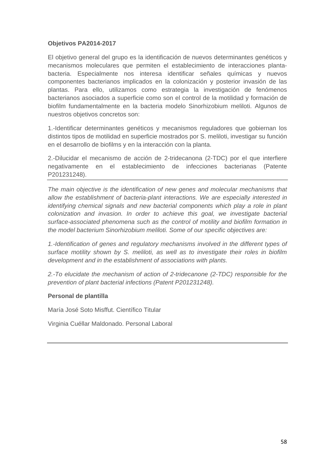### **Objetivos PA2014-2017**

El objetivo general del grupo es la identificación de nuevos determinantes genéticos y mecanismos moleculares que permiten el establecimiento de interacciones plantabacteria. Especialmente nos interesa identificar señales químicas y nuevos componentes bacterianos implicados en la colonización y posterior invasión de las plantas. Para ello, utilizamos como estrategia la investigación de fenómenos bacterianos asociados a superficie como son el control de la motilidad y formación de biofilm fundamentalmente en la bacteria modelo Sinorhizobium meliloti. Algunos de nuestros objetivos concretos son:

1.-Identificar determinantes genéticos y mecanismos reguladores que gobiernan los distintos tipos de motilidad en superficie mostrados por S. meliloti, investigar su función en el desarrollo de biofilms y en la interacción con la planta.

2.-Dilucidar el mecanismo de acción de 2-tridecanona (2-TDC) por el que interfiere negativamente en el establecimiento de infecciones bacterianas (Patente P201231248).

*The main objective is the identification of new genes and molecular mechanisms that allow the establishment of bacteria-plant interactions. We are especially interested in identifying chemical signals and new bacterial components which play a role in plant colonization and invasion. In order to achieve this goal, we investigate bacterial surface-associated phenomena such as the control of motility and biofilm formation in the model bacterium Sinorhizobium meliloti. Some of our specific objectives are:* 

*1.-Identification of genes and regulatory mechanisms involved in the different types of surface motility shown by S. meliloti, as well as to investigate their roles in biofilm development and in the establishment of associations with plants.* 

*2.-To elucidate the mechanism of action of 2-tridecanone (2-TDC) responsible for the prevention of plant bacterial infections (Patent P201231248).* 

### **Personal de plantilla**

María José Soto Misffut. Científico Titular

Virginia Cuéllar Maldonado. Personal Laboral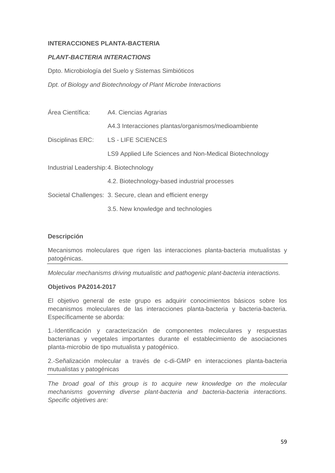### **INTERACCIONES PLANTA-BACTERIA**

### *PLANT-BACTERIA INTERACTIONS*

Dpto. Microbiología del Suelo y Sistemas Simbióticos

*Dpt. of Biology and Biotechnology of Plant Microbe Interactions* 

| Área Científica:                        | A4. Ciencias Agrarias                                      |
|-----------------------------------------|------------------------------------------------------------|
| Disciplinas ERC:                        | A4.3 Interacciones plantas/organismos/medioambiente        |
|                                         | <b>LS - LIFE SCIENCES</b>                                  |
|                                         | LS9 Applied Life Sciences and Non-Medical Biotechnology    |
| Industrial Leadership: 4. Biotechnology |                                                            |
|                                         | 4.2. Biotechnology-based industrial processes              |
|                                         | Societal Challenges: 3. Secure, clean and efficient energy |
|                                         | 3.5. New knowledge and technologies                        |

### **Descripción**

Mecanismos moleculares que rigen las interacciones planta-bacteria mutualistas y patogénicas.

*Molecular mechanisms driving mutualistic and pathogenic plant-bacteria interactions.* 

### **Objetivos PA2014-2017**

El objetivo general de este grupo es adquirir conocimientos básicos sobre los mecanismos moleculares de las interacciones planta-bacteria y bacteria-bacteria. Específicamente se aborda:

1.-Identificación y caracterización de componentes moleculares y respuestas bacterianas y vegetales importantes durante el establecimiento de asociaciones planta-microbio de tipo mutualista y patogénico.

2.-Señalización molecular a través de c-di-GMP en interacciones planta-bacteria mutualistas y patogénicas

*The broad goal of this group is to acquire new knowledge on the molecular mechanisms governing diverse plant-bacteria and bacteria-bacteria interactions. Specific objetives are:*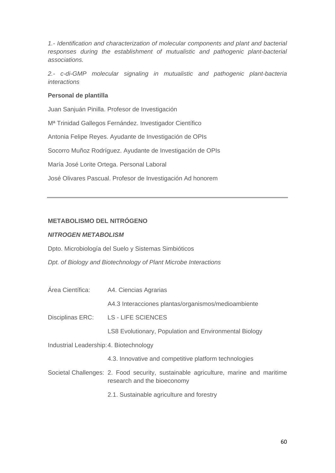*1.- Identification and characterization of molecular components and plant and bacterial responses during the establishment of mutualistic and pathogenic plant-bacterial associations.* 

*2.- c-di-GMP molecular signaling in mutualistic and pathogenic plant-bacteria interactions* 

### **Personal de plantilla**

Juan Sanjuán Pinilla. Profesor de Investigación Mª Trinidad Gallegos Fernández. Investigador Científico Antonia Felipe Reyes. Ayudante de Investigación de OPIs Socorro Muñoz Rodríguez. Ayudante de Investigación de OPIs María José Lorite Ortega. Personal Laboral José Olivares Pascual. Profesor de Investigación Ad honorem

# **METABOLISMO DEL NITRÓGENO**

### *NITROGEN METABOLISM*

Dpto. Microbiología del Suelo y Sistemas Simbióticos

*Dpt. of Biology and Biotechnology of Plant Microbe Interactions* 

| Área Científica:                        | A4. Ciencias Agrarias                                                                                              |
|-----------------------------------------|--------------------------------------------------------------------------------------------------------------------|
| Disciplinas ERC:                        | A4.3 Interacciones plantas/organismos/medioambiente                                                                |
|                                         | <b>LS - LIFE SCIENCES</b>                                                                                          |
|                                         | <b>LS8 Evolutionary, Population and Environmental Biology</b>                                                      |
| Industrial Leadership: 4. Biotechnology |                                                                                                                    |
|                                         | 4.3. Innovative and competitive platform technologies                                                              |
|                                         | Societal Challenges: 2. Food security, sustainable agriculture, marine and maritime<br>research and the bioeconomy |

2.1. Sustainable agriculture and forestry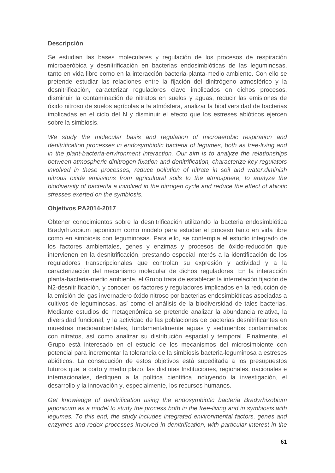# **Descripción**

Se estudian las bases moleculares y regulación de los procesos de respiración microaeróbica y desnitrificación en bacterias endosimbióticas de las leguminosas, tanto en vida libre como en la interacción bacteria-planta-medio ambiente. Con ello se pretende estudiar las relaciones entre la fijación del dinitrógeno atmosférico y la desnitrificación, caracterizar reguladores clave implicados en dichos procesos, disminuir la contaminación de nitratos en suelos y aguas, reducir las emisiones de óxido nitroso de suelos agrícolas a la atmósfera, analizar la biodiversidad de bacterias implicadas en el ciclo del N y disminuir el efecto que los estreses abióticos ejercen sobre la simbiosis.

*We study the molecular basis and regulation of microaerobic respiration and denitrification processes in endosymbiotic bacteria of legumes, both as free-living and in the plant-bacteria-environment interaction. Our aim is to analyze the relationships between atmospheric dinitrogen fixation and denitrification, characterize key regulators involved in these processes, reduce pollution of nitrate in soil and water,diminish nitrous oxide emissions from agricultural soils to the atmosphere, to analyze the biodiversity of bacterita a involved in the nitrogen cycle and reduce the effect of abiotic stresses exerted on the symbiosis.* 

## **Objetivos PA2014-2017**

Obtener conocimientos sobre la desnitrificación utilizando la bacteria endosimbiótica Bradyrhizobium japonicum como modelo para estudiar el proceso tanto en vida libre como en simbiosis con leguminosas. Para ello, se contempla el estudio integrado de los factores ambientales, genes y enzimas y procesos de óxido-reducción que intervienen en la desnitrificación, prestando especial interés a la identificación de los reguladores transcripcionales que controlan su expresión y actividad y a la caracterización del mecanismo molecular de dichos reguladores. En la interacción planta-bacteria-medio ambiente, el Grupo trata de establecer la interrelación fijación de N2-desnitrificación, y conocer los factores y reguladores implicados en la reducción de la emisión del gas invernadero óxido nitroso por bacterias endosimbióticas asociadas a cultivos de leguminosas, así como el análisis de la biodiversidad de tales bacterias. Mediante estudios de metagenómica se pretende analizar la abundancia relativa, la diversidad funcional, y la actividad de las poblaciones de bacterias desnitrificantes en muestras medioambientales, fundamentalmente aguas y sedimentos contaminados con nitratos, así como analizar su distribución espacial y temporal. Finalmente, el Grupo está interesado en el estudio de los mecanismos del microsimbionte con potencial para incrementar la tolerancia de la simbiosis bacteria-leguminosa a estreses abióticos. La consecución de estos objetivos está supeditada a los presupuestos futuros que, a corto y medio plazo, las distintas Instituciones, regionales, nacionales e internacionales, dediquen a la política científica incluyendo la investigación, el desarrollo y la innovación y, especialmente, los recursos humanos.

*Get knowledge of denitrification using the endosymbiotic bacteria Bradyrhizobium japonicum as a model to study the process both in the free-living and in symbiosis with legumes. To this end, the study includes integrated environmental factors, genes and enzymes and redox processes involved in denitrification, with particular interest in the*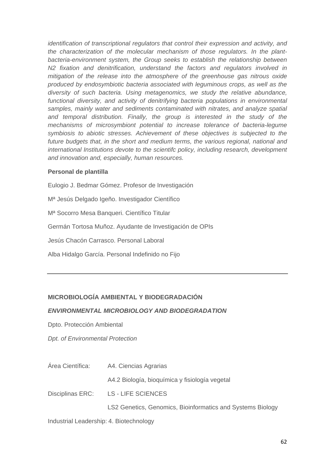*identification of transcriptional regulators that control their expression and activity, and the characterization of the molecular mechanism of those regulators. In the plantbacteria-environment system, the Group seeks to establish the relationship between N2 fixation and denitrification, understand the factors and regulators involved in mitigation of the release into the atmosphere of the greenhouse gas nitrous oxide produced by endosymbiotic bacteria associated with leguminous crops, as well as the diversity of such bacteria. Using metagenomics, we study the relative abundance,*  functional diversity, and activity of denitrifying bacteria populations in environmental *samples, mainly water and sediments contaminated with nitrates, and analyze spatial*  and temporal distribution. Finally, the group is interested in the study of the *mechanisms of microsymbiont potential to increase tolerance of bacteria-legume symbiosis to abiotic stresses. Achievement of these objectives is subjected to the future budgets that, in the short and medium terms, the various regional, national and international Institutions devote to the scientifc policy, including research, development and innovation and, especially, human resources.* 

### **Personal de plantilla**

Eulogio J. Bedmar Gómez. Profesor de Investigación Mª Jesús Delgado Igeño. Investigador Científico Mª Socorro Mesa Banqueri. Científico Titular Germán Tortosa Muñoz. Ayudante de Investigación de OPIs Jesús Chacón Carrasco. Personal Laboral Alba Hidalgo García. Personal Indefinido no Fijo

## **MICROBIOLOGÍA AMBIENTAL Y BIODEGRADACIÓN**

### *ENVIRONMENTAL MICROBIOLOGY AND BIODEGRADATION*

Dpto. Protección Ambiental

*Dpt. of Environmental Protection* 

Área Científica: A4. Ciencias Agrarias

A4.2 Biología, bioquímica y fisiología vegetal

Disciplinas ERC: LS - LIFE SCIENCES

LS2 Genetics, Genomics, Bioinformatics and Systems Biology

Industrial Leadership: 4. Biotechnology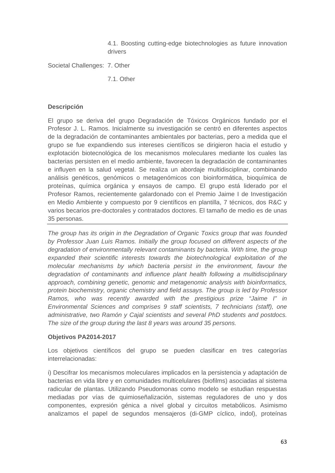4.1. Boosting cutting-edge biotechnologies as future innovation drivers

Societal Challenges: 7. Other

7.1. Other

### **Descripción**

El grupo se deriva del grupo Degradación de Tóxicos Orgánicos fundado por el Profesor J. L. Ramos. Inicialmente su investigación se centró en diferentes aspectos de la degradación de contaminantes ambientales por bacterias, pero a medida que el grupo se fue expandiendo sus intereses científicos se dirigieron hacia el estudio y explotación biotecnológica de los mecanismos moleculares mediante los cuales las bacterias persisten en el medio ambiente, favorecen la degradación de contaminantes e influyen en la salud vegetal. Se realiza un abordaje multidisciplinar, combinando análisis genéticos, genómicos o metagenómicos con bioinformática, bioquímica de proteínas, química orgánica y ensayos de campo. El grupo está liderado por el Profesor Ramos, recientemente galardonado con el Premio Jaime I de Investigación en Medio Ambiente y compuesto por 9 científicos en plantilla, 7 técnicos, dos R&C y varios becarios pre-doctorales y contratados doctores. El tamaño de medio es de unas 35 personas.

*The group has its origin in the Degradation of Organic Toxics group that was founded by Professor Juan Luis Ramos. Initially the group focused on different aspects of the degradation of environmentally relevant contaminants by bacteria. With time, the group expanded their scientific interests towards the biotechnological exploitation of the molecular mechanisms by which bacteria persist in the environment, favour the degradation of contaminants and influence plant health following a multidisciplinary approach, combining genetic, genomic and metagenomic analysis with bioinformatics, protein biochemistry, organic chemistry and field assays. The group is led by Professor Ramos, who was recently awarded with the prestigious prize "Jaime I" in Environmental Sciences and comprises 9 staff scientists, 7 technicians (staff), one administrative, two Ramón y Cajal scientists and several PhD students and postdocs. The size of the group during the last 8 years was around 35 persons.* 

### **Objetivos PA2014-2017**

Los objetivos científicos del grupo se pueden clasificar en tres categorías interrelacionadas:

i) Descifrar los mecanismos moleculares implicados en la persistencia y adaptación de bacterias en vida libre y en comunidades multicelulares (biofilms) asociadas al sistema radicular de plantas. Utilizando Pseudomonas como modelo se estudian respuestas mediadas por vías de quimioseñalización, sistemas reguladores de uno y dos componentes, expresión génica a nivel global y circuitos metabólicos. Asimismo analizamos el papel de segundos mensajeros (di-GMP cíclico, indol), proteínas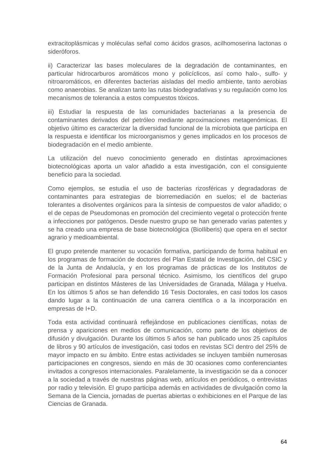extracitoplásmicas y moléculas señal como ácidos grasos, acilhomoserina lactonas o sideróforos.

ii) Caracterizar las bases moleculares de la degradación de contaminantes, en particular hidrocarburos aromáticos mono y policíclicos, así como halo-, sulfo- y nitroaromáticos, en diferentes bacterias aisladas del medio ambiente, tanto aerobias como anaerobias. Se analizan tanto las rutas biodegradativas y su regulación como los mecanismos de tolerancia a estos compuestos tóxicos.

iii) Estudiar la respuesta de las comunidades bacterianas a la presencia de contaminantes derivados del petróleo mediante aproximaciones metagenómicas. El objetivo último es caracterizar la diversidad funcional de la microbiota que participa en la respuesta e identificar los microorganismos y genes implicados en los procesos de biodegradación en el medio ambiente.

La utilización del nuevo conocimiento generado en distintas aproximaciones biotecnológicas aporta un valor añadido a esta investigación, con el consiguiente beneficio para la sociedad.

Como ejemplos, se estudia el uso de bacterias rizosféricas y degradadoras de contaminantes para estrategias de biorremediación en suelos; el de bacterias tolerantes a disolventes orgánicos para la síntesis de compuestos de valor añadido; o el de cepas de Pseudomonas en promoción del crecimiento vegetal o protección frente a infecciones por patógenos. Desde nuestro grupo se han generado varias patentes y se ha creado una empresa de base biotecnológica (BioIliberis) que opera en el sector agrario y medioambiental.

El grupo pretende mantener su vocación formativa, participando de forma habitual en los programas de formación de doctores del Plan Estatal de Investigación, del CSIC y de la Junta de Andalucía, y en los programas de prácticas de los Institutos de Formación Profesional para personal técnico. Asimismo, los científicos del grupo participan en distintos Másteres de las Universidades de Granada, Málaga y Huelva. En los últimos 5 años se han defendido 16 Tesis Doctorales, en casi todos los casos dando lugar a la continuación de una carrera científica o a la incorporación en empresas de I+D.

Toda esta actividad continuará reflejándose en publicaciones científicas, notas de prensa y apariciones en medios de comunicación, como parte de los objetivos de difusión y divulgación. Durante los últimos 5 años se han publicado unos 25 capítulos de libros y 90 artículos de investigación, casi todos en revistas SCI dentro del 25% de mayor impacto en su ámbito. Entre estas actividades se incluyen también numerosas participaciones en congresos, siendo en más de 30 ocasiones como conferenciantes invitados a congresos internacionales. Paralelamente, la investigación se da a conocer a la sociedad a través de nuestras páginas web, artículos en periódicos, o entrevistas por radio y televisión. El grupo participa además en actividades de divulgación como la Semana de la Ciencia, jornadas de puertas abiertas o exhibiciones en el Parque de las Ciencias de Granada.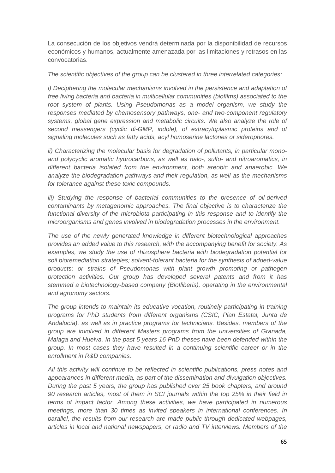La consecución de los objetivos vendrá determinada por la disponibilidad de recursos económicos y humanos, actualmente amenazada por las limitaciones y retrasos en las convocatorias.

### *The scientific objectives of the group can be clustered in three interrelated categories:*

*i)* Deciphering the molecular mechanisms involved in the persistence and adaptation of *free living bacteria and bacteria in multicellular communities (biofilms) associated to the*  root system of plants. Using Pseudomonas as a model organism, we study the *responses mediated by chemosensory pathways, one- and two-component regulatory systems, global gene expression and metabolic circuits. We also analyze the role of second messengers (cyclic di-GMP, indole), of extracytoplasmic proteins and of signaling molecules such as fatty acids, acyl homoserine lactones or siderophores.* 

*ii) Characterizing the molecular basis for degradation of pollutants, in particular monoand polycyclic aromatic hydrocarbons, as well as halo-, sulfo- and nitroaromatics, in different bacteria isolated from the environment, both areobic and anaerobic. We analyze the biodegradation pathways and their regulation, as well as the mechanisms for tolerance against these toxic compounds.* 

*iii)* Studying the response of bacterial communities to the presence of oil-derived *contaminants by metagenomic approaches. The final objective is to characterize the*  functional diversity of the microbiota participating in this response and to identify the *microorganisms and genes involved in biodegradation processes in the environment.* 

*The use of the newly generated knowledge in different biotechnological approaches provides an added value to this research, with the accompanying benefit for society. As*  examples, we study the use of rhizosphere bacteria with biodegradation potential for *soil bioremediation strategies; solvent-tolerant bacteria for the synthesis of added-value products; or strains of Pseudomonas with plant growth promoting or pathogen protection activities. Our group has developed several patents and from it has stemmed a biotechnology-based company (BioIliberis), operating in the environmental and agronomy sectors.* 

*The group intends to maintain its educative vocation, routinely participating in training programs for PhD students from different organisms (CSIC, Plan Estatal, Junta de Andalucía), as well as in practice programs for technicians. Besides, members of the group are involved in different Masters programs from the universities of Granada, Malaga and Huelva. In the past 5 years 16 PhD theses have been defended within the group. In most cases they have resulted in a continuing scientific career or in the enrollment in R&D companies.* 

*All this activity will continue to be reflected in scientific publications, press notes and appearances in different media, as part of the dissemination and divulgation objectives. During the past 5 years, the group has published over 25 book chapters, and around 90 research articles, most of them in SCI journals within the top 25% in their field in terms of impact factor. Among these activities, we have participated in numerous meetings, more than 30 times as invited speakers in international conferences. In parallel, the results from our research are made public through dedicated webpages, articles in local and national newspapers, or radio and TV interviews. Members of the*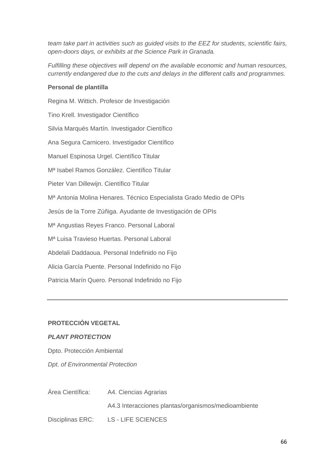*team take part in activities such as guided visits to the EEZ for students, scientific fairs, open-doors days, or exhibits at the Science Park in Granada.* 

*Fulfilling these objectives will depend on the available economic and human resources, currently endangered due to the cuts and delays in the different calls and programmes.* 

### **Personal de plantilla**

Regina M. Wittich. Profesor de Investigación Tino Krell. Investigador Científico Silvia Marqués Martín. Investigador Científico Ana Segura Carnicero. Investigador Científico Manuel Espinosa Urgel. Científico Titular Mª Isabel Ramos González. Científico Titular Pieter Van Dillewijn. Científico Titular Mª Antonia Molina Henares. Técnico Especialista Grado Medio de OPIs Jesús de la Torre Zúñiga. Ayudante de Investigación de OPIs Mª Angustias Reyes Franco. Personal Laboral Mª Luisa Travieso Huertas. Personal Laboral Abdelali Daddaoua. Personal Indefinido no Fijo Alicia García Puente. Personal Indefinido no Fijo Patricia Marín Quero. Personal Indefinido no Fijo

## **PROTECCIÓN VEGETAL**

## *PLANT PROTECTION*

Dpto. Protección Ambiental *Dpt. of Environmental Protection* 

| Area Científica: | A4. Ciencias Agrarias                               |
|------------------|-----------------------------------------------------|
|                  | A4.3 Interacciones plantas/organismos/medioambiente |
| Disciplinas ERC: | LS - LIFE SCIENCES                                  |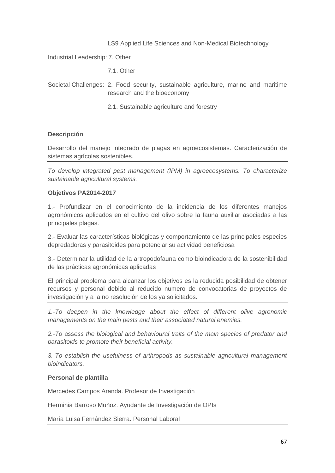### LS9 Applied Life Sciences and Non-Medical Biotechnology

Industrial Leadership: 7. Other

7.1. Other

Societal Challenges: 2. Food security, sustainable agriculture, marine and maritime research and the bioeconomy

2.1. Sustainable agriculture and forestry

### **Descripción**

Desarrollo del manejo integrado de plagas en agroecosistemas. Caracterización de sistemas agrícolas sostenibles.

*To develop integrated pest management (IPM) in agroecosystems. To characterize sustainable agricultural systems.* 

### **Objetivos PA2014-2017**

1.- Profundizar en el conocimiento de la incidencia de los diferentes manejos agronómicos aplicados en el cultivo del olivo sobre la fauna auxiliar asociadas a las principales plagas.

2.- Evaluar las características biológicas y comportamiento de las principales especies depredadoras y parasitoides para potenciar su actividad beneficiosa

3.- Determinar la utilidad de la artropodofauna como bioindicadora de la sostenibilidad de las prácticas agronómicas aplicadas

El principal problema para alcanzar los objetivos es la reducida posibilidad de obtener recursos y personal debido al reducido numero de convocatorias de proyectos de investigación y a la no resolución de los ya solicitados.

*1.-To deepen in the knowledge about the effect of different olive agronomic managements on the main pests and their associated natural enemies.* 

*2.-To assess the biological and behavioural traits of the main species of predator and parasitoids to promote their beneficial activity.* 

*3.-To establish the usefulness of arthropods as sustainable agricultural management bioindicators.* 

### **Personal de plantilla**

Mercedes Campos Aranda. Profesor de Investigación

Herminia Barroso Muñoz. Ayudante de Investigación de OPIs

María Luisa Fernández Sierra. Personal Laboral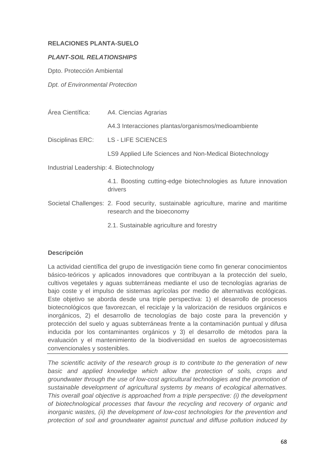# **RELACIONES PLANTA-SUELO**

### *PLANT-SOIL RELATIONSHIPS*

Dpto. Protección Ambiental

*Dpt. of Environmental Protection* 

| Área Científica:                        | A4. Ciencias Agrarias                                                                                              |
|-----------------------------------------|--------------------------------------------------------------------------------------------------------------------|
|                                         | A4.3 Interacciones plantas/organismos/medioambiente                                                                |
| Disciplinas ERC:                        | <b>LS - LIFE SCIENCES</b>                                                                                          |
|                                         | LS9 Applied Life Sciences and Non-Medical Biotechnology                                                            |
| Industrial Leadership: 4. Biotechnology |                                                                                                                    |
|                                         | 4.1. Boosting cutting-edge biotechnologies as future innovation<br>drivers                                         |
|                                         | Societal Challenges: 2. Food security, sustainable agriculture, marine and maritime<br>research and the bioeconomy |
|                                         | 2.1. Sustainable agriculture and forestry                                                                          |

# **Descripción**

La actividad científica del grupo de investigación tiene como fin generar conocimientos básico-teóricos y aplicados innovadores que contribuyan a la protección del suelo, cultivos vegetales y aguas subterráneas mediante el uso de tecnologías agrarias de bajo coste y el impulso de sistemas agrícolas por medio de alternativas ecológicas. Este objetivo se aborda desde una triple perspectiva: 1) el desarrollo de procesos biotecnológicos que favorezcan, el reciclaje y la valorización de residuos orgánicos e inorgánicos, 2) el desarrollo de tecnologías de bajo coste para la prevención y protección del suelo y aguas subterráneas frente a la contaminación puntual y difusa inducida por los contaminantes orgánicos y 3) el desarrollo de métodos para la evaluación y el mantenimiento de la biodiversidad en suelos de agroecosistemas convencionales y sostenibles.

*The scientific activity of the research group is to contribute to the generation of new basic and applied knowledge which allow the protection of soils, crops and groundwater through the use of low-cost agricultural technologies and the promotion of sustainable development of agricultural systems by means of ecological alternatives. This overall goal objective is approached from a triple perspective: (i) the development of biotechnological processes that favour the recycling and recovery of organic and inorganic wastes, (ii) the development of low-cost technologies for the prevention and protection of soil and groundwater against punctual and diffuse pollution induced by*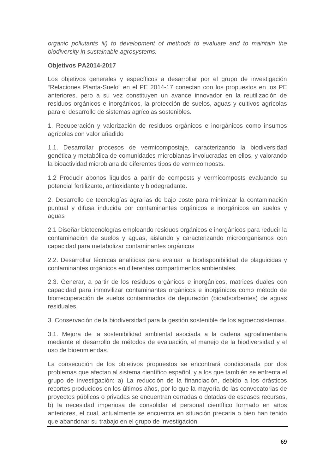*organic pollutants iii) to development of methods to evaluate and to maintain the biodiversity in sustainable agrosystems.* 

# **Objetivos PA2014-2017**

Los objetivos generales y específicos a desarrollar por el grupo de investigación "Relaciones Planta-Suelo" en el PE 2014-17 conectan con los propuestos en los PE anteriores, pero a su vez constituyen un avance innovador en la reutilización de residuos orgánicos e inorgánicos, la protección de suelos, aguas y cultivos agrícolas para el desarrollo de sistemas agrícolas sostenibles.

1. Recuperación y valorización de residuos orgánicos e inorgánicos como insumos agrícolas con valor añadido

1.1. Desarrollar procesos de vermicompostaje, caracterizando la biodiversidad genética y metabólica de comunidades microbianas involucradas en ellos, y valorando la bioactividad microbiana de diferentes tipos de vermicomposts.

1.2 Producir abonos líquidos a partir de composts y vermicomposts evaluando su potencial fertilizante, antioxidante y biodegradante.

2. Desarrollo de tecnologías agrarias de bajo coste para minimizar la contaminación puntual y difusa inducida por contaminantes orgánicos e inorgánicos en suelos y aguas

2.1 Diseñar biotecnologías empleando residuos orgánicos e inorgánicos para reducir la contaminación de suelos y aguas, aislando y caracterizando microorganismos con capacidad para metabolizar contaminantes orgánicos

2.2. Desarrollar técnicas analíticas para evaluar la biodisponibilidad de plaguicidas y contaminantes orgánicos en diferentes compartimentos ambientales.

2.3. Generar, a partir de los residuos orgánicos e inorgánicos, matrices duales con capacidad para inmovilizar contaminantes orgánicos e inorgánicos como método de biorrecuperación de suelos contaminados de depuración (bioadsorbentes) de aguas residuales.

3. Conservación de la biodiversidad para la gestión sostenible de los agroecosistemas.

3.1. Mejora de la sostenibilidad ambiental asociada a la cadena agroalimentaria mediante el desarrollo de métodos de evaluación, el manejo de la biodiversidad y el uso de bioenmiendas.

La consecución de los objetivos propuestos se encontrará condicionada por dos problemas que afectan al sistema científico español, y a los que también se enfrenta el grupo de investigación: a) La reducción de la financiación, debido a los drásticos recortes producidos en los últimos años, por lo que la mayoría de las convocatorias de proyectos públicos o privadas se encuentran cerradas o dotadas de escasos recursos, b) la necesidad imperiosa de consolidar el personal científico formado en años anteriores, el cual, actualmente se encuentra en situación precaria o bien han tenido que abandonar su trabajo en el grupo de investigación.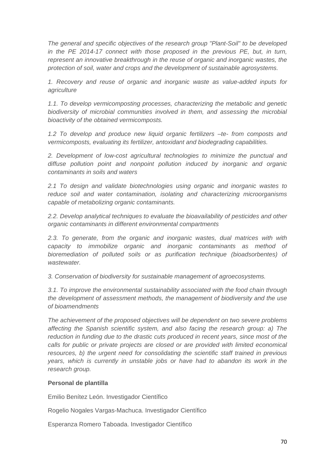*The general and specific objectives of the research group "Plant-Soil" to be developed*  in the PE 2014-17 connect with those proposed in the previous PE, but, in turn, *represent an innovative breakthrough in the reuse of organic and inorganic wastes, the protection of soil, water and crops and the development of sustainable agrosystems.* 

*1. Recovery and reuse of organic and inorganic waste as value-added inputs for agriculture* 

*1.1. To develop vermicomposting processes, characterizing the metabolic and genetic biodiversity of microbial communities involved in them, and assessing the microbial bioactivity of the obtained vermicomposts.* 

*1.2 To develop and produce new liquid organic fertilizers –te- from composts and vermicomposts, evaluating its fertilizer, antoxidant and biodegrading capabilities.* 

*2. Development of low-cost agricultural technologies to minimize the punctual and diffuse pollution point and nonpoint pollution induced by inorganic and organic contaminants in soils and waters* 

*2.1 To design and validate biotechnologies using organic and inorganic wastes to reduce soil and water contamination, isolating and characterizing microorganisms capable of metabolizing organic contaminants.* 

2.2. Develop analytical techniques to evaluate the bioavailability of pesticides and other *organic contaminants in different environmental compartments* 

*2.3. To generate, from the organic and inorganic wastes, dual matrices with with capacity to immobilize organic and inorganic contaminants as method of bioremediation of polluted soils or as purification technique (bioadsorbentes) of wastewater.* 

*3. Conservation of biodiversity for sustainable management of agroecosystems.* 

*3.1. To improve the environmental sustainability associated with the food chain through the development of assessment methods, the management of biodiversity and the use of bioamendments* 

*The achievement of the proposed objectives will be dependent on two severe problems affecting the Spanish scientific system, and also facing the research group: a) The reduction in funding due to the drastic cuts produced in recent years, since most of the calls for public or private projects are closed or are provided with limited economical resources, b) the urgent need for consolidating the scientific staff trained in previous years, which is currently in unstable jobs or have had to abandon its work in the research group.* 

### **Personal de plantilla**

Emilio Benítez León. Investigador Científico

Rogelio Nogales Vargas-Machuca. Investigador Científico

Esperanza Romero Taboada. Investigador Científico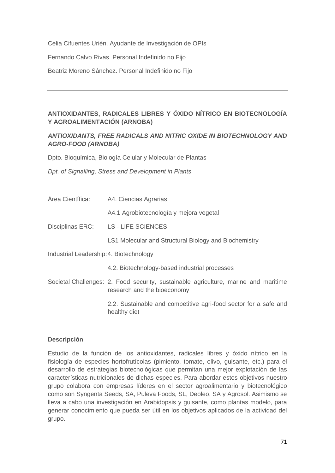Celia Cifuentes Urién. Ayudante de Investigación de OPIs

Fernando Calvo Rivas. Personal Indefinido no Fijo

Beatriz Moreno Sánchez. Personal Indefinido no Fijo

# **ANTIOXIDANTES, RADICALES LIBRES Y ÓXIDO NÍTRICO EN BIOTECNOLOGÍA Y AGROALIMENTACIÓN (ARNOBA)**

# *ANTIOXIDANTS, FREE RADICALS AND NITRIC OXIDE IN BIOTECHNOLOGY AND AGRO-FOOD (ARNOBA)*

Dpto. Bioquímica, Biología Celular y Molecular de Plantas

*Dpt. of Signalling, Stress and Development in Plants* 

Área Científica: A4. Ciencias Agrarias

A4.1 Agrobiotecnología y mejora vegetal

- Disciplinas ERC: LS LIFE SCIENCES
	- LS1 Molecular and Structural Biology and Biochemistry

Industrial Leadership: 4. Biotechnology

- 4.2. Biotechnology-based industrial processes
- Societal Challenges: 2. Food security, sustainable agriculture, marine and maritime research and the bioeconomy

 2.2. Sustainable and competitive agri-food sector for a safe and healthy diet

### **Descripción**

Estudio de la función de los antioxidantes, radicales libres y óxido nítrico en la fisiología de especies hortofrutícolas (pimiento, tomate, olivo, guisante, etc.) para el desarrollo de estrategias biotecnológicas que permitan una mejor explotación de las características nutricionales de dichas especies. Para abordar estos objetivos nuestro grupo colabora con empresas líderes en el sector agroalimentario y biotecnológico como son Syngenta Seeds, SA, Puleva Foods, SL, Deoleo, SA y Agrosol. Asimismo se lleva a cabo una investigación en Arabidopsis y guisante, como plantas modelo, para generar conocimiento que pueda ser útil en los objetivos aplicados de la actividad del grupo.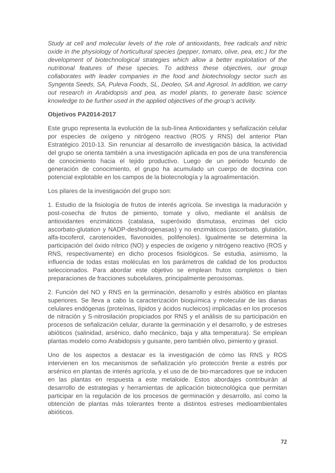*Study at cell and molecular levels of the role of antioxidants, free radicals and nitric oxide in the physiology of horticultural species (pepper, tomato, olive, pea, etc.) for the development of biotechnological strategies which allow a better exploitation of the nutritional features of these species. To address these objectives, our group collaborates with leader companies in the food and biotechnology sector such as Syngenta Seeds, SA, Puleva Foods, SL, Deoleo, SA and Agrosol. In addition, we carry out research in Arabidopsis and pea, as model plants, to generate basic science knowledge to be further used in the applied objectives of the group's activity.* 

## **Objetivos PA2014-2017**

Este grupo representa la evolución de la sub-línea Antioxidantes y señalización celular por especies de oxígeno y nitrógeno reactivo (ROS y RNS) del anterior Plan Estratégico 2010-13. Sin renunciar al desarrollo de investigación básica, la actividad del grupo se orienta también a una investigación aplicada en pos de una transferencia de conocimiento hacia el tejido productivo. Luego de un periodo fecundo de generación de conocimiento, el grupo ha acumulado un cuerpo de doctrina con potencial explotable en los campos de la biotecnología y la agroalimentación.

Los pilares de la investigación del grupo son:

1. Estudio de la fisiología de frutos de interés agrícola. Se investiga la maduración y post-cosecha de frutos de pimiento, tomate y olivo, mediante el análisis de antioxidantes enzimáticos (catalasa, superóxido dismutasa, enzimas del ciclo ascorbato-glutation y NADP-deshidrogenasas) y no enzimáticos (ascorbato, glutatión, alfa-tocoferol, carotenoides, flavonoides, polifenoles). Igualmente se determina la participación del óxido nítrico (NO) y especies de oxígeno y nitrógeno reactivo (ROS y RNS, respectivamente) en dicho procesos fisiológicos. Se estudia, asimismo, la influencia de todas estas moléculas en los parámetros de calidad de los productos seleccionados. Para abordar este objetivo se emplean frutos completos o bien preparaciones de fracciones subcelulares, principalmente peroxisomas.

2. Función del NO y RNS en la germinación, desarrollo y estrés abiótico en plantas superiores. Se lleva a cabo la caracterización bioquímica y molecular de las dianas celulares endógenas (proteínas, lípidos y ácidos nucleicos) implicadas en los procesos de nitración y S-nitrosilación propiciados por RNS y el análisis de su participación en procesos de señalización celular, durante la germinación y el desarrollo, y de estreses abióticos (salinidad, arsénico, daño mecánico, baja y alta temperatura). Se emplean plantas modelo como Arabidopsis y guisante, pero también olivo, pimiento y girasol.

Uno de los aspectos a destacar es la investigación de cómo las RNS y ROS intervienen en los mecanismos de señalización y/o protección frente a estrés por arsénico en plantas de interés agrícola, y el uso de de bio-marcadores que se inducen en las plantas en respuesta a este metaloide. Estos abordajes contribuirán al desarrollo de estrategias y herramientas de aplicación biotecnológica que permitan participar en la regulación de los procesos de germinación y desarrollo, así como la obtención de plantas más tolerantes frente a distintos estreses medioambientales abióticos.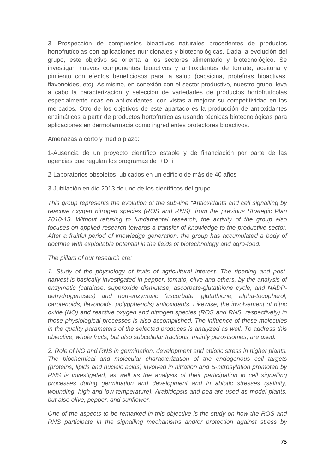3. Prospección de compuestos bioactivos naturales procedentes de productos hortofrutícolas con aplicaciones nutricionales y biotecnológicas. Dada la evolución del grupo, este objetivo se orienta a los sectores alimentario y biotecnológico. Se investigan nuevos componentes bioactivos y antioxidantes de tomate, aceituna y pimiento con efectos beneficiosos para la salud (capsicina, proteínas bioactivas, flavonoides, etc). Asimismo, en conexión con el sector productivo, nuestro grupo lleva a cabo la caracterización y selección de variedades de productos hortofrutícolas especialmente ricas en antioxidantes, con vistas a mejorar su competitividad en los mercados. Otro de los objetivos de este apartado es la producción de antioxidantes enzimáticos a partir de productos hortofrutícolas usando técnicas biotecnológicas para aplicaciones en dermofarmacia como ingredientes protectores bioactivos.

Amenazas a corto y medio plazo:

1-Ausencia de un proyecto científico estable y de financiación por parte de las agencias que regulan los programas de I+D+i

2-Laboratorios obsoletos, ubicados en un edificio de más de 40 años

3-Jubilación en dic-2013 de uno de los científicos del grupo.

*This group represents the evolution of the sub-line "Antioxidants and cell signalling by reactive oxygen nitrogen species (ROS and RNS)" from the previous Strategic Plan 2010-13. Without refusing to fundamental research, the activity of the group also*  focuses on applied research towards a transfer of knowledge to the productive sector. *After a fruitful period of knowledge generation, the group has accumulated a body of doctrine with exploitable potential in the fields of biotechnology and agro-food.* 

#### *The pillars of our research are:*

*1. Study of the physiology of fruits of agricultural interest. The ripening and postharvest is basically investigated in pepper, tomato, olive and others, by the analysis of enzymatic (catalase, superoxide dismutase, ascorbate-glutathione cycle, and NADPdehydrogenases) and non-enzymatic (ascorbate, glutathione, alpha-tocopherol, carotenoids, flavonoids, polypphenols) antioxidants. Likewise, the involvement of nitric oxide (NO) and reactive oxygen and nitrogen species (ROS and RNS, respectively) in those physiological processes is also accomplished. The influence of these molecules in the quality parameters of the selected produces is analyzed as well. To address this objective, whole fruits, but also subcellular fractions, mainly peroxisomes, are used.* 

*2. Role of NO and RNS in germination, development and abiotic stress in higher plants. The biochemical and molecular characterization of the endogenous cell targets (proteins, lipids and nucleic acids) involved in nitration and S-nitrosylation promoted by RNS is investigated, as well as the analysis of their participation in cell signalling processes during germination and development and in abiotic stresses (salinity, wounding, high and low temperature). Arabidopsis and pea are used as model plants, but also olive, pepper, and sunflower.* 

*One of the aspects to be remarked in this objective is the study on how the ROS and RNS participate in the signalling mechanisms and/or protection against stress by*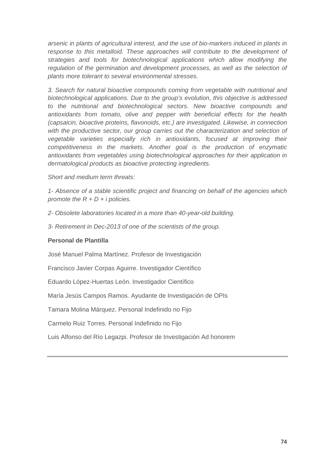*arsenic in plants of agricultural interest, and the use of bio-markers induced in plants in*  response to this metalloid. These approaches will contribute to the development of *strategies and tools for biotechnological applications which allow modifying the*  regulation of the germination and development processes, as well as the selection of *plants more tolerant to several environmental stresses.* 

*3. Search for natural bioactive compounds coming from vegetable with nutritional and biotechnological applications. Due to the group's evolution, this objective is addressed to the nutritional and biotechnological sectors. New bioactive compounds and antioxidants from tomato, olive and pepper with beneficial effects for the health (capsaicin, bioactive proteins, flavonoids, etc.) are investigated. Likewise, in connection*  with the productive sector, our group carries out the characterization and selection of *vegetable varieties especially rich in antioxidants, focused at improving their competitiveness in the markets. Another goal is the production of enzymatic antioxidants from vegetables using biotechnological approaches for their application in dermatological products as bioactive protecting ingredients.* 

*Short and medium term threats:* 

*1- Absence of a stable scientific project and financing on behalf of the agencies which promote the R + D + i policies.* 

*2- Obsolete laboratories located in a more than 40-year-old building.* 

*3- Retirement in Dec-2013 of one of the scientists of the group.* 

## **Personal de Plantilla**

José Manuel Palma Martínez. Profesor de Investigación

Francisco Javier Corpas Aguirre. Investigador Científico

Eduardo López-Huertas León. Investigador Científico

María Jesús Campos Ramos. Ayudante de Investigación de OPIs

Tamara Molina Márquez. Personal Indefinido no Fijo

Carmelo Ruiz Torres. Personal Indefinido no Fijo

Luis Alfonso del Río Legazpi. Profesor de Investigación Ad honorem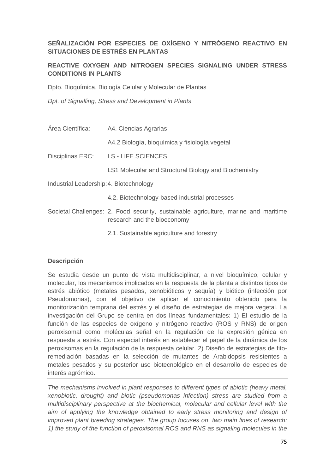## **SEÑALIZACIÓN POR ESPECIES DE OXÍGENO Y NITRÓGENO REACTIVO EN SITUACIONES DE ESTRÉS EN PLANTAS**

## **REACTIVE OXYGEN AND NITROGEN SPECIES SIGNALING UNDER STRESS CONDITIONS IN PLANTS**

Dpto. Bioquímica, Biología Celular y Molecular de Plantas

*Dpt. of Signalling, Stress and Development in Plants* 

- Área Científica: A4. Ciencias Agrarias A4.2 Biología, bioquímica y fisiología vegetal Disciplinas ERC: LS - LIFE SCIENCES LS1 Molecular and Structural Biology and Biochemistry Industrial Leadership: 4. Biotechnology
	- 4.2. Biotechnology-based industrial processes
- Societal Challenges: 2. Food security, sustainable agriculture, marine and maritime research and the bioeconomy
	- 2.1. Sustainable agriculture and forestry

## **Descripción**

Se estudia desde un punto de vista multidisciplinar, a nivel bioquímico, celular y molecular, los mecanismos implicados en la respuesta de la planta a distintos tipos de estrés abiótico (metales pesados, xenobióticos y sequía) y biótico (infección por Pseudomonas), con el objetivo de aplicar el conocimiento obtenido para la monitorización temprana del estrés y el diseño de estrategias de mejora vegetal. La investigación del Grupo se centra en dos líneas fundamentales: 1) El estudio de la función de las especies de oxígeno y nitrógeno reactivo (ROS y RNS) de origen peroxisomal como moléculas señal en la regulación de la expresión génica en respuesta a estrés. Con especial interés en establecer el papel de la dinámica de los peroxisomas en la regulación de la respuesta celular. 2) Diseño de estrategias de fitoremediación basadas en la selección de mutantes de Arabidopsis resistentes a metales pesados y su posterior uso biotecnológico en el desarrollo de especies de interés agrómico.

*The mechanisms involved in plant responses to different types of abiotic (heavy metal, xenobiotic, drought) and biotic (pseudomonas infection) stress are studied from a multidisciplinary perspective at the biochemical, molecular and cellular level with the*  aim of applying the knowledge obtained to early stress monitoring and design of *improved plant breeding strategies. The group focuses on two main lines of research: 1) the study of the function of peroxisomal ROS and RNS as signaling molecules in the*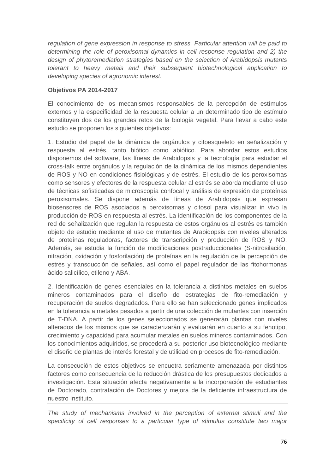*regulation of gene expression in response to stress. Particular attention will be paid to determining the role of peroxisomal dynamics in cell response regulation and 2) the design of phytoremediation strategies based on the selection of Arabidopsis mutants tolerant to heavy metals and their subsequent biotechnological application to developing species of agronomic interest.* 

## **Objetivos PA 2014-2017**

El conocimiento de los mecanismos responsables de la percepción de estímulos externos y la especificidad de la respuesta celular a un determinado tipo de estímulo constituyen dos de los grandes retos de la biología vegetal. Para llevar a cabo este estudio se proponen los siguientes objetivos:

1. Estudio del papel de la dinámica de orgánulos y citoesqueleto en señalización y respuesta al estrés, tanto biótico como abiótico. Para abordar estos estudios disponemos del software, las líneas de Arabidopsis y la tecnología para estudiar el cross-talk entre orgánulos y la regulación de la dinámica de los mismos dependientes de ROS y NO en condiciones fisiológicas y de estrés. El estudio de los peroxisomas como sensores y efectores de la respuesta celular al estrés se aborda mediante el uso de técnicas sofisticadas de microscopía confocal y análisis de expresión de proteínas peroxisomales. Se dispone además de líneas de Arabidopsis que expresan biosensores de ROS asociados a peroxisomas y citosol para visualizar in vivo la producción de ROS en respuesta al estrés. La identificación de los componentes de la red de señalización que regulan la respuesta de estos orgánulos al estrés es también objeto de estudio mediante el uso de mutantes de Arabidopsis con niveles alterados de proteínas reguladoras, factores de transcripción y producción de ROS y NO. Además, se estudia la función de modificaciones postraduccionales (S-nitrosilación, nitración, oxidación y fosforilación) de proteínas en la regulación de la percepción de estrés y transducción de señales, así como el papel regulador de las fitohormonas ácido salicílico, etileno y ABA.

2. Identificación de genes esenciales en la tolerancia a distintos metales en suelos mineros contaminados para el diseño de estrategias de fito-remediación y recuperación de suelos degradados. Para ello se han seleccionado genes implicados en la tolerancia a metales pesados a partir de una colección de mutantes con inserción de T-DNA. A partir de los genes seleccionados se generarán plantas con niveles alterados de los mismos que se caracterizarán y evaluarán en cuanto a su fenotipo, crecimiento y capacidad para acumular metales en suelos mineros contaminados. Con los conocimientos adquiridos, se procederá a su posterior uso biotecnológico mediante el diseño de plantas de interés forestal y de utilidad en procesos de fito-remediación.

La consecución de estos objetivos se encuetra seriamente amenazada por distintos factores como consecuencia de la reducción drástica de los presupuestos dedicados a investigación. Esta situación afecta negativamente a la incorporación de estudiantes de Doctorado, contratación de Doctores y mejora de la deficiente infraestructura de nuestro Instituto.

*The study of mechanisms involved in the perception of external stimuli and the specificity of cell responses to a particular type of stimulus constitute two major*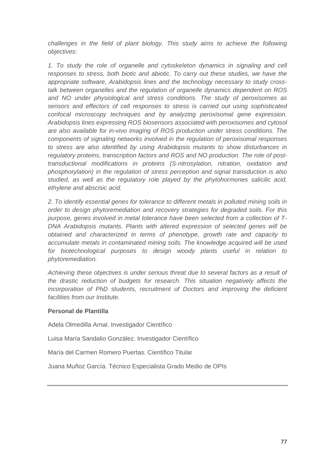*challenges in the field of plant biology. This study aims to achieve the following objectives:* 

*1. To study the role of organelle and cytoskeleton dynamics in signaling and cell responses to stress, both biotic and abiotic. To carry out these studies, we have the appropriate software, Arabidopsis lines and the technology necessary to study crosstalk between organelles and the regulation of organelle dynamics dependent on ROS and NO under physiological and stress conditions. The study of peroxisomes as sensors and effectors of cell responses to stress is carried out using sophisticated confocal microscopy techniques and by analyzing peroxisomal gene expression. Arabidopsis lines expressing ROS biosensors associated with peroxisomes and cytosol are also available for in-vivo imaging of ROS production under stress conditions. The components of signaling networks involved in the regulation of peroxisomal responses to stress are also identified by using Arabidopsis mutants to show disturbances in regulatory proteins, transcription factors and ROS and NO production. The role of posttransductional modifications in proteins (S-nitrosylation, nitration, oxidation and phosphorylation) in the regulation of stress perception and signal transduction is also studied, as well as the regulatory role played by the phytohormones salicilic acid, ethylene and abscisic acid.* 

*2. To identify essential genes for tolerance to different metals in polluted mining soils in order to design phytoremediation and recovery strategies for degraded soils. For this purpose, genes involved in metal tolerance have been selected from a collection of T-DNA Arabidopsis mutants. Plants with altered expression of selected genes will be obtained and characterized in terms of phenotype, growth rate and capacity to accumulate metals in contaminated mining soils. The knowledge acquired will be used for biotechnological purposes to design woody plants useful in relation to phytoremediation.* 

*Achieving these objectives is under serious threat due to several factors as a result of the drastic reduction of budgets for research. This situation negatively affects the incorporation of PhD students, recruitment of Doctors and improving the deficient facilities from our Institute.* 

#### **Personal de Plantilla**

Adela Olmedilla Arnal. Investigador Científico

Luisa María Sandalio González. Investigador Científico

María del Carmen Romero Puertas. Científico Titular

Juana Muñoz García. Técnico Especialista Grado Medio de OPIs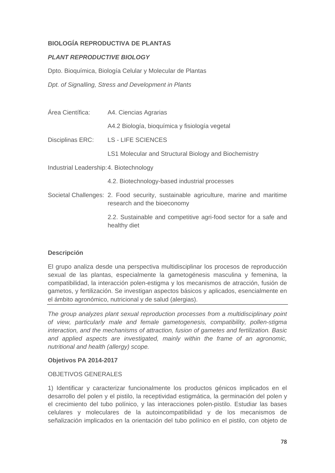## **BIOLOGÍA REPRODUCTIVA DE PLANTAS**

## *PLANT REPRODUCTIVE BIOLOGY*

Dpto. Bioquímica, Biología Celular y Molecular de Plantas

*Dpt. of Signalling, Stress and Development in Plants* 

| Área Científica:                        | A4. Ciencias Agrarias                                                                                              |
|-----------------------------------------|--------------------------------------------------------------------------------------------------------------------|
|                                         | A4.2 Biología, bioquímica y fisiología vegetal                                                                     |
|                                         | Disciplinas ERC: LS - LIFE SCIENCES                                                                                |
|                                         | LS1 Molecular and Structural Biology and Biochemistry                                                              |
| Industrial Leadership: 4. Biotechnology |                                                                                                                    |
|                                         | 4.2. Biotechnology-based industrial processes                                                                      |
|                                         | Societal Challenges: 2. Food security, sustainable agriculture, marine and maritime<br>research and the bioeconomy |
|                                         | 2.2. Sustainable and competitive agri-food sector for a safe and<br>healthy diet                                   |

## **Descripción**

El grupo analiza desde una perspectiva multidisciplinar los procesos de reproducción sexual de las plantas, especialmente la gametogénesis masculina y femenina, la compatibilidad, la interacción polen-estigma y los mecanismos de atracción, fusión de gametos, y fertilización. Se investigan aspectos básicos y aplicados, esencialmente en el ámbito agronómico, nutricional y de salud (alergias).

*The group analyzes plant sexual reproduction processes from a multidisciplinary point of view, particularly male and female gametogenesis, compatibility, pollen-stigma interaction, and the mechanisms of attraction, fusion of gametes and fertilization. Basic and applied aspects are investigated, mainly within the frame of an agronomic, nutritional and health (allergy) scope.* 

#### **Objetivos PA 2014-2017**

#### OBJETIVOS GENERALES

1) Identificar y caracterizar funcionalmente los productos génicos implicados en el desarrollo del polen y el pistilo, la receptividad estigmática, la germinación del polen y el crecimiento del tubo polínico, y las interacciones polen-pistilo. Estudiar las bases celulares y moleculares de la autoincompatibilidad y de los mecanismos de señalización implicados en la orientación del tubo polínico en el pistilo, con objeto de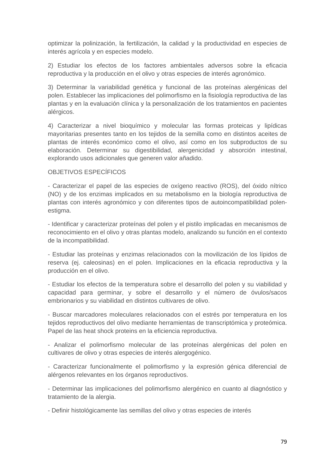optimizar la polinización, la fertilización, la calidad y la productividad en especies de interés agrícola y en especies modelo.

2) Estudiar los efectos de los factores ambientales adversos sobre la eficacia reproductiva y la producción en el olivo y otras especies de interés agronómico.

3) Determinar la variabilidad genética y funcional de las proteínas alergénicas del polen. Establecer las implicaciones del polimorfismo en la fisiología reproductiva de las plantas y en la evaluación clínica y la personalización de los tratamientos en pacientes alérgicos.

4) Caracterizar a nivel bioquímico y molecular las formas proteicas y lipídicas mayoritarias presentes tanto en los tejidos de la semilla como en distintos aceites de plantas de interés económico como el olivo, así como en los subproductos de su elaboración. Determinar su digestibilidad, alergenicidad y absorción intestinal, explorando usos adicionales que generen valor añadido.

#### OBJETIVOS ESPECÍFICOS

- Caracterizar el papel de las especies de oxígeno reactivo (ROS), del óxido nítrico (NO) y de los enzimas implicados en su metabolismo en la biología reproductiva de plantas con interés agronómico y con diferentes tipos de autoincompatibilidad polenestigma.

- Identificar y caracterizar proteínas del polen y el pistilo implicadas en mecanismos de reconocimiento en el olivo y otras plantas modelo, analizando su función en el contexto de la incompatibilidad.

- Estudiar las proteínas y enzimas relacionados con la movilización de los lípidos de reserva (ej. caleosinas) en el polen. Implicaciones en la eficacia reproductiva y la producción en el olivo.

- Estudiar los efectos de la temperatura sobre el desarrollo del polen y su viabilidad y capacidad para germinar, y sobre el desarrollo y el número de óvulos/sacos embrionarios y su viabilidad en distintos cultivares de olivo.

- Buscar marcadores moleculares relacionados con el estrés por temperatura en los tejidos reproductivos del olivo mediante herramientas de transcriptómica y proteómica. Papel de las heat shock proteins en la eficiencia reproductiva.

- Analizar el polimorfismo molecular de las proteínas alergénicas del polen en cultivares de olivo y otras especies de interés alergogénico.

- Caracterizar funcionalmente el polimorfismo y la expresión génica diferencial de alérgenos relevantes en los órganos reproductivos.

- Determinar las implicaciones del polimorfismo alergénico en cuanto al diagnóstico y tratamiento de la alergia.

- Definir histológicamente las semillas del olivo y otras especies de interés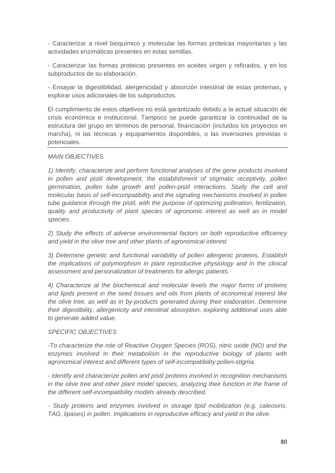- Caracterizar a nivel bioquímico y molecular las formas proteicas mayoritarias y las actividades enzimáticas presentes en estas semillas.

- Caracterizar las formas proteicas presentes en aceites virgen y refinados, y en los subproductos de su elaboración.

- Ensayar la digestibilidad, alergenicidad y absorción intestinal de estas proteínas, y explorar usos adicionales de los subproductos.

El cumplimiento de estos objetivos no está garantizado debido a la actual situación de crisis económica e institucional. Tampoco se puede garantizar la continuidad de la estructura del grupo en términos de personal, financiación (incluidos los proyectos en marcha), ni las técnicas y equipamientos disponibles, o las inversiones previstas o potenciales.

#### *MAIN OBJECTIVES*

*1) Identify, characterize and perform functional analyses of the gene products involved in pollen and pistil development, the establishment of stigmatic receptivity, pollen germination, pollen tube growth and pollen-pistil interactions. Study the cell and molecular basis of self-incompatibility and the signaling mechanisms involved in pollen tube guidance through the pistil, with the purpose of optimizing pollination, fertilization, quality and productivity of plant species of agronomic interest as well as in model species.* 

*2) Study the effects of adverse environmental factors on both reproductive efficiency and yield in the olive tree and other plants of agronomical interest* 

*3) Determine genetic and functional variability of pollen allergenic proteins. Establish the implications of polymorphism in plant reproductive physiology and in the clinical assessment and personalization of treatments for allergic patients.* 

*4) Characterize at the biochemical and molecular levels the major forms of proteins and lipids present in the seed tissues and oils from plants of economical interest like the olive tree, as well as in by-products generated during their elaboration. Determine their digestibility, allergenicity and intestinal absorption, exploring additional uses able to generate added value.* 

## *SPECIFIC OBJECTIVES*

*-To characterize the role of Reactive Oxygen Species (ROS), nitric oxide (NO) and the enzymes involved in their metabolism in the reproductive biology of plants with agronomical interest and different types of self-incompatibility pollen-stigma.* 

*- Identify and characterize pollen and pistil proteins involved in recognition mechanisms in the olive tree and other plant model species, analyzing their function in the frame of the different self-incompatibility models already described.* 

*- Study proteins and enzymes involved in storage lipid mobilization (e.g. caleosins, TAG, lipases) in pollen. Implications in reproductive efficacy and yield in the olive.*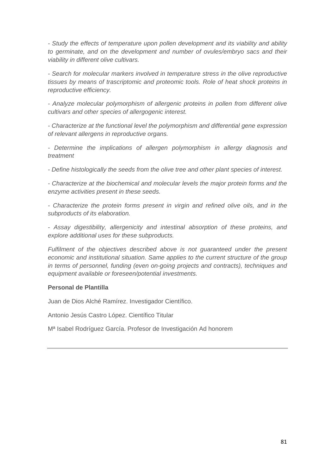*- Study the effects of temperature upon pollen development and its viability and ability to germinate, and on the development and number of ovules/embryo sacs and their viability in different olive cultivars.* 

*- Search for molecular markers involved in temperature stress in the olive reproductive tissues by means of trascriptomic and proteomic tools. Role of heat shock proteins in reproductive efficiency.* 

*- Analyze molecular polymorphism of allergenic proteins in pollen from different olive cultivars and other species of allergogenic interest.* 

*- Characterize at the functional level the polymorphism and differential gene expression of relevant allergens in reproductive organs.* 

*- Determine the implications of allergen polymorphism in allergy diagnosis and treatment* 

*- Define histologically the seeds from the olive tree and other plant species of interest.* 

*- Characterize at the biochemical and molecular levels the major protein forms and the enzyme activities present in these seeds.* 

*- Characterize the protein forms present in virgin and refined olive oils, and in the subproducts of its elaboration.* 

*- Assay digestibility, allergenicity and intestinal absorption of these proteins, and explore additional uses for these subproducts.* 

Fulfilment of the objectives described above is not quaranteed under the present *economic and institutional situation. Same applies to the current structure of the group in terms of personnel, funding (even on-going projects and contracts), techniques and equipment available or foreseen/potential investments.* 

## **Personal de Plantilla**

Juan de Dios Alché Ramírez. Investigador Científico.

Antonio Jesús Castro López. Científico Titular

Mª Isabel Rodríguez García. Profesor de Investigación Ad honorem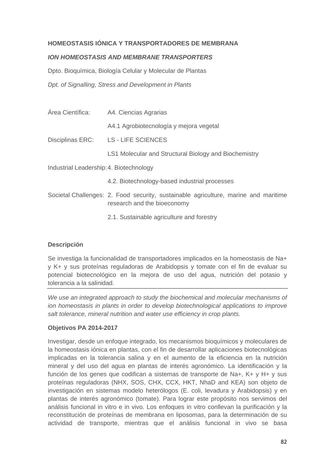## **HOMEOSTASIS IÓNICA Y TRANSPORTADORES DE MEMBRANA**

#### *ION HOMEOSTASIS AND MEMBRANE TRANSPORTERS*

Dpto. Bioquímica, Biología Celular y Molecular de Plantas *Dpt. of Signalling, Stress and Development in Plants* 

Área Científica: A4. Ciencias Agrarias A4.1 Agrobiotecnología y mejora vegetal Disciplinas ERC: LS - LIFE SCIENCES LS1 Molecular and Structural Biology and Biochemistry Industrial Leadership: 4. Biotechnology 4.2. Biotechnology-based industrial processes

- Societal Challenges: 2. Food security, sustainable agriculture, marine and maritime research and the bioeconomy
	- 2.1. Sustainable agriculture and forestry

#### **Descripción**

Se investiga la funcionalidad de transportadores implicados en la homeostasis de Na+ y K+ y sus proteínas reguladoras de Arabidopsis y tomate con el fin de evaluar su potencial biotecnológico en la mejora de uso del agua, nutrición del potasio y tolerancia a la salinidad.

*We use an integrated approach to study the biochemical and molecular mechanisms of ion homeostasis in plants in order to develop biotechnological applications to improve salt tolerance, mineral nutrition and water use efficiency in crop plants*.

#### **Objetivos PA 2014-2017**

Investigar, desde un enfoque integrado, los mecanismos bioquímicos y moleculares de la homeostasis iónica en plantas, con el fin de desarrollar aplicaciones biotecnológicas implicadas en la tolerancia salina y en el aumento de la eficiencia en la nutrición mineral y del uso del agua en plantas de interés agronómico. La identificación y la función de los genes que codifican a sistemas de transporte de Na+, K+ y H+ y sus proteínas reguladoras (NHX, SOS, CHX, CCX, HKT, NhaD and KEA) son objeto de investigación en sistemas modelo heterólogos (E. coli, levadura y Arabidopsis) y en plantas de interés agronómico (tomate). Para lograr este propósito nos servimos del análisis funcional in vitro e in vivo. Los enfoques in vitro conllevan la purificación y la reconstitución de proteínas de membrana en liposomas, para la determinación de su actividad de transporte, mientras que el análisis funcional in vivo se basa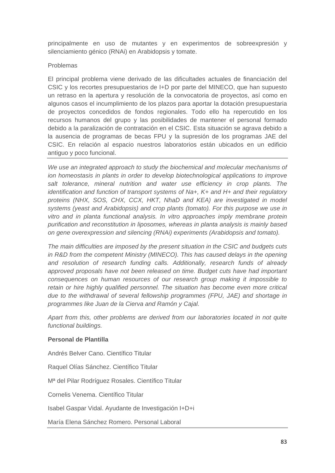principalmente en uso de mutantes y en experimentos de sobreexpresión y silenciamiento génico (RNAi) en Arabidopsis y tomate.

#### Problemas

El principal problema viene derivado de las dificultades actuales de financiación del CSIC y los recortes presupuestarios de I+D por parte del MINECO, que han supuesto un retraso en la apertura y resolución de la convocatoria de proyectos, así como en algunos casos el incumplimiento de los plazos para aportar la dotación presupuestaria de proyectos concedidos de fondos regionales. Todo ello ha repercutido en los recursos humanos del grupo y las posibilidades de mantener el personal formado debido a la paralización de contratación en el CSIC. Esta situación se agrava debido a la ausencia de programas de becas FPU y la supresión de los programas JAE del CSIC. En relación al espacio nuestros laboratorios están ubicados en un edificio antiguo y poco funcional.

*We use an integrated approach to study the biochemical and molecular mechanisms of ion homeostasis in plants in order to develop biotechnological applications to improve salt tolerance, mineral nutrition and water use efficiency in crop plants. The identification and function of transport systems of Na+, K+ and H+ and their regulatory proteins (NHX, SOS, CHX, CCX, HKT, NhaD and KEA) are investigated in model systems (yeast and Arabidopsis) and crop plants (tomato). For this purpose we use in vitro and in planta functional analysis. In vitro approaches imply membrane protein purification and reconstitution in liposomes, whereas in planta analysis is mainly based on gene overexpression and silencing (RNAi) experiments (Arabidopsis and tomato).* 

*The main difficulties are imposed by the present situation in the CSIC and budgets cuts*  in R&D from the competent Ministry (MINECO). This has caused delays in the opening *and resolution of research funding calls. Additionally, research funds of already approved proposals have not been released on time. Budget cuts have had important consequences on human resources of our research group making it impossible to retain or hire highly qualified personnel. The situation has become even more critical due to the withdrawal of several fellowship programmes (FPU, JAE) and shortage in programmes like Juan de la Cierva and Ramón y Cajal.* 

*Apart from this, other problems are derived from our laboratories located in not quite functional buildings.* 

## **Personal de Plantilla**

Andrés Belver Cano. Científico Titular

Raquel Olías Sánchez. Científico Titular

Mª del Pilar Rodríguez Rosales. Científico Titular

Cornelis Venema. Científico Titular

Isabel Gaspar Vidal. Ayudante de Investigación I+D+i

María Elena Sánchez Romero. Personal Laboral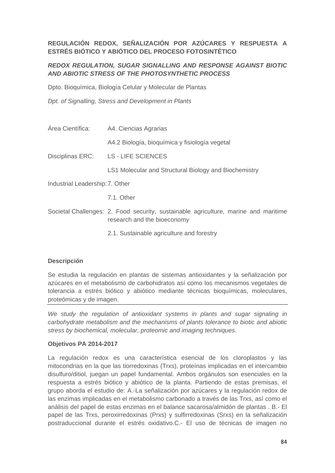## **REGULACIÓN REDOX, SEÑALIZACIÓN POR AZÚCARES Y RESPUESTA A ESTRÉS BIÓTICO Y ABIÓTICO DEL PROCESO FOTOSINTÉTICO**

## *REDOX REGULATION, SUGAR SIGNALLING AND RESPONSE AGAINST BIOTIC AND ABIOTIC STRESS OF THE PHOTOSYNTHETIC PROCESS*

Dpto. Bioquímica, Biología Celular y Molecular de Plantas

*Dpt. of Signalling, Stress and Development in Plants* 

Área Científica: A4. Ciencias Agrarias A4.2 Biología, bioquímica y fisiología vegetal Disciplinas ERC: LS - LIFE SCIENCES LS1 Molecular and Structural Biology and Biochemistry

Industrial Leadership: 7. Other

7.1. Other

Societal Challenges: 2. Food security, sustainable agriculture, marine and maritime research and the bioeconomy

2.1. Sustainable agriculture and forestry

## **Descripción**

Se estudia la regulación en plantas de sistemas antioxidantes y la señalización por azúcares en el metabolismo de carbohidratos así como los mecanismos vegetales de tolerancia a estrés biótico y abiótico mediante técnicas bioquímicas, moleculares, proteómicas y de imagen.

*We study the regulation of antioxidant systems in plants and sugar signaling in carbohydrate metabolism and the mechanisms of plants tolerance to biotic and abiotic stress by biochemical, molecular, proteomic and imaging techniques.* 

## **Objetivos PA 2014-2017**

La regulación redox es una característica esencial de los cloroplastos y las mitocondrias en la que las tiorredoxinas (Trxs), proteínas implicadas en el intercambio disulfuro/ditiol, juegan un papel fundamental. Ambos orgánulos son esenciales en la respuesta a estrés biótico y abiótico de la planta. Partiendo de estas premisas, el grupo aborda el estudio de: A.-La señalización por azúcares y la regulación redox de las enzimas implicadas en el metabolismo carbonado a través de las Trxs, así como el análisis del papel de estas enzimas en el balance sacarosa/almidón de plantas . B.- El papel de las Trxs, peroxirredoxinas (Prxs) y sulfirredoxinas (Srxs) en la señalización postraduccional durante el estrés oxidativo.C.- El uso de técnicas de imagen no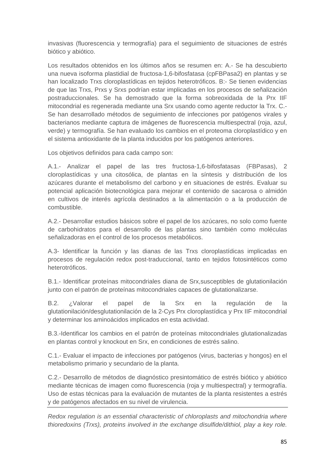invasivas (fluorescencia y termografía) para el seguimiento de situaciones de estrés biótico y abiótico.

Los resultados obtenidos en los últimos años se resumen en: A.- Se ha descubierto una nueva isoforma plastidial de fructosa-1,6-bifosfatasa (cpFBPasa2) en plantas y se han localizado Trxs cloroplastídicas en tejidos heterotróficos. B:- Se tienen evidencias de que las Trxs, Prxs y Srxs podrían estar implicadas en los procesos de señalización postraduccionales. Se ha demostrado que la forma sobreoxidada de la Prx IIF mitocondrial es regenerada mediante una Srx usando como agente reductor la Trx. C.- Se han desarrollado métodos de seguimiento de infecciones por patógenos virales y bacterianos mediante captura de imágenes de fluorescencia multiespectral (roja, azul, verde) y termografía. Se han evaluado los cambios en el proteoma cloroplastídico y en el sistema antioxidante de la planta inducidos por los patógenos anteriores.

Los objetivos definidos para cada campo son:

A.1.- Analizar el papel de las tres fructosa-1,6-bifosfatasas (FBPasas), 2 cloroplastídicas y una citosólica, de plantas en la síntesis y distribución de los azúcares durante el metabolismo del carbono y en situaciones de estrés. Evaluar su potencial aplicación biotecnológica para mejorar el contenido de sacarosa o almidón en cultivos de interés agrícola destinados a la alimentación o a la producción de combustible.

A.2.- Desarrollar estudios básicos sobre el papel de los azúcares, no solo como fuente de carbohidratos para el desarrollo de las plantas sino también como moléculas señalizadoras en el control de los procesos metabólicos.

A.3- Identificar la función y las dianas de las Trxs cloroplastídicas implicadas en procesos de regulación redox post-traduccional, tanto en tejidos fotosintéticos como heterotróficos.

B.1.- Identificar proteínas mitocondriales diana de Srx,susceptibles de glutationilación junto con el patrón de proteínas mitocondriales capaces de glutationalizarse.

B.2. ¿Valorar el papel de la Srx en la regulación de la glutationilación/desglutationilación de la 2-Cys Prx cloroplastídica y Prx IIF mitocondrial y determinar los aminoácidos implicados en esta actividad.

B.3.-Identificar los cambios en el patrón de proteínas mitocondriales glutationalizadas en plantas control y knockout en Srx, en condiciones de estrés salino.

C.1.- Evaluar el impacto de infecciones por patógenos (virus, bacterias y hongos) en el metabolismo primario y secundario de la planta.

C.2.- Desarrollo de métodos de diagnóstico presintomático de estrés biótico y abiótico mediante técnicas de imagen como fluorescencia (roja y multiespectral) y termografía. Uso de estas técnicas para la evaluación de mutantes de la planta resistentes a estrés y de patógenos afectados en su nivel de virulencia.

*Redox regulation is an essential characteristic of chloroplasts and mitochondria where thioredoxins (Trxs), proteins involved in the exchange disulfide/dithiol, play a key role.*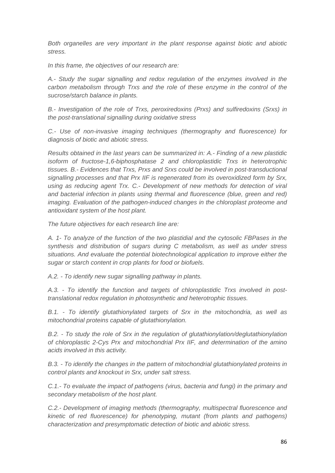*Both organelles are very important in the plant response against biotic and abiotic stress.* 

*In this frame, the objectives of our research are:* 

*A.- Study the sugar signalling and redox regulation of the enzymes involved in the carbon metabolism through Trxs and the role of these enzyme in the control of the sucrose/starch balance in plants.* 

*B.- Investigation of the role of Trxs, peroxiredoxins (Prxs) and sulfiredoxins (Srxs) in the post-translational signalling during oxidative stress* 

*C.- Use of non-invasive imaging techniques (thermography and fluorescence) for diagnosis of biotic and abiotic stress.* 

*Results obtained in the last years can be summarized in: A.- Finding of a new plastidic isoform of fructose-1,6-biphosphatase 2 and chloroplastidic Trxs in heterotrophic tissues. B.- Evidences that Trxs, Prxs and Srxs could be involved in post-transductional signalling processes and that Prx IIF is regenerated from its overoxidized form by Srx, using as reducing agent Trx. C.- Development of new methods for detection of viral* and bacterial infection in plants using thermal and fluorescence (blue, green and red) *imaging. Evaluation of the pathogen-induced changes in the chloroplast proteome and antioxidant system of the host plant.* 

*The future objectives for each research line are:* 

*A. 1- To analyze of the function of the two plastidial and the cytosolic FBPases in the synthesis and distribution of sugars during C metabolism, as well as under stress situations. And evaluate the potential biotechnological application to improve either the sugar or starch content in crop plants for food or biofuels.* 

*A.2. - To identify new sugar signalling pathway in plants.* 

*A.3. - To identify the function and targets of chloroplastidic Trxs involved in posttranslational redox regulation in photosynthetic and heterotrophic tissues.* 

*B.1. - To identify glutathionylated targets of Srx in the mitochondria, as well as mitochondrial proteins capable of glutathionylation.* 

*B.2. - To study the role of Srx in the regulation of glutathionylation/deglutathionylation of chloroplastic 2-Cys Prx and mitochondrial Prx IIF, and determination of the amino acids involved in this activity.* 

*B.3. - To identify the changes in the pattern of mitochondrial glutathionylated proteins in control plants and knockout in Srx, under salt stress.* 

*C.1.- To evaluate the impact of pathogens (virus, bacteria and fungi) in the primary and secondary metabolism of the host plant.* 

*C.2.- Development of imaging methods (thermography, multispectral fluorescence and kinetic of red fluorescence) for phenotyping, mutant (from plants and pathogens) characterization and presymptomatic detection of biotic and abiotic stress.*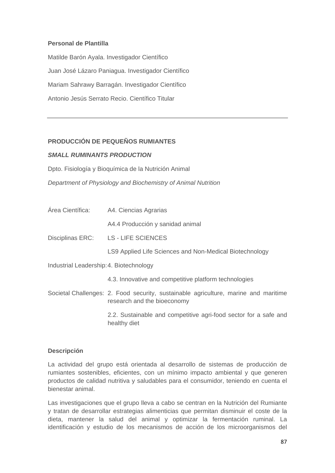#### **Personal de Plantilla**

Matilde Barón Ayala. Investigador Científico Juan José Lázaro Paniagua. Investigador Científico Mariam Sahrawy Barragán. Investigador Científico Antonio Jesús Serrato Recio. Científico Titular

## **PRODUCCIÓN DE PEQUEÑOS RUMIANTES**

#### *SMALL RUMINANTS PRODUCTION*

Dpto. Fisiología y Bioquímica de la Nutrición Animal

*Department of Physiology and Biochemistry of Animal Nutrition*

Área Científica: A4. Ciencias Agrarias

A4.4 Producción y sanidad animal

Disciplinas ERC: LS - LIFE SCIENCES

LS9 Applied Life Sciences and Non-Medical Biotechnology

Industrial Leadership: 4. Biotechnology

- 4.3. Innovative and competitive platform technologies
- Societal Challenges: 2. Food security, sustainable agriculture, marine and maritime research and the bioeconomy

 2.2. Sustainable and competitive agri-food sector for a safe and healthy diet

#### **Descripción**

La actividad del grupo está orientada al desarrollo de sistemas de producción de rumiantes sostenibles, eficientes, con un mínimo impacto ambiental y que generen productos de calidad nutritiva y saludables para el consumidor, teniendo en cuenta el bienestar animal.

Las investigaciones que el grupo lleva a cabo se centran en la Nutrición del Rumiante y tratan de desarrollar estrategias alimenticias que permitan disminuir el coste de la dieta, mantener la salud del animal y optimizar la fermentación ruminal. La identificación y estudio de los mecanismos de acción de los microorganismos del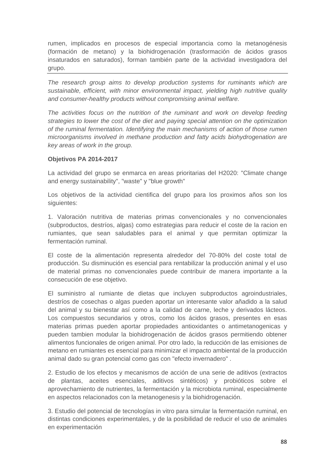rumen, implicados en procesos de especial importancia como la metanogénesis (formación de metano) y la biohidrogenación (trasformación de ácidos grasos insaturados en saturados), forman también parte de la actividad investigadora del grupo.

*The research group aims to develop production systems for ruminants which are sustainable, efficient, with minor environmental impact, yielding high nutritive quality and consumer-healthy products without compromising animal welfare.* 

The activities focus on the nutrition of the ruminant and work on develop feeding *strategies to lower the cost of the diet and paying special attention on the optimization of the ruminal fermentation. Identifying the main mechanisms of action of those rumen microorganisms involved in methane production and fatty acids biohydrogenation are key areas of work in the group.* 

#### **Objetivos PA 2014-2017**

La actividad del grupo se enmarca en areas prioritarias del H2020: "Climate change and energy sustainability", "waste" y "blue growth"

Los objetivos de la actividad cientifica del grupo para los proximos años son los siguientes:

1. Valoración nutritiva de materias primas convencionales y no convencionales (subproductos, destríos, algas) como estrategias para reducir el coste de la racion en rumiantes, que sean saludables para el animal y que permitan optimizar la fermentación ruminal.

El coste de la alimentación representa alrededor del 70-80% del coste total de producción. Su disminución es esencial para rentabilizar la producción animal y el uso de material primas no convencionales puede contribuir de manera importante a la consecución de ese objetivo.

El suministro al rumiante de dietas que incluyen subproductos agroindustriales, destríos de cosechas o algas pueden aportar un interesante valor añadido a la salud del animal y su bienestar así como a la calidad de carne, leche y derivados lácteos. Los compuestos secundarios y otros, como los ácidos grasos, presentes en esas materias primas pueden aportar propiedades antioxidantes o antimetanogenicas y pueden tambien modular la biohidrogenación de ácidos grasos permitiendo obtener alimentos funcionales de origen animal. Por otro lado, la reducción de las emisiones de metano en rumiantes es esencial para minimizar el impacto ambiental de la producción animal dado su gran potencial como gas con "efecto invernadero" .

2. Estudio de los efectos y mecanismos de acción de una serie de aditivos (extractos de plantas, aceites esenciales, aditivos sintéticos) y probióticos sobre el aprovechamiento de nutrientes, la fermentación y la microbiota ruminal, especialmente en aspectos relacionados con la metanogenesis y la biohidrogenación.

3. Estudio del potencial de tecnologías in vitro para simular la fermentación ruminal, en distintas condiciones experimentales, y de la posibilidad de reducir el uso de animales en experimentación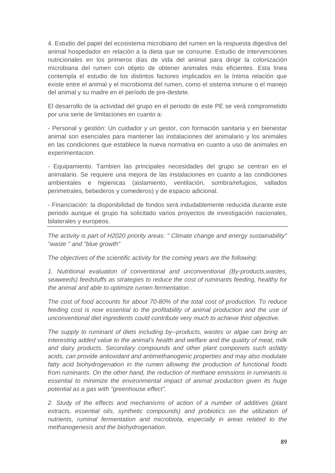4. Estudio del papel del ecosistema microbiano del rumen en la respuesta digestiva del animal hospedador en relación a la dieta que se consume. Estudio de intervenciones nutricionales en los primeros días de vida del animal para dirigir la colonización microbiana del rumen con objeto de obtener animales más eficientes. Esta línea contempla el estudio de los distintos factores implicados en la íntima relación que existe entre el animal y el microbioma del rumen, como el sistema inmune o el manejo del animal y su madre en el período de pre-destete.

El desarrollo de la actividad del grupo en el periodo de este PE se verá comprometido por una serie de limitaciones en cuanto a:

- Personal y gestión: Un cuidador y un gestor, con formación sanitaria y en bienestar animal son esenciales para mantener las instalaciones del animalario y los animales en las condiciones que establece la nueva normativa en cuanto a uso de animales en experimentacion.

- Equipamiento. Tambien las principales necesidades del grupo se centran en el animalario. Se requiere una mejora de las instalaciones en cuanto a las condiciones ambientales e higienicas (aislamiento, ventilación, sombra/refugios, vallados perimetrales, bebederos y comederos) y de espacio adicional.

- Financiación: la disponibilidad de fondos será indudablemente reducida durante este periodo aunque el grupo ha solicitado varios proyectos de investigación nacionales, bilaterales y europeos.

*The activity is part of H2020 priority areas: " Climate change and energy sustainability" "waste " and "blue growth"* 

*The objectives of the scientific activity for the coming years are the following:* 

*1. Nutritional evaluation of conventional and unconventional (By-products,wastes, seaweeds) feedstuffs as strategies to reduce the cost of ruminants feeding, healthy for the animal and able to optimize rumen fermentation .* 

*The cost of food accounts for about 70-80% of the total cost of production. To reduce*  feeding cost is now essential to the profitability of animal production and the use of *unconventional diet ingredients could contribute very much to achieve thist objective.* 

*The supply to ruminant of diets including by--products, wastes or algae can bring an interesting added value to the animal's health and welfare and the quality of meat, milk and dairy products. Secondary compounds and other plant componets such asfatty acids, can provide antioxidant and antimethanogenic properties and may also modulate fatty acid biohydrogenation in the rumen allowing the production of functional foods from ruminants. On the other hand, the reduction of methane emissions in ruminants is essential to minimize the environmental impact of animal production given its huge potential as a gas with "greenhouse effect".* 

*2. Study of the effects and mechanisms of action of a number of additives (plant*  extracts, essential oils, synthetic compounds) and probiotics on the utilization of *nutrients, ruminal fermentation and microbiota, especially in areas related to the methanogenesis and the biohydrogenation.*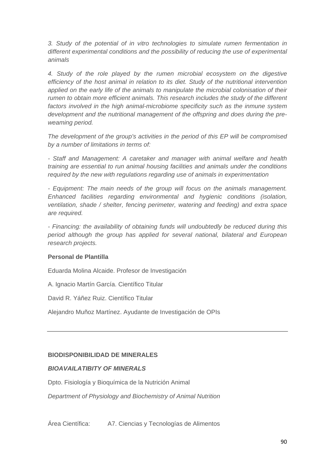*3. Study of the potential of in vitro technologies to simulate rumen fermentation in different experimental conditions and the possibility of reducing the use of experimental animals* 

*4. Study of the role played by the rumen microbial ecosystem on the digestive efficiency of the host animal in relation to its diet. Study of the nutritional intervention*  applied on the early life of the animals to manipulate the microbial colonisation of their *rumen to obtain more efficient animals. This research includes the study of the different*  factors involved in the high animal-microbiome specificity such as the inmune system *development and the nutritional management of the offspring and does during the preweaming period.* 

*The development of the group's activities in the period of this EP will be compromised by a number of limitations in terms of:* 

*- Staff and Management: A caretaker and manager with animal welfare and health training are essential to run animal housing facilities and animals under the conditions required by the new with regulations regarding use of animals in experimentation* 

*- Equipment: The main needs of the group will focus on the animals management. Enhanced facilities regarding environmental and hygienic conditions (isolation, ventilation, shade / shelter, fencing perimeter, watering and feeding) and extra space are required.* 

*- Financing: the availability of obtaining funds will undoubtedly be reduced during this period although the group has applied for several national, bilateral and European research projects.* 

#### **Personal de Plantilla**

Eduarda Molina Alcaide. Profesor de Investigación

A. Ignacio Martín García. Científico Titular

David R. Yáñez Ruiz. Científico Titular

Alejandro Muñoz Martínez. Ayudante de Investigación de OPIs

## **BIODISPONIBILIDAD DE MINERALES**

## *BIOAVAILATIBITY OF MINERALS*

Dpto. Fisiología y Bioquímica de la Nutrición Animal

*Department of Physiology and Biochemistry of Animal Nutrition*

Área Científica: A7. Ciencias y Tecnologías de Alimentos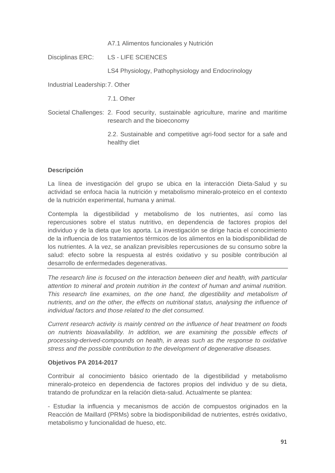A7.1 Alimentos funcionales y Nutrición

Disciplinas ERC: LS - LIFE SCIENCES

LS4 Physiology, Pathophysiology and Endocrinology

Industrial Leadership: 7. Other

7.1. Other

Societal Challenges: 2. Food security, sustainable agriculture, marine and maritime research and the bioeconomy

> 2.2. Sustainable and competitive agri-food sector for a safe and healthy diet

#### **Descripción**

La línea de investigación del grupo se ubica en la interacción Dieta-Salud y su actividad se enfoca hacia la nutrición y metabolismo mineralo-proteico en el contexto de la nutrición experimental, humana y animal.

Contempla la digestibilidad y metabolismo de los nutrientes, así como las repercusiones sobre el status nutritivo, en dependencia de factores propios del individuo y de la dieta que los aporta. La investigación se dirige hacia el conocimiento de la influencia de los tratamientos térmicos de los alimentos en la biodisponibilidad de los nutrientes. A la vez, se analizan previsibles repercusiones de su consumo sobre la salud: efecto sobre la respuesta al estrés oxidativo y su posible contribución al desarrollo de enfermedades degenerativas.

*The research line is focused on the interaction between diet and health, with particular attention to mineral and protein nutrition in the context of human and animal nutrition. This research line examines, on the one hand, the digestibility and metabolism of nutrients, and on the other, the effects on nutritional status, analysing the influence of individual factors and those related to the diet consumed.* 

*Current research activity is mainly centred on the influence of heat treatment on foods on nutrients bioavailability. In addition, we are examining the possible effects of processing-derived-compounds on health, in areas such as the response to oxidative stress and the possible contribution to the development of degenerative diseases.* 

#### **Objetivos PA 2014-2017**

Contribuir al conocimiento básico orientado de la digestibilidad y metabolismo mineralo-proteico en dependencia de factores propios del individuo y de su dieta, tratando de profundizar en la relación dieta-salud. Actualmente se plantea:

- Estudiar la influencia y mecanismos de acción de compuestos originados en la Reacción de Maillard (PRMs) sobre la biodisponibilidad de nutrientes, estrés oxidativo, metabolismo y funcionalidad de hueso, etc.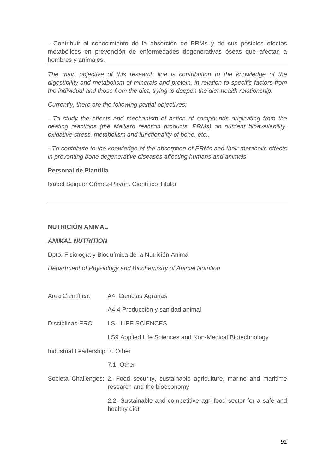- Contribuir al conocimiento de la absorción de PRMs y de sus posibles efectos metabólicos en prevención de enfermedades degenerativas óseas que afectan a hombres y animales.

*The main objective of this research line is contribution to the knowledge of the digestibility and metabolism of minerals and protein, in relation to specific factors from the individual and those from the diet, trying to deepen the diet-health relationship.* 

*Currently, there are the following partial objectives:* 

*- To study the effects and mechanism of action of compounds originating from the heating reactions (the Maillard reaction products, PRMs) on nutrient bioavailability, oxidative stress, metabolism and functionality of bone, etc..* 

*- To contribute to the knowledge of the absorption of PRMs and their metabolic effects in preventing bone degenerative diseases affecting humans and animals* 

#### **Personal de Plantilla**

Isabel Seiquer Gómez-Pavón. Científico Titular

## **NUTRICIÓN ANIMAL**

#### *ANIMAL NUTRITION*

Dpto. Fisiología y Bioquímica de la Nutrición Animal

*Department of Physiology and Biochemistry of Animal Nutrition* 

Área Científica: A4. Ciencias Agrarias

A4.4 Producción y sanidad animal

Disciplinas ERC: LS - LIFE SCIENCES

LS9 Applied Life Sciences and Non-Medical Biotechnology

Industrial Leadership: 7. Other

7.1. Other

Societal Challenges: 2. Food security, sustainable agriculture, marine and maritime research and the bioeconomy

> 2.2. Sustainable and competitive agri-food sector for a safe and healthy diet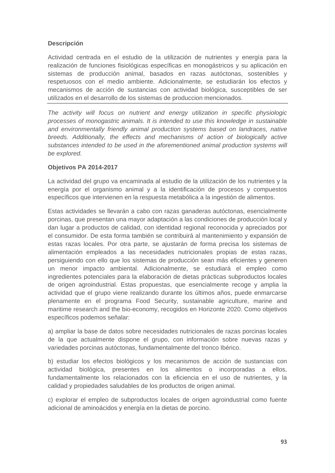## **Descripción**

Actividad centrada en el estudio de la utilización de nutrientes y energía para la realización de funciones fisiológicas específicas en monogástricos y su aplicación en sistemas de producción animal, basados en razas autóctonas, sostenibles y respetuosos con el medio ambiente. Adicionalmente, se estudiarán los efectos y mecanismos de acción de sustancias con actividad biológica, susceptibles de ser utilizados en el desarrollo de los sistemas de produccion mencionados.

*The activity will focus on nutrient and energy utilization in specific physiologic processes of monogastric animals. It is intended to use this knowledge in sustainable and environmentally friendly animal production systems based on landraces, native breeds. Additionally, the effects and mechanisms of action of biologically active substances intended to be used in the aforementioned animal production systems will be explored.* 

## **Objetivos PA 2014-2017**

La actividad del grupo va encaminada al estudio de la utilización de los nutrientes y la energía por el organismo animal y a la identificación de procesos y compuestos específicos que intervienen en la respuesta metabólica a la ingestión de alimentos.

Estas actividades se llevarán a cabo con razas ganaderas autóctonas, esencialmente porcinas, que presentan una mayor adaptación a las condiciones de producción local y dan lugar a productos de calidad, con identidad regional reconocida y apreciados por el consumidor. De esta forma también se contribuirá al mantenimiento y expansión de estas razas locales. Por otra parte, se ajustarán de forma precisa los sistemas de alimentación empleados a las necesidades nutricionales propias de estas razas, persiguiendo con ello que los sistemas de producción sean más eficientes y generen un menor impacto ambiental. Adicionalmente, se estudiará el empleo como ingredientes potenciales para la elaboración de dietas prácticas subproductos locales de origen agroindustrial. Estas propuestas, que esencialmente recoge y amplia la actividad que el grupo viene realizando durante los últimos años, puede enmarcarse plenamente en el programa Food Security, sustainable agriculture, marine and maritime research and the bio-economy, recogidos en Horizonte 2020. Como objetivos específicos podemos señalar:

a) ampliar la base de datos sobre necesidades nutricionales de razas porcinas locales de la que actualmente dispone el grupo, con información sobre nuevas razas y variedades porcinas autóctonas, fundamentalmente del tronco Ibérico.

b) estudiar los efectos biológicos y los mecanismos de acción de sustancias con actividad biológica, presentes en los alimentos o incorporadas a ellos, fundamentalmente los relacionados con la eficiencia en el uso de nutrientes, y la calidad y propiedades saludables de los productos de origen animal.

c) explorar el empleo de subproductos locales de origen agroindustrial como fuente adicional de aminoácidos y energía en la dietas de porcino.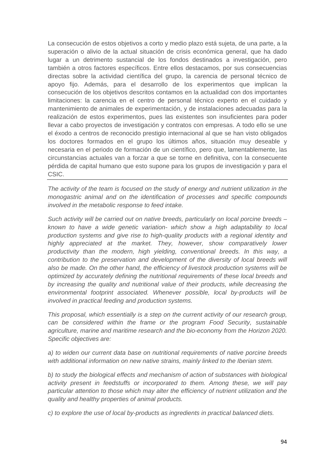La consecución de estos objetivos a corto y medio plazo está sujeta, de una parte, a la superación o alivio de la actual situación de crisis económica general, que ha dado lugar a un detrimento sustancial de los fondos destinados a investigación, pero también a otros factores específicos. Entre ellos destacamos, por sus consecuencias directas sobre la actividad científica del grupo, la carencia de personal técnico de apoyo fijo. Además, para el desarrollo de los experimentos que implican la consecución de los objetivos descritos contamos en la actualidad con dos importantes limitaciones: la carencia en el centro de personal técnico experto en el cuidado y mantenimiento de animales de experimentación, y de instalaciones adecuadas para la realización de estos experimentos, pues las existentes son insuficientes para poder llevar a cabo proyectos de investigación y contratos con empresas. A todo ello se une el éxodo a centros de reconocido prestigio internacional al que se han visto obligados los doctores formados en el grupo los últimos años, situación muy deseable y necesaria en el periodo de formación de un científico, pero que, lamentablemente, las circunstancias actuales van a forzar a que se torne en definitiva, con la consecuente pérdida de capital humano que esto supone para los grupos de investigación y para el CSIC.

*The activity of the team is focused on the study of energy and nutrient utilization in the monogastric animal and on the identification of processes and specific compounds involved in the metabolic response to feed intake.* 

*Such activity will be carried out on native breeds, particularly on local porcine breeds – known to have a wide genetic variation- which show a high adaptability to local production systems and give rise to high-quality products with a regional identity and highly appreciated at the market. They, however, show comparatively lower productivity than the modern, high yielding, conventional breeds. In this way, a contribution to the preservation and development of the diversity of local breeds will also be made. On the other hand, the efficiency of livestock production systems will be optimized by accurately defining the nutritional requirements of these local breeds and by increasing the quality and nutritional value of their products, while decreasing the environmental footprint associated. Whenever possible, local by-products will be involved in practical feeding and production systems.* 

*This proposal, which essentially is a step on the current activity of our research group, can be considered within the frame or the program Food Security, sustainable agriculture, marine and maritime research and the bio-economy from the Horizon 2020. Specific objectives are:* 

*a) to widen our current data base on nutritional requirements of native porcine breeds with additional information on new native strains, mainly linked to the Iberian stem.* 

*b) to study the biological effects and mechanism of action of substances with biological activity present in feedstuffs or incorporated to them. Among these, we will pay particular attention to those which may alter the efficiency of nutrient utilization and the quality and healthy properties of animal products.* 

*c) to explore the use of local by-products as ingredients in practical balanced diets.*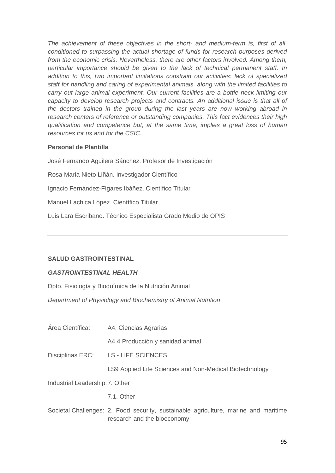*The achievement of these objectives in the short- and medium-term is, first of all, conditioned to surpassing the actual shortage of funds for research purposes derived*  from the economic crisis. Nevertheless, there are other factors involved. Among them, *particular importance should be given to the lack of technical permanent staff. In addition to this, two important limitations constrain our activities: lack of specialized staff for handling and caring of experimental animals, along with the limited facilities to carry out large animal experiment. Our current facilities are a bottle neck limiting our capacity to develop research projects and contracts. An additional issue is that all of the doctors trained in the group during the last years are now working abroad in research centers of reference or outstanding companies. This fact evidences their high qualification and competence but, at the same time, implies a great loss of human resources for us and for the CSIC.* 

#### **Personal de Plantilla**

José Fernando Aguilera Sánchez. Profesor de Investigación Rosa María Nieto Liñán. Investigador Científico Ignacio Fernández-Fígares Ibáñez. Científico Titular Manuel Lachica López. Científico Titular Luis Lara Escribano. Técnico Especialista Grado Medio de OPIS

## **SALUD GASTROINTESTINAL**

#### *GASTROINTESTINAL HEALTH*

Dpto. Fisiología y Bioquímica de la Nutrición Animal

*Department of Physiology and Biochemistry of Animal Nutrition*

Área Científica: A4. Ciencias Agrarias

A4.4 Producción y sanidad animal

Disciplinas ERC: LS - LIFE SCIENCES

LS9 Applied Life Sciences and Non-Medical Biotechnology

Industrial Leadership: 7. Other

7.1. Other

Societal Challenges: 2. Food security, sustainable agriculture, marine and maritime research and the bioeconomy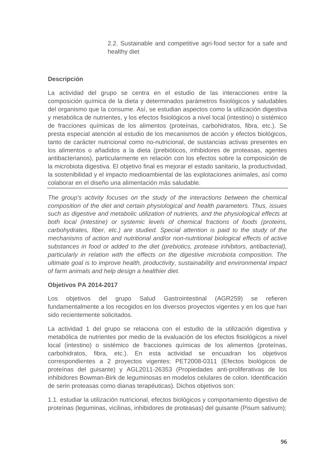2.2. Sustainable and competitive agri-food sector for a safe and healthy diet

## **Descripción**

La actividad del grupo se centra en el estudio de las interacciones entre la composición química de la dieta y determinados parámetros fisiológicos y saludables del organismo que la consume. Así, se estudian aspectos como la utilización digestiva y metabólica de nutrientes, y los efectos fisiológicos a nivel local (intestino) o sistémico de fracciones químicas de los alimentos (proteínas, carbohidratos, fibra, etc.). Se presta especial atención al estudio de los mecanismos de acción y efectos biológicos, tanto de carácter nutricional como no-nutricional, de sustancias activas presentes en los alimentos o añadidos a la dieta (prebióticos, inhibidores de proteasas, agentes antibacterianos), particularmente en relación con los efectos sobre la composición de la microbiota digestiva. El objetivo final es mejorar el estado sanitario, la productividad, la sostenibilidad y el impacto medioambiental de las explotaciones animales, así como colaborar en el diseño una alimentación más saludable.

*The group's activity focuses on the study of the interactions between the chemical composition of the diet and certain physiological and health parameters. Thus, issues such as digestive and metabolic utilization of nutrients, and the physiological effects at both local (intestine) or systemic levels of chemical fractions of foods (proteins, carbohydrates, fiber, etc.) are studied. Special attention is paid to the study of the mechanisms of action and nutritional and/or non-nutritional biological effects of active substances in food or added to the diet (prebiotics, protease inhibitors, antibacterial), particularly in relation with the effects on the digestive microbiota composition. The ultimate goal is to improve health, productivity, sustainability and environmental impact of farm animals and help design a healthier diet.* 

#### **Objetivos PA 2014-2017**

Los objetivos del grupo Salud Gastrointestinal (AGR259) se refieren fundamentalmente a los recogidos en los diversos proyectos vigentes y en los que han sido recientemente solicitados.

La actividad 1 del grupo se relaciona con el estudio de la utilización digestiva y metabólica de nutrientes por medio de la evaluación de los efectos fisiológicos a nivel local (intestino) o sistémico de fracciones químicas de los alimentos (proteínas, carbohidratos, fibra, etc.). En esta actividad se encuadran los objetivos correspondientes a 2 proyectos vigentes: PET2008-0311 (Efectos biológicos de proteínas del guisante) y AGL2011-26353 (Propiedades anti-proliferativas de los inhibidores Bowman-Birk de leguminosas en modelos celulares de colon. Identificación de serin proteasas como dianas terapéuticas). Dichos objetivos son:

1.1. estudiar la utilización nutricional, efectos biológicos y comportamiento digestivo de proteínas (leguminas, vicilinas, inhibidores de proteasas) del guisante (Pisum sativum);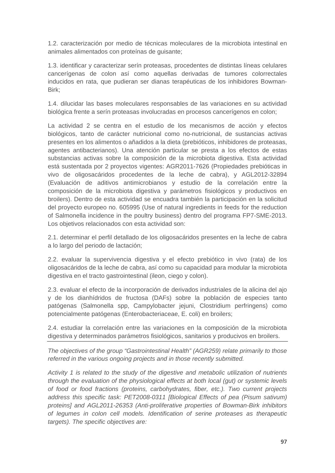1.2. caracterización por medio de técnicas moleculares de la microbiota intestinal en animales alimentados con proteínas de guisante;

1.3. identificar y caracterizar serín proteasas, procedentes de distintas líneas celulares cancerígenas de colon así como aquellas derivadas de tumores colorrectales inducidos en rata, que pudieran ser dianas terapéuticas de los inhibidores Bowman-Birk;

1.4. dilucidar las bases moleculares responsables de las variaciones en su actividad biológica frente a serín proteasas involucradas en procesos cancerígenos en colon;

La actividad 2 se centra en el estudio de los mecanismos de acción y efectos biológicos, tanto de carácter nutricional como no-nutricional, de sustancias activas presentes en los alimentos o añadidos a la dieta (prebióticos, inhibidores de proteasas, agentes antibacterianos). Una atención particular se presta a los efectos de estas substancias activas sobre la composición de la microbiota digestiva. Esta actividad está sustentada por 2 proyectos vigentes: AGR2011-7626 (Propiedades prebióticas in vivo de oligosacáridos procedentes de la leche de cabra), y AGL2012-32894 (Evaluación de aditivos antimicrobianos y estudio de la correlación entre la composición de la microbiota digestiva y parámetros fisiológicos y productivos en broilers). Dentro de esta actividad se encuadra también la participación en la solicitud del proyecto europeo no. 605995 (Use of natural ingredients in feeds for the reduction of Salmonella incidence in the poultry business) dentro del programa FP7-SME-2013. Los objetivos relacionados con esta actividad son:

2.1. determinar el perfil detallado de los oligosacáridos presentes en la leche de cabra a lo largo del periodo de lactación;

2.2. evaluar la supervivencia digestiva y el efecto prebiótico in vivo (rata) de los oligosacáridos de la leche de cabra, así como su capacidad para modular la microbiota digestiva en el tracto gastrointestinal (ileon, ciego y colon).

2.3. evaluar el efecto de la incorporación de derivados industriales de la alicina del ajo y de los dianhídridos de fructosa (DAFs) sobre la población de especies tanto patógenas (Salmonella spp, Campylobacter jejuni, Clostridium perfringens) como potencialmente patógenas (Enterobacteriaceae, E. coli) en broilers;

2.4. estudiar la correlación entre las variaciones en la composición de la microbiota digestiva y determinados parámetros fisiológicos, sanitarios y producivos en broilers.

*The objectives of the group "Gastrointestinal Health" (AGR259) relate primarily to those referred in the various ongoing projects and in those recently submitted.* 

*Activity 1 is related to the study of the digestive and metabolic utilization of nutrients through the evaluation of the physiological effects at both local (gut) or systemic levels of food or food fractions (proteins, carbohydrates, fiber, etc.). Two current projects address this specific task: PET2008-0311 [Biological Effects of pea (Pisum sativum) proteins] and AGL2011-26353 (Anti-proliferative properties of Bowman-Birk inhibitors of legumes in colon cell models. Identification of serine proteases as therapeutic targets). The specific objectives are:*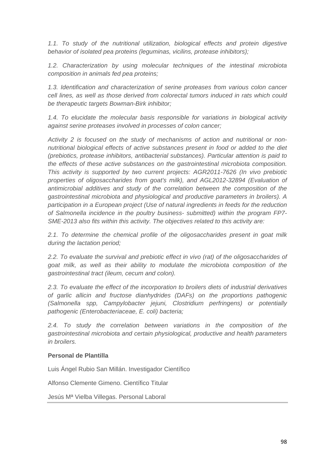*1.1. To study of the nutritional utilization, biological effects and protein digestive behavior of isolated pea proteins (leguminas, vicilins, protease inhibitors);* 

*1.2. Characterization by using molecular techniques of the intestinal microbiota composition in animals fed pea proteins;* 

*1.3. Identification and characterization of serine proteases from various colon cancer cell lines, as well as those derived from colorectal tumors induced in rats which could be therapeutic targets Bowman-Birk inhibitor;* 

*1.4. To elucidate the molecular basis responsible for variations in biological activity against serine proteases involved in processes of colon cancer;* 

*Activity 2 is focused on the study of mechanisms of action and nutritional or nonnutritional biological effects of active substances present in food or added to the diet (prebiotics, protease inhibitors, antibacterial substances). Particular attention is paid to the effects of these active substances on the gastrointestinal microbiota composition. This activity is supported by two current projects: AGR2011-7626 (In vivo prebiotic properties of oligosaccharides from goat's milk), and AGL2012-32894 (Evaluation of antimicrobial additives and study of the correlation between the composition of the gastrointestinal microbiota and physiological and productive parameters in broilers). A participation in a European project (Use of natural ingredients in feeds for the reduction of Salmonella incidence in the poultry business- submitted) within the program FP7- SME-2013 also fits within this activity. The objectives related to this activity are:* 

*2.1. To determine the chemical profile of the oligosaccharides present in goat milk during the lactation period;* 

*2.2. To evaluate the survival and prebiotic effect in vivo (rat) of the oligosaccharides of goat milk, as well as their ability to modulate the microbiota composition of the gastrointestinal tract (ileum, cecum and colon).* 

*2.3. To evaluate the effect of the incorporation to broilers diets of industrial derivatives of garlic allicin and fructose dianhydrides (DAFs) on the proportions pathogenic (Salmonella spp, Campylobacter jejuni, Clostridium perfringens) or potentially pathogenic (Enterobacteriaceae, E. coli) bacteria;* 

*2.4. To study the correlation between variations in the composition of the gastrointestinal microbiota and certain physiological, productive and health parameters in broilers.* 

#### **Personal de Plantilla**

Luis Ángel Rubio San Millán. Investigador Científico

Alfonso Clemente Gimeno. Científico Titular

Jesús Mª Vielba Villegas. Personal Laboral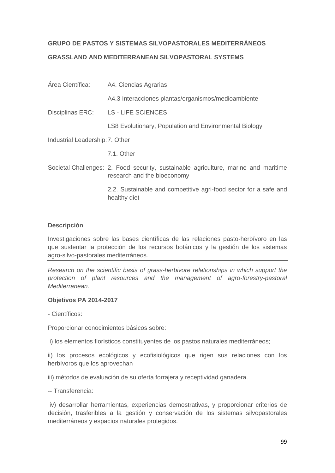## **GRUPO DE PASTOS Y SISTEMAS SILVOPASTORALES MEDITERRÁNEOS GRASSLAND AND MEDITERRANEAN SILVOPASTORAL SYSTEMS**

# Área Científica: A4. Ciencias Agrarias A4.3 Interacciones plantas/organismos/medioambiente Disciplinas ERC: LS - LIFE SCIENCES LS8 Evolutionary, Population and Environmental Biology Industrial Leadership: 7. Other 7.1. Other Societal Challenges: 2. Food security, sustainable agriculture, marine and maritime research and the bioeconomy 2.2. Sustainable and competitive agri-food sector for a safe and healthy diet

## **Descripción**

Investigaciones sobre las bases científicas de las relaciones pasto-herbívoro en las que sustentar la protección de los recursos botánicos y la gestión de los sistemas agro-silvo-pastorales mediterráneos.

*Research on the scientific basis of grass-herbivore relationships in which support the protection of plant resources and the management of agro-forestry-pastoral Mediterranean.* 

## **Objetivos PA 2014-2017**

- Científicos:

Proporcionar conocimientos básicos sobre:

i) los elementos florísticos constituyentes de los pastos naturales mediterráneos;

ii) los procesos ecológicos y ecofisiológicos que rigen sus relaciones con los herbívoros que los aprovechan

iii) métodos de evaluación de su oferta forrajera y receptividad ganadera.

-- Transferencia:

 iv) desarrollar herramientas, experiencias demostrativas, y proporcionar criterios de decisión, trasferibles a la gestión y conservación de los sistemas silvopastorales mediterráneos y espacios naturales protegidos.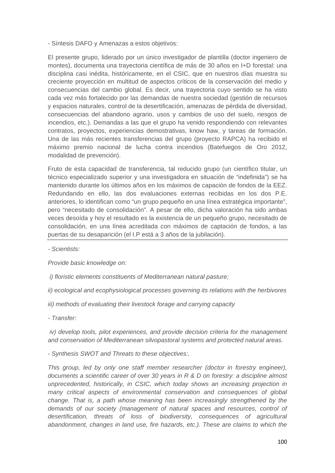- Síntesis DAFO y Amenazas a estos objetivos:

El presente grupo, liderado por un único investigador de plantilla (doctor ingeniero de montes), documenta una trayectoria científica de más de 30 años en I+D forestal: una disciplina casi inédita, históricamente, en el CSIC, que en nuestros días muestra su creciente proyección en multitud de aspectos críticos de la conservación del medio y consecuencias del cambio global. Es decir, una trayectoria cuyo sentido se ha visto cada vez más fortalecido por las demandas de nuestra sociedad (gestión de recursos y espacios naturales, control de la desertificación, amenazas de pérdida de diversidad, consecuencias del abandono agrario, usos y cambios de uso del suelo, riesgos de incendios, etc.). Demandas a las que el grupo ha venido respondiendo con relevantes contratos, proyectos, experiencias demostrativas, know haw, y tareas de formación. Una de las más recientes transferencias del grupo (proyecto RAPCA) ha recibido el máximo premio nacional de lucha contra incendios (Batefuegos de Oro 2012, modalidad de prevención).

Fruto de esta capacidad de transferencia, tal reducido grupo (un científico titular, un técnico especializado superior y una investigadora en situación de "indefinida") se ha mantenido durante los últimos años en los máximos de capación de fondos de la EEZ. Redundando en ello, las dos evaluaciones externas recibidas en los dos P.E. anteriores, lo identifican como "un grupo pequeño en una línea estratégica importante", pero "necesitado de consolidación". A pesar de ello, dicha valoración ha sido ambas veces desoída y hoy el resultado es la existencia de un pequeño grupo, necesitado de consolidación, en una línea acreditada con máximos de captación de fondos, a las puertas de su desaparición (el I.P está a 3 años de la jubilación).

*- Scientists:* 

*Provide basic knowledge on:* 

- *i) floristic elements constituents of Mediterranean natural pasture;*
- *ii) ecological and ecophysiological processes governing its relations with the herbivores*
- *iii) methods of evaluating their livestock forage and carrying capacity*
- *Transfer:*

 *iv) develop tools, pilot experiences, and provide decision criteria for the management and conservation of Mediterranean silvopastoral systems and protected natural areas.* 

*- Synthesis SWOT and Threats to these objectives:.* 

*This group, led by only one staff member researcher (doctor in forestry engineer), documents a scientific career of over 30 years in R & D on forestry: a discipline almost unprecedented, historically, in CSIC, which today shows an increasing projection in many critical aspects of environmental conservation and consequences of global change. That is, a path whose meaning has been increasingly strengthened by the demands of our society (management of natural spaces and resources, control of desertification, threats of loss of biodiversity, consequences of agricultural abandonment, changes in land use, fire hazards, etc.). These are claims to which the*